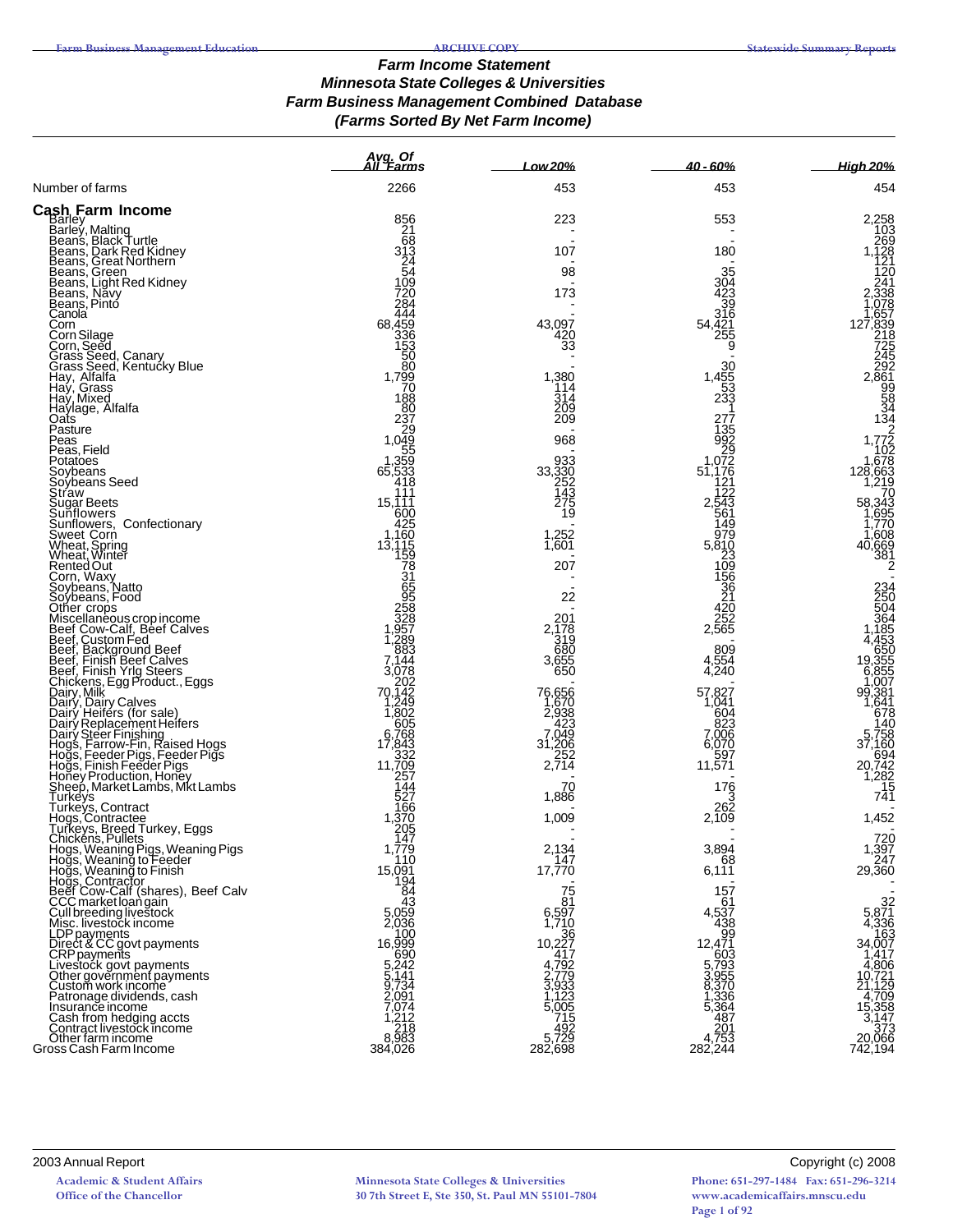### *Farm Income Statement Minnesota State Colleges & Universities Farm Business Management Combined Database (Farms Sorted By Net Farm Income)*

|                                                                                                                                                                                                                                                              | Avg. Of<br>All_Farms                                                 | <b>Low 20%</b>                            | 40 - 60%                                                            | <b>High 20%</b>                                                                      |
|--------------------------------------------------------------------------------------------------------------------------------------------------------------------------------------------------------------------------------------------------------------|----------------------------------------------------------------------|-------------------------------------------|---------------------------------------------------------------------|--------------------------------------------------------------------------------------|
| Number of farms                                                                                                                                                                                                                                              | 2266                                                                 | 453                                       | 453                                                                 | 454                                                                                  |
| <b>Cash Farm Income</b><br>Barley, Malting<br>Beans, Black Turtle<br>Beans, Black Turtle<br>Beans, Dark Red Kidney<br>Beans, Green<br>Beans, Light Red Kidney<br>Beans, Light Red Kidney<br>Beans, Pinto<br>Cannala                                          |                                                                      | 223                                       | 553                                                                 |                                                                                      |
|                                                                                                                                                                                                                                                              |                                                                      |                                           |                                                                     |                                                                                      |
|                                                                                                                                                                                                                                                              | 856<br>268<br>313<br>312<br>54<br>54<br>72<br>284                    | 107                                       | 180                                                                 |                                                                                      |
|                                                                                                                                                                                                                                                              |                                                                      | 98                                        |                                                                     |                                                                                      |
|                                                                                                                                                                                                                                                              |                                                                      | 173                                       |                                                                     |                                                                                      |
|                                                                                                                                                                                                                                                              | 444                                                                  |                                           | $35$<br>$304$<br>$423$<br>$39$<br>$316$                             |                                                                                      |
| Corn                                                                                                                                                                                                                                                         | 68,459<br>336<br>153                                                 | 43,097                                    | 54,421                                                              |                                                                                      |
|                                                                                                                                                                                                                                                              |                                                                      | 420<br>33                                 | $\frac{255}{9}$                                                     |                                                                                      |
| Corn<br>Corn, Seed<br>Corn, Seed, Canary<br>Grass Seed, Kentucky Blue<br>Hay, Alfalfa<br>Hay, Alfalfa<br>Hay, Mixed<br>Haylage, Alfalfa<br>Dasture                                                                                                           | 50<br>$\breve{80}$                                                   |                                           |                                                                     |                                                                                      |
|                                                                                                                                                                                                                                                              | $7799$<br>$188$<br>$80$<br>$237$<br>$1049$<br>$55$<br>$129$<br>$155$ | 1,380<br>114                              | $\frac{1,455}{53}$<br>233                                           |                                                                                      |
|                                                                                                                                                                                                                                                              |                                                                      | 314<br>209<br>209                         |                                                                     |                                                                                      |
|                                                                                                                                                                                                                                                              |                                                                      |                                           |                                                                     |                                                                                      |
| Pasture<br>Peas                                                                                                                                                                                                                                              |                                                                      | 968                                       |                                                                     |                                                                                      |
| Peas, Field<br>Potatoes                                                                                                                                                                                                                                      |                                                                      |                                           | $\begin{array}{r} 135 \\ 992 \\ -29 \\ 1,072 \\ 51,176 \end{array}$ |                                                                                      |
| Soybeans<br>Soybeans Seed<br>Straw                                                                                                                                                                                                                           | 1,359<br>65,533<br>418                                               | 33,330<br>252<br>143                      | $\begin{array}{c} 121 \\ 122 \end{array}$                           |                                                                                      |
| Sugar Beets                                                                                                                                                                                                                                                  | 111                                                                  |                                           |                                                                     |                                                                                      |
| Sunflowers<br>Sunflowers, Confectionary<br>Sweet Corn                                                                                                                                                                                                        | 15,111<br>600<br>425                                                 | 275<br>19                                 | $2,543$<br>561<br>149                                               |                                                                                      |
|                                                                                                                                                                                                                                                              | 1,160                                                                | 1,252<br>1,601                            | 979<br>5,810                                                        |                                                                                      |
|                                                                                                                                                                                                                                                              |                                                                      |                                           |                                                                     |                                                                                      |
|                                                                                                                                                                                                                                                              |                                                                      | 207                                       |                                                                     |                                                                                      |
| Sweet Corn<br>Wheat, Spring<br>Wheat, Winter<br>Rented Out<br>Corn, Waxy<br>Soybeans, Food<br>Soybeans, Food                                                                                                                                                 | $13,115$<br>$159$<br>$78$<br>$31$<br>$65$<br>$95$<br>$258$<br>$258$  | 22                                        |                                                                     |                                                                                      |
|                                                                                                                                                                                                                                                              | 328                                                                  | 201                                       | 23<br>109<br>1566<br>361<br>252<br>252                              |                                                                                      |
|                                                                                                                                                                                                                                                              | $\frac{1,957}{1,289}$                                                | 2,178<br>319                              | 2,565                                                               |                                                                                      |
|                                                                                                                                                                                                                                                              |                                                                      | 680                                       | 809<br>4,554                                                        |                                                                                      |
|                                                                                                                                                                                                                                                              | 7,144<br>3,078<br>202                                                | 3,655<br>650                              | 4,240                                                               |                                                                                      |
|                                                                                                                                                                                                                                                              | 70, 142<br>1, 249                                                    |                                           | 57,827<br>1,041                                                     |                                                                                      |
|                                                                                                                                                                                                                                                              | 1,802                                                                | 76,656<br>1,670<br>2,938<br>423           | 604                                                                 |                                                                                      |
|                                                                                                                                                                                                                                                              | 605<br>6,768                                                         | 7.049                                     | 823<br>7,006                                                        |                                                                                      |
|                                                                                                                                                                                                                                                              |                                                                      | 31,206<br>252<br>2,714                    | 6,070<br>597                                                        |                                                                                      |
|                                                                                                                                                                                                                                                              | 17,843<br>332<br>11,709<br>257<br>144                                |                                           | 11,571                                                              |                                                                                      |
|                                                                                                                                                                                                                                                              |                                                                      | 70                                        | 176                                                                 |                                                                                      |
|                                                                                                                                                                                                                                                              | 527<br>166                                                           | 1,886                                     | 3<br>26Ž                                                            |                                                                                      |
|                                                                                                                                                                                                                                                              | $\frac{1,370}{205}$<br>147                                           | 1,009                                     | 2,109                                                               | 1,452                                                                                |
|                                                                                                                                                                                                                                                              |                                                                      |                                           |                                                                     | 720<br>1,397<br>247<br>29,360                                                        |
|                                                                                                                                                                                                                                                              | 1,779<br>110<br>15,091                                               | $2,134$<br>$-147$<br>17,770               | 3,894<br>6,111                                                      |                                                                                      |
|                                                                                                                                                                                                                                                              | $^{194}_{84}$                                                        |                                           |                                                                     |                                                                                      |
|                                                                                                                                                                                                                                                              | 43                                                                   |                                           | 157<br>$\overline{61}$                                              |                                                                                      |
|                                                                                                                                                                                                                                                              | 5,059<br>2,036<br>100                                                | $75$<br>81<br>6,597<br>6,597<br>36        | 4,537<br>438                                                        | $32$<br>5,871<br>4,336<br>4,007<br>34,007<br>1,417                                   |
|                                                                                                                                                                                                                                                              |                                                                      |                                           | 99<br>12,471                                                        |                                                                                      |
|                                                                                                                                                                                                                                                              | 16,999<br>690                                                        |                                           | 603                                                                 |                                                                                      |
| Solybeans, Food<br>Solybeans, Natto<br>Solybeans, Tood<br>Miscellaneous crop income<br>Beef Couv-Calf, Beef Calves<br>Beef, Einish Peef Calves<br>Beef, Finish Ping Steers<br>Beef, Finish Ping Steers<br>Chirkens, Egg Product., Eggs<br>Dairy, Milk<br>Dai | 5,242<br>5,141<br>9,734<br>2,091                                     | $10,227\n417\n4,792\n2,779\n3,933\n4,933$ | 5,793<br>3,955<br>8,370<br>1,336                                    | $1,417$<br>4,806<br>10,721<br>21,129<br>4,709<br>15,358<br>3,147<br>20,066<br>20,066 |
|                                                                                                                                                                                                                                                              |                                                                      |                                           |                                                                     |                                                                                      |
|                                                                                                                                                                                                                                                              | $7,074$<br>1,212<br>8,983                                            | 1,123<br>5,005<br>715                     | 5,364<br>487                                                        |                                                                                      |
| Other farm income<br>Gross Cash Farm Income                                                                                                                                                                                                                  |                                                                      | 492<br>5,729<br>282,698                   | 4,753                                                               |                                                                                      |
|                                                                                                                                                                                                                                                              | 384,026                                                              |                                           | 282,244                                                             | 742,194                                                                              |

**Academic & Student Affairs Office of the Chancellor**

**Minnesota State Colleges & Universities 30 7th Street E, Ste 350, St. Paul MN 55101-7804**

2003 Annual Report Copyright (c) 2008 **Phone: 651-297-1484 Fax: 651-296-3214 www.academicaffairs.mnscu.edu Page 1 of 92**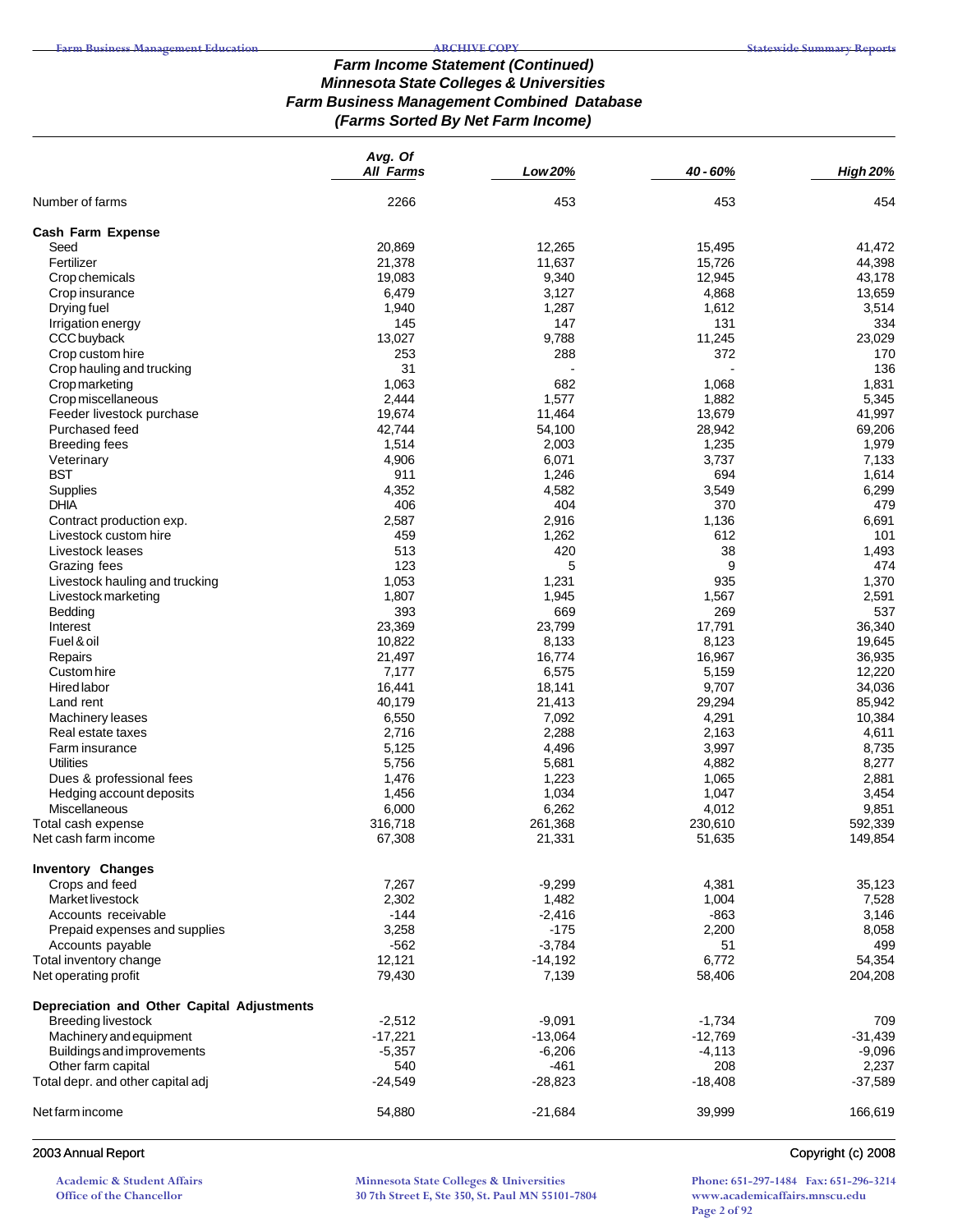### *Farm Income Statement (Continued) Minnesota State Colleges & Universities Farm Business Management Combined Database (Farms Sorted By Net Farm Income)*

|                                            | Avg. Of          |           |           |                 |
|--------------------------------------------|------------------|-----------|-----------|-----------------|
|                                            | <b>All Farms</b> | Low 20%   | 40 - 60%  | <b>High 20%</b> |
| Number of farms                            | 2266             | 453       | 453       | 454             |
| Cash Farm Expense                          |                  |           |           |                 |
| Seed                                       | 20,869           | 12,265    | 15,495    | 41,472          |
| Fertilizer                                 | 21,378           | 11,637    | 15,726    | 44,398          |
| Crop chemicals                             | 19,083           | 9,340     | 12,945    | 43,178          |
| Crop insurance                             | 6,479            | 3,127     | 4,868     | 13,659          |
| Drying fuel                                | 1,940            | 1,287     | 1,612     | 3,514           |
| Irrigation energy                          | 145              | 147       | 131       | 334             |
| CCC buyback                                | 13,027           | 9,788     | 11,245    | 23,029          |
| Crop custom hire                           | 253              | 288       | 372       | 170             |
| Crop hauling and trucking                  | 31               |           |           | 136             |
| Cropmarketing                              | 1,063            | 682       | 1,068     | 1,831           |
| Crop miscellaneous                         | 2,444            | 1,577     | 1,882     | 5,345           |
| Feeder livestock purchase                  | 19,674           | 11,464    | 13,679    | 41,997          |
| Purchased feed                             | 42,744           | 54,100    | 28,942    | 69,206          |
| <b>Breeding fees</b>                       | 1,514            | 2,003     | 1,235     | 1,979           |
| Veterinary                                 | 4,906            | 6,071     | 3,737     | 7,133           |
| <b>BST</b>                                 | 911              | 1,246     | 694       | 1,614           |
| Supplies                                   | 4,352            | 4,582     | 3,549     | 6,299           |
| <b>DHIA</b>                                | 406              | 404       | 370       | 479             |
| Contract production exp.                   | 2,587            | 2,916     | 1,136     | 6,691           |
| Livestock custom hire                      | 459              | 1,262     | 612       | 101             |
| Livestock leases                           | 513              | 420       | 38        | 1,493           |
| Grazing fees                               | 123              | 5         | 9         | 474             |
| Livestock hauling and trucking             | 1,053            | 1,231     | 935       | 1,370           |
| Livestock marketing                        | 1,807            | 1,945     | 1,567     | 2,591           |
| Bedding                                    | 393              | 669       | 269       | 537             |
| Interest                                   | 23,369           | 23,799    | 17,791    | 36,340          |
| Fuel & oil                                 | 10,822           | 8,133     | 8,123     | 19,645          |
| Repairs                                    | 21,497           | 16,774    | 16,967    | 36,935          |
| Custom hire                                | 7,177            | 6,575     | 5,159     | 12,220          |
| Hired labor                                | 16,441           | 18,141    | 9,707     | 34,036          |
| Land rent                                  | 40,179           | 21,413    | 29,294    | 85,942          |
| <b>Machinery leases</b>                    | 6,550            | 7,092     | 4,291     | 10,384          |
| Real estate taxes                          | 2,716            | 2,288     | 2,163     | 4,611           |
| Farm insurance                             | 5,125            | 4,496     | 3,997     | 8,735           |
| <b>Utilities</b>                           | 5,756            | 5,681     | 4,882     | 8,277           |
| Dues & professional fees                   | 1,476            | 1,223     | 1,065     | 2,881           |
| Hedging account deposits                   | 1,456            | 1,034     | 1,047     | 3,454           |
| Miscellaneous                              | 6,000            | 6,262     | 4,012     | 9,851           |
| Total cash expense                         | 316,718          | 261,368   | 230,610   | 592,339         |
| Net cash farm income                       | 67,308           | 21,331    | 51,635    | 149,854         |
| <b>Inventory Changes</b>                   |                  |           |           |                 |
| Crops and feed                             | 7,267            | $-9,299$  | 4,381     | 35,123          |
| Market livestock                           | 2,302            | 1,482     | 1,004     | 7,528           |
| Accounts receivable                        | $-144$           | $-2,416$  | $-863$    | 3,146           |
| Prepaid expenses and supplies              | 3,258            | $-175$    | 2,200     | 8,058           |
| Accounts payable                           | $-562$           | $-3,784$  | 51        | 499             |
| Total inventory change                     | 12,121           | $-14,192$ | 6,772     | 54,354          |
| Net operating profit                       | 79,430           | 7,139     | 58,406    | 204,208         |
| Depreciation and Other Capital Adjustments |                  |           |           |                 |
| <b>Breeding livestock</b>                  | $-2,512$         | $-9,091$  | $-1,734$  | 709             |
| Machinery and equipment                    | $-17,221$        | $-13,064$ | $-12,769$ | $-31,439$       |
| Buildings and improvements                 | $-5,357$         | $-6,206$  | $-4,113$  | $-9,096$        |
| Other farm capital                         | 540              | $-461$    | 208       | 2,237           |
| Total depr. and other capital adj          | $-24,549$        | $-28,823$ | $-18,408$ | $-37,589$       |
| Net farm income                            | 54,880           | $-21,684$ | 39,999    | 166,619         |
|                                            |                  |           |           |                 |

### 2003 Annual Report Copyright (c) 2008

**Academic & Student Affairs Office of the Chancellor**

**Minnesota State Colleges & Universities 30 7th Street E, Ste 350, St. Paul MN 55101-7804**

**Phone: 651-297-1484 Fax: 651-296-3214 www.academicaffairs.mnscu.edu Page 2 of 92**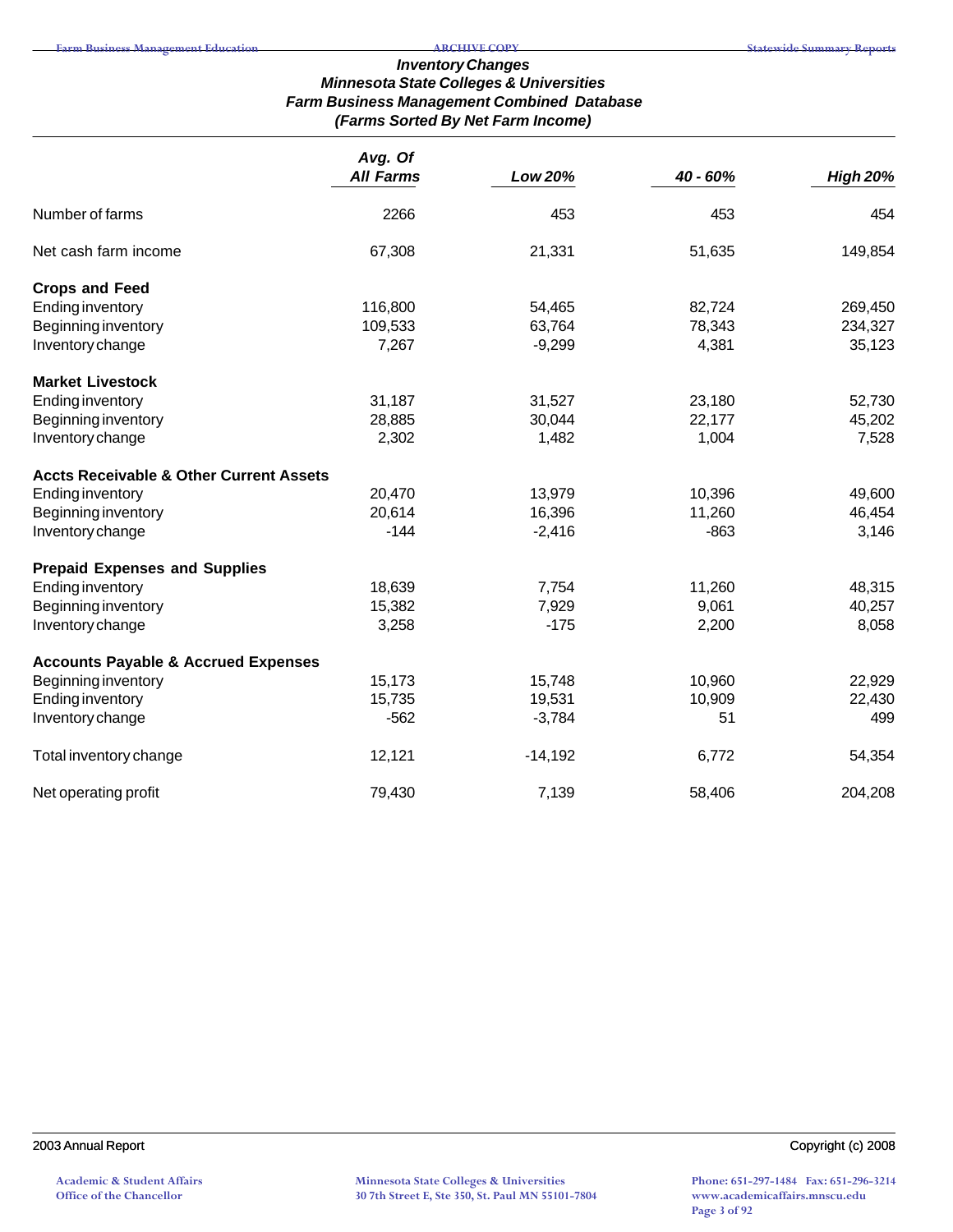## *Inventory Changes Minnesota State Colleges & Universities Farm Business Management Combined Database (Farms Sorted By Net Farm Income)*

|                                                    | Avg. Of          |           |          |                 |
|----------------------------------------------------|------------------|-----------|----------|-----------------|
|                                                    | <b>All Farms</b> | Low 20%   | 40 - 60% | <b>High 20%</b> |
| Number of farms                                    | 2266             | 453       | 453      | 454             |
| Net cash farm income                               | 67,308           | 21,331    | 51,635   | 149,854         |
| <b>Crops and Feed</b>                              |                  |           |          |                 |
| <b>Ending inventory</b>                            | 116,800          | 54,465    | 82,724   | 269,450         |
| Beginning inventory                                | 109,533          | 63,764    | 78,343   | 234,327         |
| Inventory change                                   | 7,267            | $-9,299$  | 4,381    | 35,123          |
| <b>Market Livestock</b>                            |                  |           |          |                 |
| <b>Ending inventory</b>                            | 31,187           | 31,527    | 23,180   | 52,730          |
| Beginning inventory                                | 28,885           | 30,044    | 22,177   | 45,202          |
| Inventory change                                   | 2,302            | 1,482     | 1,004    | 7,528           |
| <b>Accts Receivable &amp; Other Current Assets</b> |                  |           |          |                 |
| <b>Ending inventory</b>                            | 20,470           | 13,979    | 10,396   | 49,600          |
| Beginning inventory                                | 20,614           | 16,396    | 11,260   | 46,454          |
| Inventory change                                   | $-144$           | $-2,416$  | $-863$   | 3,146           |
| <b>Prepaid Expenses and Supplies</b>               |                  |           |          |                 |
| <b>Ending inventory</b>                            | 18,639           | 7,754     | 11,260   | 48,315          |
| Beginning inventory                                | 15,382           | 7,929     | 9,061    | 40,257          |
| Inventory change                                   | 3,258            | $-175$    | 2,200    | 8,058           |
| <b>Accounts Payable &amp; Accrued Expenses</b>     |                  |           |          |                 |
| Beginning inventory                                | 15,173           | 15,748    | 10,960   | 22,929          |
| <b>Ending inventory</b>                            | 15,735           | 19,531    | 10,909   | 22,430          |
| Inventory change                                   | $-562$           | $-3,784$  | 51       | 499             |
| Total inventory change                             | 12,121           | $-14,192$ | 6,772    | 54,354          |
| Net operating profit                               | 79,430           | 7,139     | 58,406   | 204,208         |

2003 Annual Report Copyright (c) 2008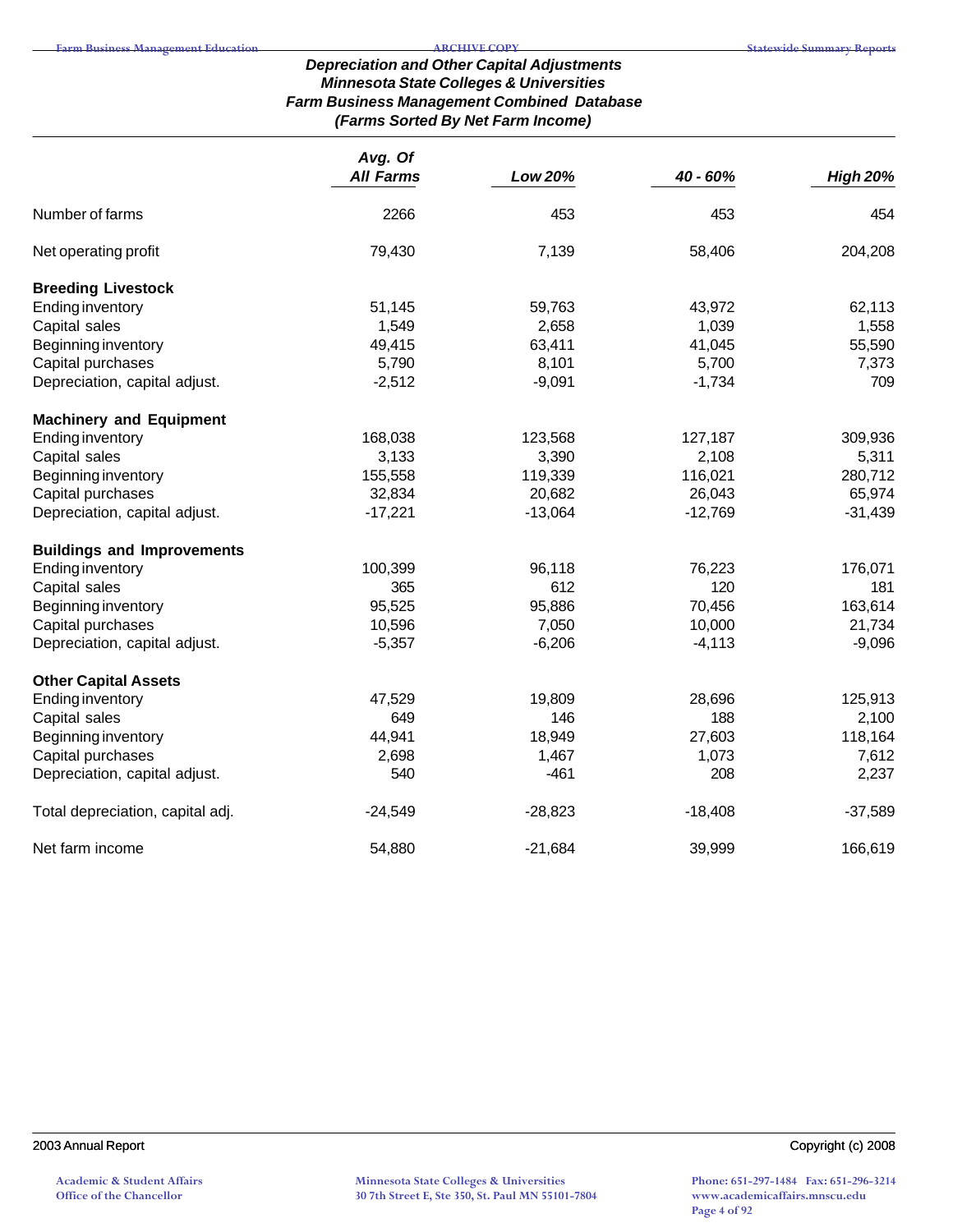## *Depreciation and Other Capital Adjustments Minnesota State Colleges & Universities Farm Business Management Combined Database (Farms Sorted By Net Farm Income)*

|                                   | Avg. Of<br><b>All Farms</b> |           | 40 - 60%  | <b>High 20%</b> |
|-----------------------------------|-----------------------------|-----------|-----------|-----------------|
|                                   |                             | Low 20%   |           |                 |
| Number of farms                   | 2266                        | 453       | 453       | 454             |
| Net operating profit              | 79,430                      | 7,139     | 58,406    | 204,208         |
| <b>Breeding Livestock</b>         |                             |           |           |                 |
| <b>Ending inventory</b>           | 51,145                      | 59,763    | 43,972    | 62,113          |
| Capital sales                     | 1,549                       | 2,658     | 1,039     | 1,558           |
| Beginning inventory               | 49,415                      | 63,411    | 41,045    | 55,590          |
| Capital purchases                 | 5,790                       | 8,101     | 5,700     | 7,373           |
| Depreciation, capital adjust.     | $-2,512$                    | $-9,091$  | $-1,734$  | 709             |
| <b>Machinery and Equipment</b>    |                             |           |           |                 |
| <b>Ending inventory</b>           | 168,038                     | 123,568   | 127,187   | 309,936         |
| Capital sales                     | 3,133                       | 3,390     | 2,108     | 5,311           |
| Beginning inventory               | 155,558                     | 119,339   | 116,021   | 280,712         |
| Capital purchases                 | 32,834                      | 20,682    | 26,043    | 65,974          |
| Depreciation, capital adjust.     | $-17,221$                   | $-13,064$ | $-12,769$ | $-31,439$       |
| <b>Buildings and Improvements</b> |                             |           |           |                 |
| <b>Ending inventory</b>           | 100,399                     | 96,118    | 76,223    | 176,071         |
| Capital sales                     | 365                         | 612       | 120       | 181             |
| Beginning inventory               | 95,525                      | 95,886    | 70,456    | 163,614         |
| Capital purchases                 | 10,596                      | 7,050     | 10,000    | 21,734          |
| Depreciation, capital adjust.     | $-5,357$                    | $-6,206$  | $-4,113$  | $-9,096$        |
| <b>Other Capital Assets</b>       |                             |           |           |                 |
| <b>Ending inventory</b>           | 47,529                      | 19,809    | 28,696    | 125,913         |
| Capital sales                     | 649                         | 146       | 188       | 2,100           |
| Beginning inventory               | 44,941                      | 18,949    | 27,603    | 118,164         |
| Capital purchases                 | 2,698                       | 1,467     | 1,073     | 7,612           |
| Depreciation, capital adjust.     | 540                         | $-461$    | 208       | 2,237           |
| Total depreciation, capital adj.  | $-24,549$                   | $-28,823$ | $-18,408$ | $-37,589$       |
| Net farm income                   | 54,880                      | $-21,684$ | 39,999    | 166,619         |

### 2003 Annual Report Copyright (c) 2008

**Academic & Student Affairs Office of the Chancellor**

**Phone: 651-297-1484 Fax: 651-296-3214 www.academicaffairs.mnscu.edu Page 4 of 92**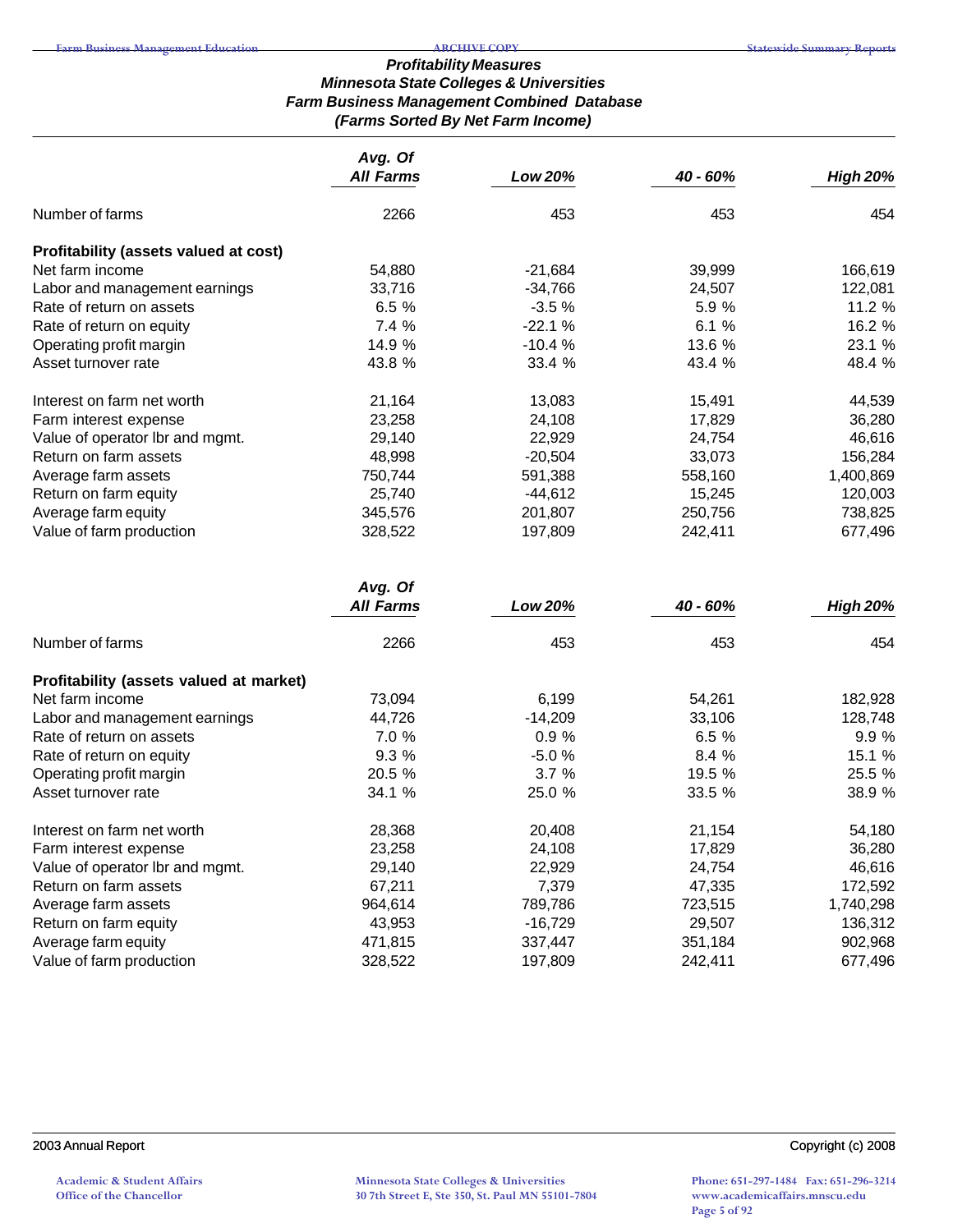### *Profitability Measures Minnesota State Colleges & Universities Farm Business Management Combined Database (Farms Sorted By Net Farm Income)*

|                                       | Avg. Of          |           |          |                 |
|---------------------------------------|------------------|-----------|----------|-----------------|
|                                       | <b>All Farms</b> | Low 20%   | 40 - 60% | <b>High 20%</b> |
| Number of farms                       | 2266             | 453       | 453      | 454             |
| Profitability (assets valued at cost) |                  |           |          |                 |
| Net farm income                       | 54,880           | $-21,684$ | 39,999   | 166,619         |
| Labor and management earnings         | 33,716           | $-34,766$ | 24,507   | 122,081         |
| Rate of return on assets              | 6.5%             | $-3.5%$   | 5.9 %    | 11.2 %          |
| Rate of return on equity              | 7.4 %            | $-22.1%$  | 6.1%     | 16.2 %          |
| Operating profit margin               | 14.9 %           | $-10.4%$  | 13.6 %   | 23.1 %          |
| Asset turnover rate                   | 43.8 %           | 33.4 %    | 43.4 %   | 48.4 %          |
| Interest on farm net worth            | 21,164           | 13,083    | 15,491   | 44,539          |
| Farm interest expense                 | 23,258           | 24,108    | 17,829   | 36,280          |
| Value of operator Ibr and mgmt.       | 29,140           | 22,929    | 24,754   | 46,616          |
| Return on farm assets                 | 48,998           | $-20,504$ | 33,073   | 156,284         |
| Average farm assets                   | 750,744          | 591,388   | 558,160  | 1,400,869       |
| Return on farm equity                 | 25,740           | $-44,612$ | 15,245   | 120,003         |
| Average farm equity                   | 345,576          | 201,807   | 250,756  | 738,825         |
| Value of farm production              | 328,522          | 197,809   | 242,411  | 677,496         |

|                                         | Avg. Of          |           |          |                 |
|-----------------------------------------|------------------|-----------|----------|-----------------|
|                                         | <b>All Farms</b> | Low 20%   | 40 - 60% | <b>High 20%</b> |
| Number of farms                         | 2266             | 453       | 453      | 454             |
| Profitability (assets valued at market) |                  |           |          |                 |
| Net farm income                         | 73,094           | 6,199     | 54,261   | 182,928         |
| Labor and management earnings           | 44,726           | $-14,209$ | 33,106   | 128,748         |
| Rate of return on assets                | 7.0 %            | 0.9%      | 6.5%     | 9.9%            |
| Rate of return on equity                | 9.3%             | $-5.0%$   | 8.4%     | 15.1 %          |
| Operating profit margin                 | 20.5 %           | 3.7%      | 19.5 %   | 25.5 %          |
| Asset turnover rate                     | 34.1 %           | 25.0 %    | 33.5 %   | 38.9 %          |
| Interest on farm net worth              | 28,368           | 20,408    | 21,154   | 54,180          |
| Farm interest expense                   | 23,258           | 24,108    | 17,829   | 36,280          |
| Value of operator Ibr and mgmt.         | 29,140           | 22,929    | 24,754   | 46,616          |
| Return on farm assets                   | 67,211           | 7,379     | 47,335   | 172,592         |
| Average farm assets                     | 964,614          | 789,786   | 723,515  | 1,740,298       |
| Return on farm equity                   | 43,953           | -16,729   | 29,507   | 136,312         |
| Average farm equity                     | 471,815          | 337,447   | 351,184  | 902,968         |
| Value of farm production                | 328,522          | 197,809   | 242,411  | 677,496         |

### 2003 Annual Report Copyright (c) 2008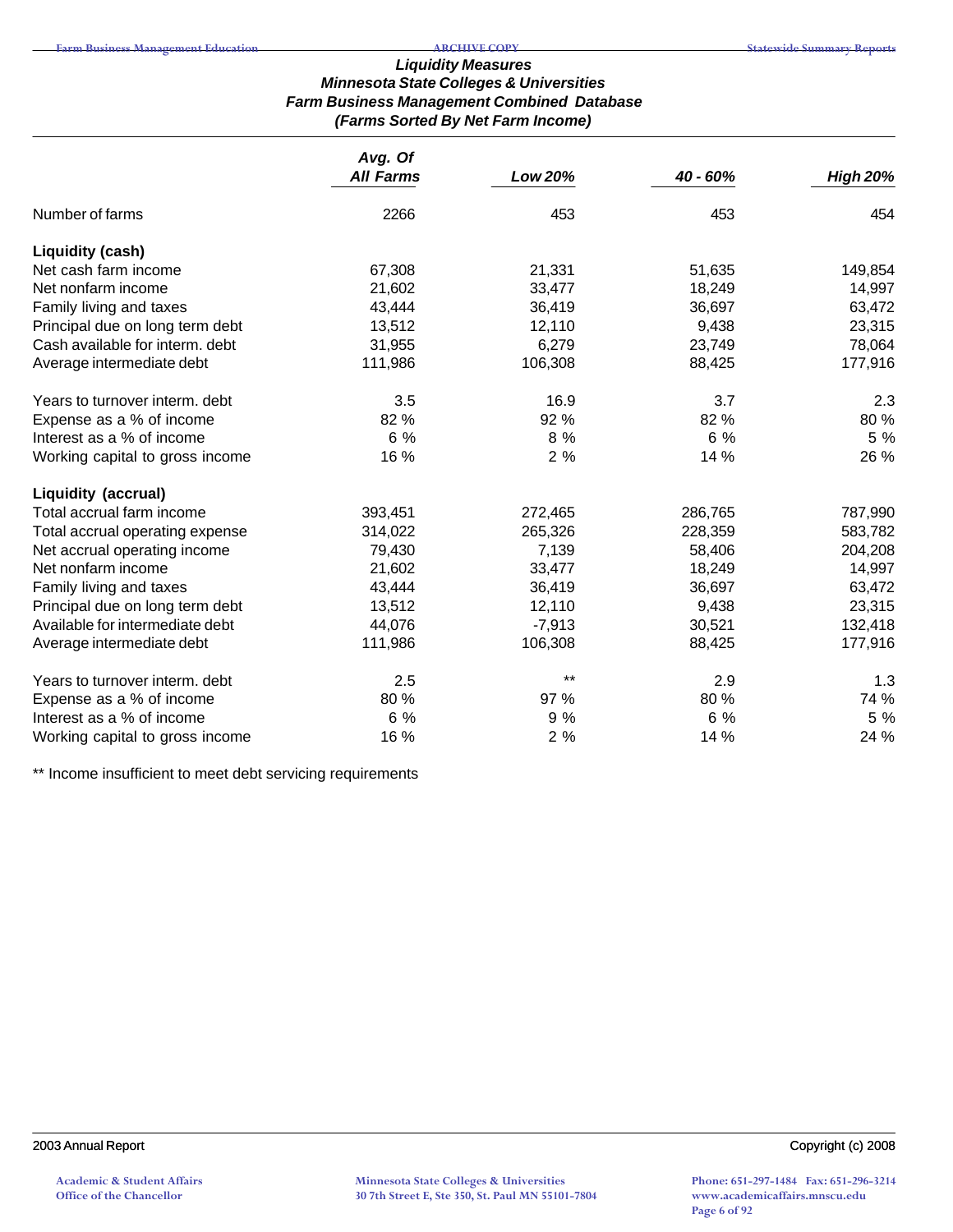### *Liquidity Measures Minnesota State Colleges & Universities Farm Business Management Combined Database (Farms Sorted By Net Farm Income)*

|                                 | Avg. Of          |          |          |                 |
|---------------------------------|------------------|----------|----------|-----------------|
|                                 | <b>All Farms</b> | Low 20%  | 40 - 60% | <b>High 20%</b> |
| Number of farms                 | 2266             | 453      | 453      | 454             |
| Liquidity (cash)                |                  |          |          |                 |
| Net cash farm income            | 67,308           | 21,331   | 51,635   | 149,854         |
| Net nonfarm income              | 21,602           | 33,477   | 18,249   | 14,997          |
| Family living and taxes         | 43,444           | 36,419   | 36,697   | 63,472          |
| Principal due on long term debt | 13,512           | 12,110   | 9,438    | 23,315          |
| Cash available for interm. debt | 31,955           | 6,279    | 23,749   | 78,064          |
| Average intermediate debt       | 111,986          | 106,308  | 88,425   | 177,916         |
| Years to turnover interm. debt  | 3.5              | 16.9     | 3.7      | 2.3             |
| Expense as a % of income        | 82 %             | 92 %     | 82 %     | 80 %            |
| Interest as a % of income       | 6 %              | 8 %      | 6 %      | 5 %             |
| Working capital to gross income | 16 %             | 2%       | 14 %     | 26 %            |
| <b>Liquidity (accrual)</b>      |                  |          |          |                 |
| Total accrual farm income       | 393,451          | 272,465  | 286,765  | 787,990         |
| Total accrual operating expense | 314,022          | 265,326  | 228,359  | 583,782         |
| Net accrual operating income    | 79,430           | 7,139    | 58,406   | 204,208         |
| Net nonfarm income              | 21,602           | 33,477   | 18,249   | 14,997          |
| Family living and taxes         | 43,444           | 36,419   | 36,697   | 63,472          |
| Principal due on long term debt | 13,512           | 12,110   | 9,438    | 23,315          |
| Available for intermediate debt | 44,076           | $-7,913$ | 30,521   | 132,418         |
| Average intermediate debt       | 111,986          | 106,308  | 88,425   | 177,916         |
| Years to turnover interm. debt  | 2.5              | $***$    | 2.9      | 1.3             |
| Expense as a % of income        | 80 %             | 97 %     | 80 %     | 74 %            |
| Interest as a % of income       | 6 %              | 9 %      | 6 %      | 5 %             |
| Working capital to gross income | 16 %             | 2%       | 14 %     | 24 %            |

\*\* Income insufficient to meet debt servicing requirements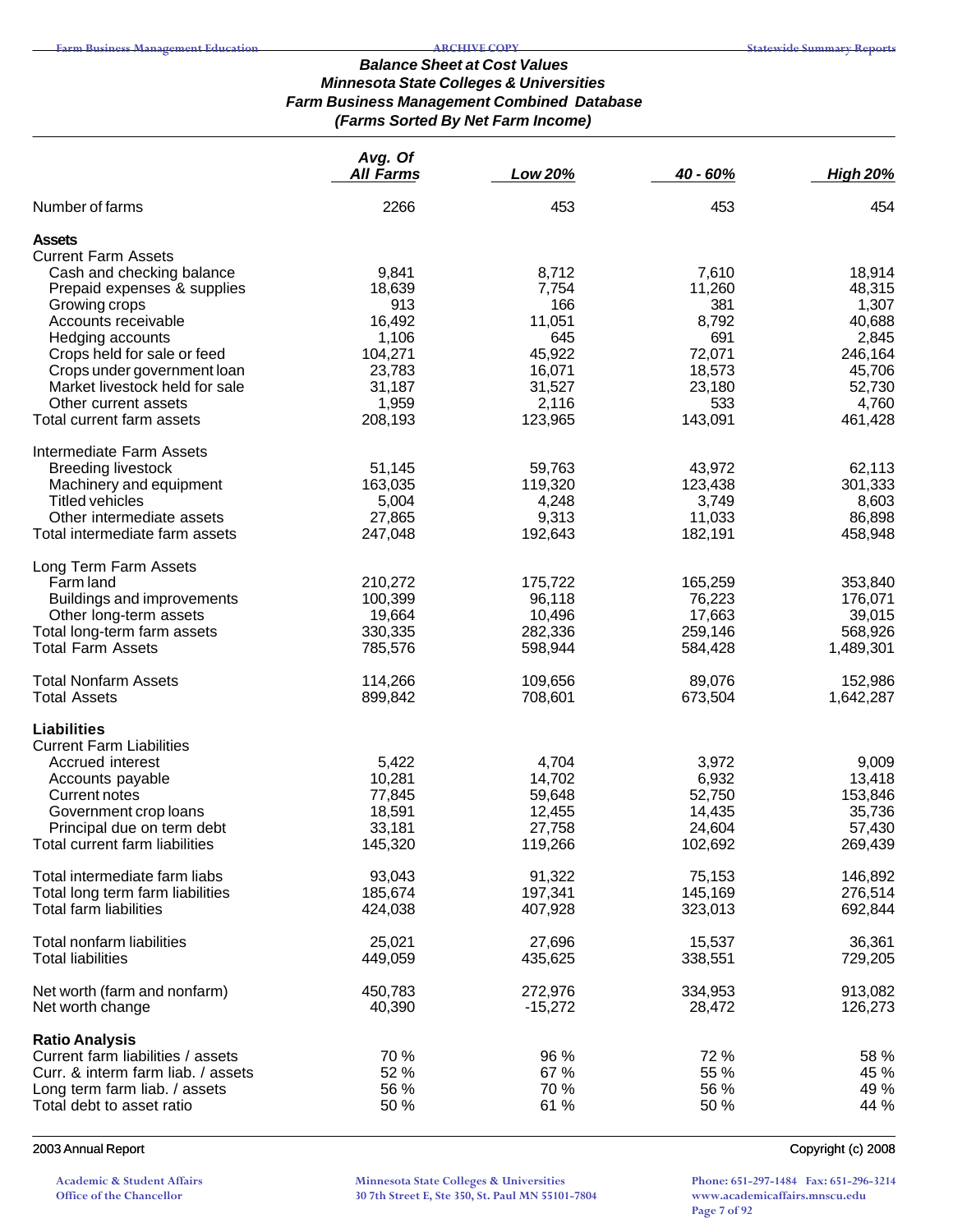### *Balance Sheet at Cost Values Minnesota State Colleges & Universities Farm Business Management Combined Database (Farms Sorted By Net Farm Income)*

|                                                                  | Avg. Of<br>All Farms | Low 20%           | 40 - 60%          | <b>High 20%</b>    |
|------------------------------------------------------------------|----------------------|-------------------|-------------------|--------------------|
| Number of farms                                                  | 2266                 | 453               | 453               | 454                |
| <b>Assets</b><br><b>Current Farm Assets</b>                      |                      |                   |                   |                    |
| Cash and checking balance                                        | 9,841                | 8,712             | 7,610             | 18,914             |
| Prepaid expenses & supplies                                      | 18,639               | 7,754             | 11,260            | 48,315             |
| Growing crops                                                    | 913                  | 166               | 381               | 1,307              |
| Accounts receivable                                              | 16,492               | 11,051            | 8,792             | 40,688             |
| Hedging accounts                                                 | 1,106                | 645               | 691               | 2,845              |
| Crops held for sale or feed                                      | 104,271              | 45,922            | 72,071            | 246,164            |
| Crops under government loan                                      | 23,783               | 16,071            | 18,573            | 45,706             |
| Market livestock held for sale                                   | 31,187               | 31,527            | 23,180            | 52,730             |
| Other current assets                                             | 1,959                | 2,116             | 533               | 4,760              |
| Total current farm assets                                        | 208,193              | 123,965           | 143,091           | 461,428            |
| Intermediate Farm Assets<br><b>Breeding livestock</b>            | 51,145               | 59,763            | 43,972            | 62,113             |
| Machinery and equipment                                          | 163,035              | 119,320           | 123,438           | 301,333            |
| <b>Titled vehicles</b>                                           | 5,004                | 4,248             | 3,749             | 8,603              |
| Other intermediate assets                                        | 27,865               | 9,313             | 11,033            | 86,898             |
| Total intermediate farm assets                                   | 247,048              | 192,643           | 182,191           | 458,948            |
| Long Term Farm Assets<br>Farm land<br>Buildings and improvements | 210,272<br>100,399   | 175,722<br>96,118 | 165,259<br>76,223 | 353,840<br>176,071 |
| Other long-term assets                                           | 19,664               | 10,496            | 17,663            | 39,015             |
| Total long-term farm assets                                      | 330,335              | 282,336           | 259,146           | 568,926            |
| <b>Total Farm Assets</b>                                         | 785,576              | 598,944           | 584,428           | 1,489,301          |
| <b>Total Nonfarm Assets</b>                                      | 114,266              | 109,656           | 89,076            | 152,986            |
| <b>Total Assets</b>                                              | 899,842              | 708,601           | 673,504           | 1,642,287          |
| <b>Liabilities</b><br><b>Current Farm Liabilities</b>            |                      |                   |                   |                    |
| Accrued interest                                                 | 5,422                | 4,704             | 3,972             | 9,009              |
| Accounts payable                                                 | 10,281               | 14,702            | 6,932             | 13,418             |
| Current notes                                                    | 77,845               | 59,648            | 52,750            | 153,846            |
| Government crop loans                                            | 18,591               | 12,455            | 14,435            | 35,736             |
| Principal due on term debt                                       | 33,181               | 27,758            | 24,604            | 57,430             |
| Total current farm liabilities                                   | 145,320              | 119,266           | 102,692           | 269,439            |
| Total intermediate farm liabs                                    | 93,043               | 91,322            | 75,153            | 146,892            |
| Total long term farm liabilities                                 | 185,674              | 197,341           | 145,169           | 276,514            |
| <b>Total farm liabilities</b>                                    | 424,038              | 407,928           | 323,013           | 692,844            |
| Total nonfarm liabilities                                        | 25,021               | 27,696            | 15,537            | 36,361             |
| <b>Total liabilities</b>                                         | 449,059              | 435,625           | 338,551           | 729,205            |
| Net worth (farm and nonfarm)                                     | 450,783              | 272,976           | 334,953           | 913,082            |
| Net worth change                                                 | 40,390               | $-15,272$         | 28,472            | 126,273            |
| <b>Ratio Analysis</b>                                            |                      |                   |                   |                    |
| Current farm liabilities / assets                                | 70 %                 | 96 %              | 72 %              | 58 %               |
| Curr. & interm farm liab. / assets                               | 52 %                 | 67 %              | 55 %              | 45 %               |
| Long term farm liab. / assets                                    | 56 %                 | 70 %              | 56 %              | 49 %               |
| Total debt to asset ratio                                        | 50 %                 | 61 %              | 50 %              | 44 %               |

### 2003 Annual Report Copyright (c) 2008

**Academic & Student Affairs Office of the Chancellor**

**Minnesota State Colleges & Universities 30 7th Street E, Ste 350, St. Paul MN 55101-7804**

**Phone: 651-297-1484 Fax: 651-296-3214 www.academicaffairs.mnscu.edu Page 7 of 92**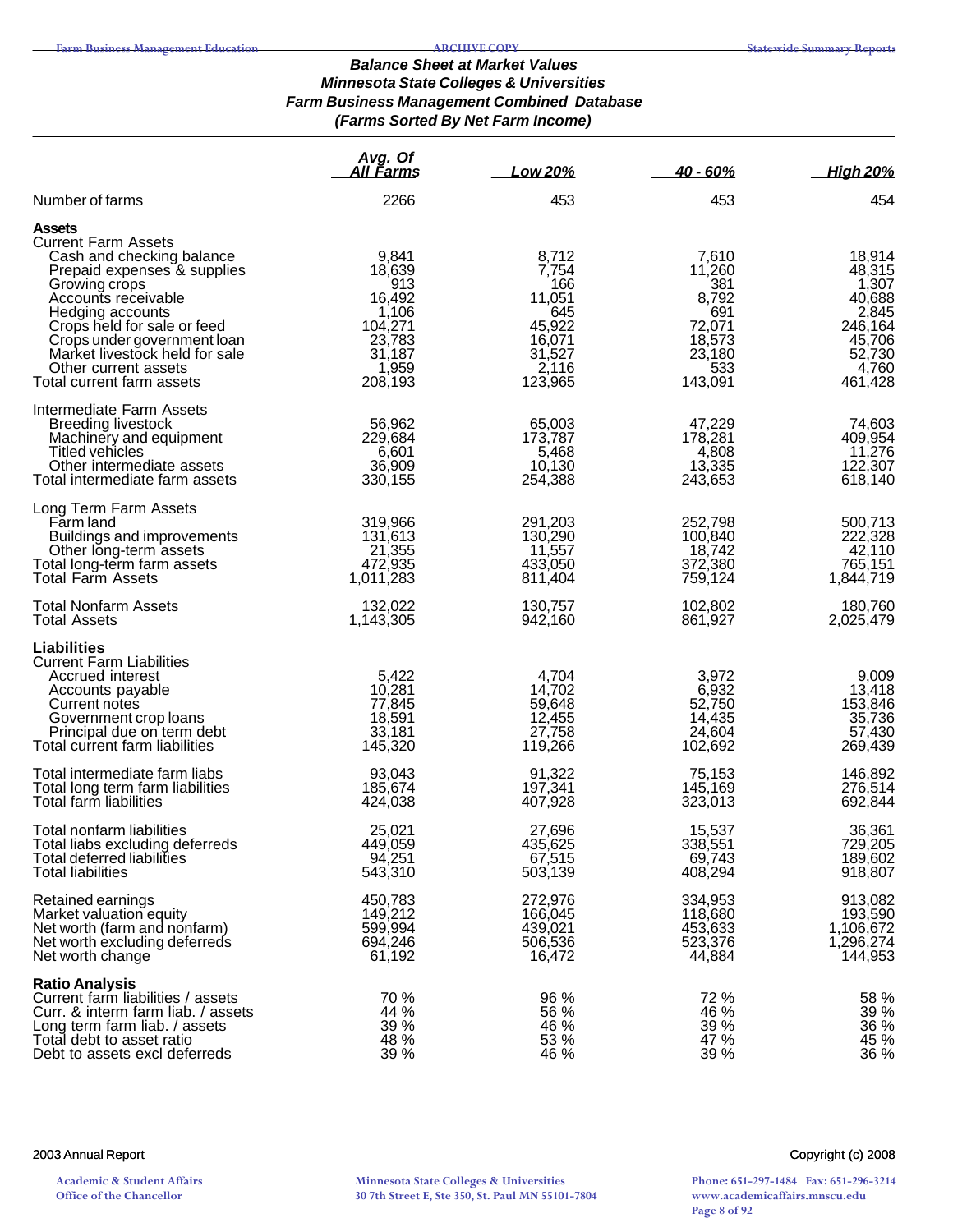### *Balance Sheet at Market Values Minnesota State Colleges & Universities Farm Business Management Combined Database (Farms Sorted By Net Farm Income)*

|                                                                                                                                                                                                                                                                                                                          | Avg. Of<br><u>All Farms</u>                                                                  | Low 20%                                                                                  | 40 - 60%                                                                               | <b>High 20%</b>                                                                                 |
|--------------------------------------------------------------------------------------------------------------------------------------------------------------------------------------------------------------------------------------------------------------------------------------------------------------------------|----------------------------------------------------------------------------------------------|------------------------------------------------------------------------------------------|----------------------------------------------------------------------------------------|-------------------------------------------------------------------------------------------------|
| Number of farms                                                                                                                                                                                                                                                                                                          | 2266                                                                                         | 453                                                                                      | 453                                                                                    | 454                                                                                             |
| <b>Assets</b><br><b>Current Farm Assets</b><br>Cash and checking balance<br>Prepaid expenses & supplies<br>Growing crops<br>Accounts receivable<br>Hedging accounts<br>Crops held for sale or feed<br>Crops under government loan<br>Market livestock held for sale<br>Other current assets<br>Total current farm assets | 9,841<br>18,639<br>913<br>16,492<br>1,106<br>104,271<br>23,783<br>31,187<br>1,959<br>208,193 | 8,712<br>7,754<br>166<br>11,051<br>645<br>45,922<br>16,071<br>31,527<br>2,116<br>123,965 | 7,610<br>11,260<br>381<br>8,792<br>691<br>72,071<br>18,573<br>23,180<br>533<br>143,091 | 18,914<br>48,315<br>1,307<br>40,688<br>2,845<br>246,164<br>45,706<br>52,730<br>4,760<br>461,428 |
| Intermediate Farm Assets<br><b>Breeding livestock</b><br>Machinery and equipment<br>Titled vehicles<br>Other intermediate assets<br>Total intermediate farm assets                                                                                                                                                       | 56,962<br>229,684<br>6,601<br>36,909<br>330,155                                              | 65,003<br>173,787<br>5,468<br>10,130<br>254,388                                          | 47,229<br>178,281<br>4,808<br>13,335<br>243,653                                        | 74,603<br>409,954<br>11,276<br>122,307<br>618,140                                               |
| Long Term Farm Assets<br>Farm land<br>Buildings and improvements<br>Other long-term assets<br>Total long-term farm assets<br><b>Total Farm Assets</b>                                                                                                                                                                    | 319,966<br>131,613<br>21,355<br>472,935<br>1,011,283                                         | 291,203<br>130,290<br>11,557<br>433,050<br>811,404                                       | 252,798<br>100,840<br>18,742<br>372,380<br>759,124                                     | 500,713<br>222,328<br>42,110<br>765,151<br>1,844,719                                            |
| <b>Total Nonfarm Assets</b><br><b>Total Assets</b>                                                                                                                                                                                                                                                                       | 132,022<br>1,143,305                                                                         | 130,757<br>942,160                                                                       | 102,802<br>861,927                                                                     | 180,760<br>2,025,479                                                                            |
| <b>Liabilities</b><br><b>Current Farm Liabilities</b><br>Accrued interest<br>Accounts payable<br>Current notes<br>Government crop loans<br>Principal due on term debt<br>Total current farm liabilities                                                                                                                  | 5,422<br>10,281<br>77,845<br>18,591<br>33,181<br>145,320                                     | 4,704<br>14,702<br>59,648<br>12,455<br>27,758<br>119,266                                 | 3,972<br>6,932<br>52,750<br>14,435<br>24,604<br>102,692                                | 9,009<br>13,418<br>153,846<br>35,736<br>57,430<br>269,439                                       |
| Total intermediate farm liabs<br>Total long term farm liabilities<br>Total farm liabilities                                                                                                                                                                                                                              | 93,043<br>185,674<br>424,038                                                                 | 91,322<br>197,341<br>407,928                                                             | 75,153<br>145,169<br>323,013                                                           | 146,892<br>276,514<br>692,844                                                                   |
| Total nonfarm liabilities<br>Total liabs excluding deferreds<br>Total deferred liabilities<br><b>Total liabilities</b>                                                                                                                                                                                                   | 25,021<br>449,059<br>94,251<br>543,310                                                       | 27,696<br>435,625<br>67,515<br>503,139                                                   | 15,537<br>338,551<br>69,743<br>408,294                                                 | 36,361<br>729,205<br>189,602<br>918,807                                                         |
| Retained earnings<br>Market valuation equity<br>Net worth (farm and nonfarm)<br>Net worth excluding deferreds<br>Net worth change                                                                                                                                                                                        | 450,783<br>149,212<br>599,994<br>694,246<br>61,192                                           | 272,976<br>166,045<br>439,021<br>506,536<br>16,472                                       | 334,953<br>118,680<br>453,633<br>523,376<br>44,884                                     | 913,082<br>193,590<br>1,106,672<br>1,296,274<br>144,953                                         |
| <b>Ratio Analysis</b><br>Current farm liabilities / assets<br>Curr. & interm farm liab. / assets<br>Long term farm liab. / assets<br>Total debt to asset ratio<br>Debt to assets excl deferreds                                                                                                                          | 70 %<br>44 %<br>39 %<br>48 %<br>39 %                                                         | 96 %<br>56 %<br>46 %<br>53 %<br>46 %                                                     | 72 %<br>46 %<br>39 %<br>47 %<br>39 %                                                   | 58 %<br>39 %<br>36 %<br>45 %<br>36 %                                                            |

2003 Annual Report Copyright (c) 2008

**Academic & Student Affairs Office of the Chancellor**

**Minnesota State Colleges & Universities 30 7th Street E, Ste 350, St. Paul MN 55101-7804**

**Phone: 651-297-1484 Fax: 651-296-3214 www.academicaffairs.mnscu.edu Page 8 of 92**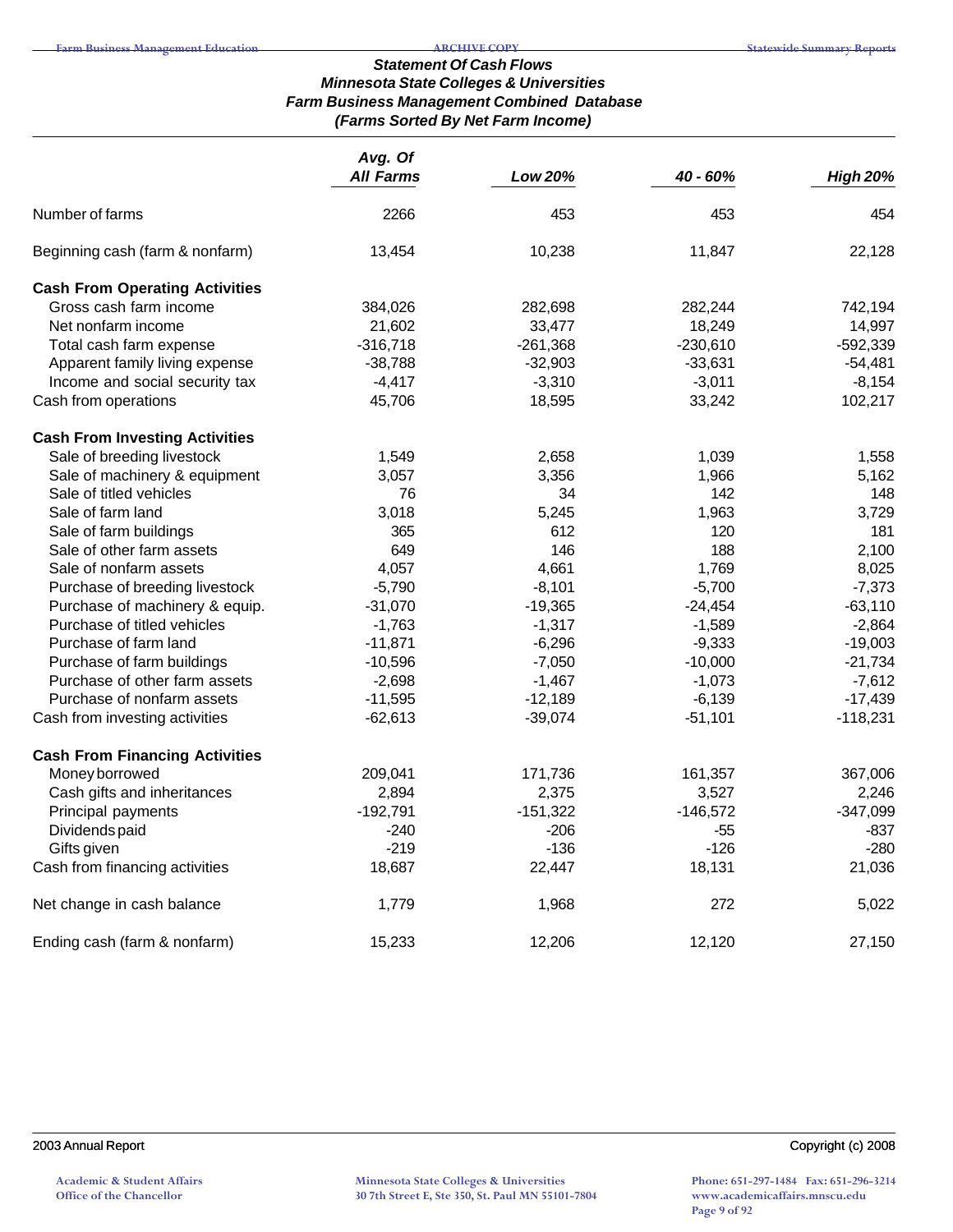### *Statement Of Cash Flows Minnesota State Colleges & Universities Farm Business Management Combined Database (Farms Sorted By Net Farm Income)*

|                                       | Avg. Of<br><b>All Farms</b> | Low 20%    | 40 - 60%   | <b>High 20%</b> |
|---------------------------------------|-----------------------------|------------|------------|-----------------|
| Number of farms                       | 2266                        | 453        | 453        | 454             |
| Beginning cash (farm & nonfarm)       | 13,454                      | 10,238     | 11,847     | 22,128          |
| <b>Cash From Operating Activities</b> |                             |            |            |                 |
| Gross cash farm income                | 384,026                     | 282,698    | 282,244    | 742,194         |
| Net nonfarm income                    | 21,602                      | 33,477     | 18,249     | 14,997          |
| Total cash farm expense               | $-316,718$                  | $-261,368$ | $-230,610$ | $-592,339$      |
| Apparent family living expense        | $-38,788$                   | $-32,903$  | $-33,631$  | $-54,481$       |
| Income and social security tax        | $-4,417$                    | $-3,310$   | $-3,011$   | $-8,154$        |
| Cash from operations                  | 45,706                      | 18,595     | 33,242     | 102,217         |
| <b>Cash From Investing Activities</b> |                             |            |            |                 |
| Sale of breeding livestock            | 1,549                       | 2,658      | 1,039      | 1,558           |
| Sale of machinery & equipment         | 3,057                       | 3,356      | 1,966      | 5,162           |
| Sale of titled vehicles               | 76                          | 34         | 142        | 148             |
| Sale of farm land                     | 3,018                       | 5,245      | 1,963      | 3,729           |
| Sale of farm buildings                | 365                         | 612        | 120        | 181             |
| Sale of other farm assets             | 649                         | 146        | 188        | 2,100           |
| Sale of nonfarm assets                | 4,057                       | 4,661      | 1,769      | 8,025           |
| Purchase of breeding livestock        | $-5,790$                    | $-8,101$   | $-5,700$   | $-7,373$        |
| Purchase of machinery & equip.        | $-31,070$                   | $-19,365$  | $-24,454$  | $-63,110$       |
| Purchase of titled vehicles           | $-1,763$                    | $-1,317$   | $-1,589$   | $-2,864$        |
| Purchase of farm land                 | $-11,871$                   | $-6,296$   | $-9,333$   | $-19,003$       |
| Purchase of farm buildings            | $-10,596$                   | $-7,050$   | $-10,000$  | $-21,734$       |
| Purchase of other farm assets         | $-2,698$                    | $-1,467$   | $-1,073$   | $-7,612$        |
| Purchase of nonfarm assets            | $-11,595$                   | $-12,189$  | $-6,139$   | $-17,439$       |
| Cash from investing activities        | $-62,613$                   | $-39,074$  | $-51,101$  | $-118,231$      |
| <b>Cash From Financing Activities</b> |                             |            |            |                 |
| Money borrowed                        | 209,041                     | 171,736    | 161,357    | 367,006         |
| Cash gifts and inheritances           | 2,894                       | 2,375      | 3,527      | 2,246           |
| Principal payments                    | $-192,791$                  | $-151,322$ | $-146,572$ | $-347,099$      |
| Dividends paid                        | $-240$                      | $-206$     | $-55$      | $-837$          |
| Gifts given                           | $-219$                      | $-136$     | $-126$     | $-280$          |
| Cash from financing activities        | 18,687                      | 22,447     | 18,131     | 21,036          |
| Net change in cash balance            | 1,779                       | 1,968      | 272        | 5,022           |
| Ending cash (farm & nonfarm)          | 15,233                      | 12,206     | 12,120     | 27,150          |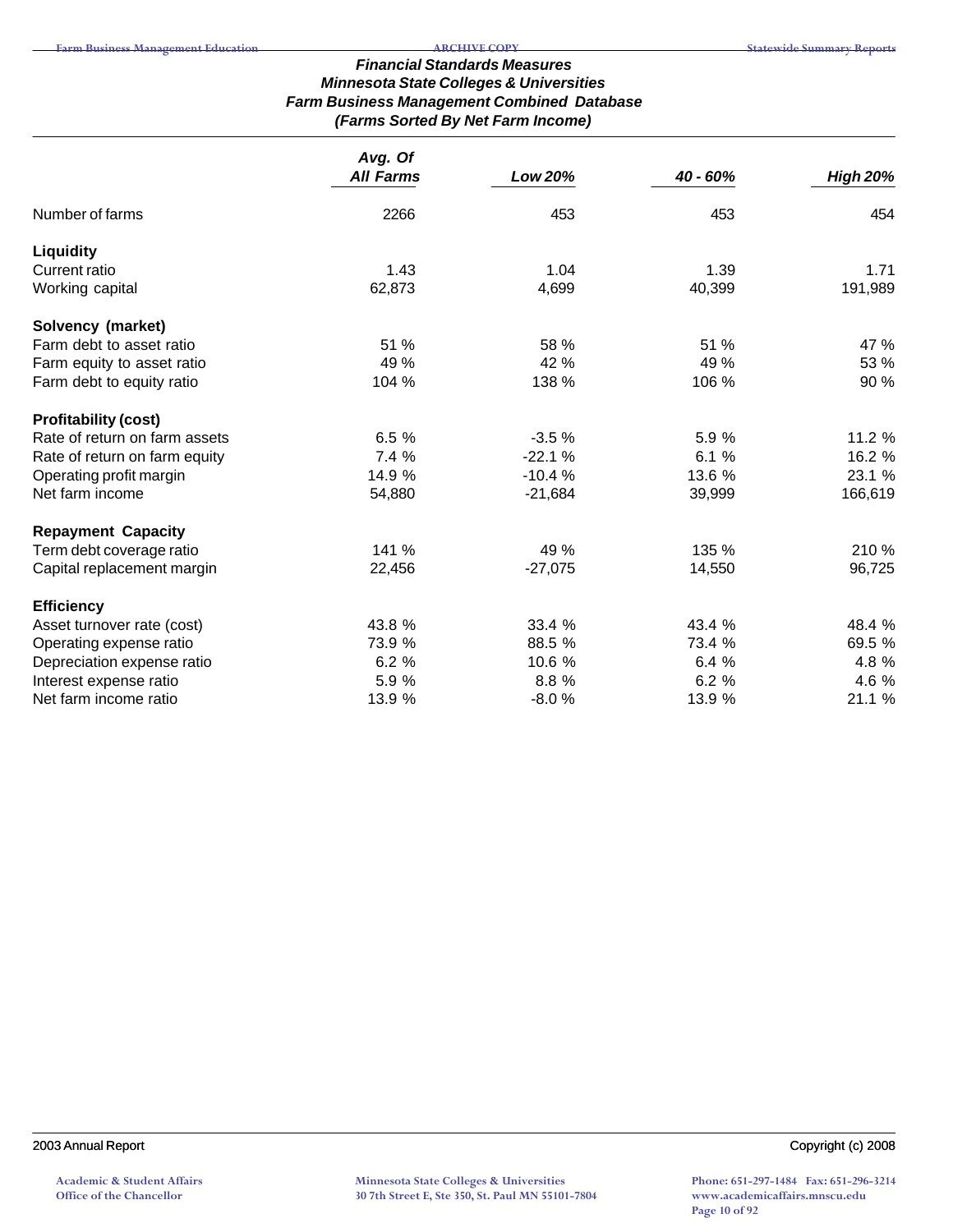## *Financial Standards Measures Minnesota State Colleges & Universities Farm Business Management Combined Database (Farms Sorted By Net Farm Income)*

|                               | Avg. Of          |           |          |                 |
|-------------------------------|------------------|-----------|----------|-----------------|
|                               | <b>All Farms</b> | Low 20%   | 40 - 60% | <b>High 20%</b> |
| Number of farms               | 2266             | 453       | 453      | 454             |
| <b>Liquidity</b>              |                  |           |          |                 |
| Current ratio                 | 1.43             | 1.04      | 1.39     | 1.71            |
| Working capital               | 62,873           | 4,699     | 40,399   | 191,989         |
| Solvency (market)             |                  |           |          |                 |
| Farm debt to asset ratio      | 51 %             | 58 %      | 51 %     | 47 %            |
| Farm equity to asset ratio    | 49 %             | 42 %      | 49 %     | 53 %            |
| Farm debt to equity ratio     | 104 %            | 138 %     | 106 %    | 90 %            |
| <b>Profitability (cost)</b>   |                  |           |          |                 |
| Rate of return on farm assets | 6.5 %            | $-3.5%$   | 5.9 %    | 11.2 %          |
| Rate of return on farm equity | 7.4 %            | $-22.1%$  | 6.1%     | 16.2 %          |
| Operating profit margin       | 14.9 %           | $-10.4%$  | 13.6 %   | 23.1 %          |
| Net farm income               | 54,880           | $-21,684$ | 39,999   | 166,619         |
| <b>Repayment Capacity</b>     |                  |           |          |                 |
| Term debt coverage ratio      | 141 %            | 49 %      | 135 %    | 210 %           |
| Capital replacement margin    | 22,456           | $-27,075$ | 14,550   | 96,725          |
| <b>Efficiency</b>             |                  |           |          |                 |
| Asset turnover rate (cost)    | 43.8 %           | 33.4 %    | 43.4 %   | 48.4 %          |
| Operating expense ratio       | 73.9 %           | 88.5 %    | 73.4 %   | 69.5 %          |
| Depreciation expense ratio    | 6.2 %            | 10.6 %    | 6.4 %    | 4.8 %           |
| Interest expense ratio        | 5.9 %            | 8.8 %     | 6.2 %    | 4.6 %           |
| Net farm income ratio         | 13.9 %           | $-8.0%$   | 13.9 %   | 21.1 %          |

### 2003 Annual Report Copyright (c) 2008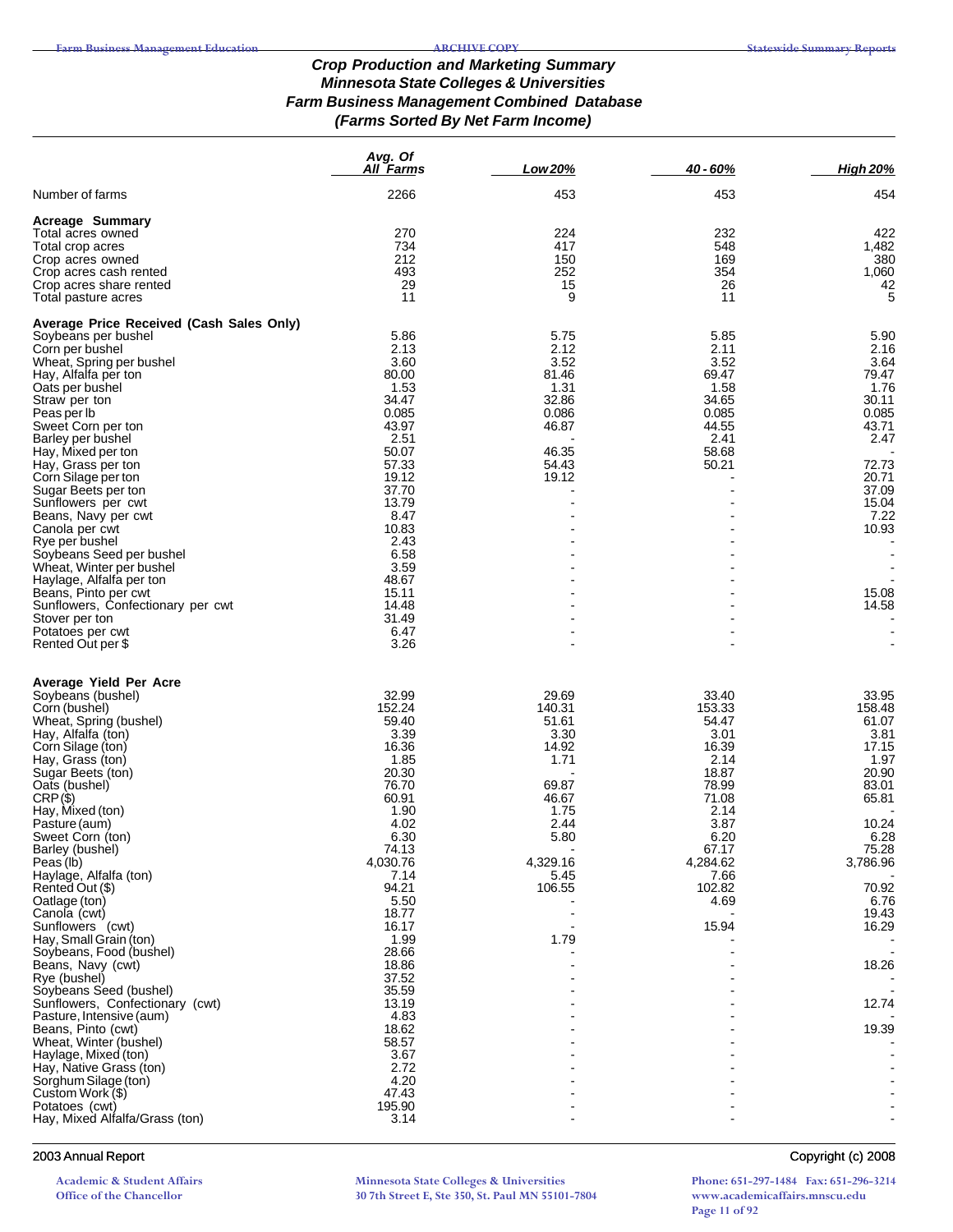### *Crop Production and Marketing Summary Minnesota State Colleges & Universities Farm Business Management Combined Database (Farms Sorted By Net Farm Income)*

|                                                      | Avg. Of<br><b>All Farms</b> | Low 20%        | 40 - 60%       | <b>High 20%</b> |
|------------------------------------------------------|-----------------------------|----------------|----------------|-----------------|
| Number of farms                                      | 2266                        | 453            | 453            | 454             |
| <b>Acreage Summary</b>                               |                             |                |                |                 |
| Total acres owned                                    | 270                         | 224            | 232            | 422             |
| Total crop acres                                     | 734                         | 417            | 548            | 1,482           |
| Crop acres owned                                     | 212                         | 150            | 169            | 380             |
| Crop acres cash rented<br>Crop acres share rented    | 493<br>29                   | 252<br>15      | 354<br>26      | 1,060<br>42     |
| Total pasture acres                                  | 11                          | 9              | 11             | 5               |
| Average Price Received (Cash Sales Only)             |                             |                |                |                 |
| Soybeans per bushel                                  | 5.86                        | 5.75           | 5.85           | 5.90            |
| Corn per bushel<br>Wheat, Spring per bushel          | 2.13<br>3.60                | 2.12<br>3.52   | 2.11<br>3.52   | 2.16<br>3.64    |
| Hay, Alfalfa per ton                                 | 80.00                       | 81.46          | 69.47          | 79.47           |
| Oats per bushel                                      | 1.53                        | 1.31           | 1.58           | 1.76            |
| Straw per ton                                        | 34.47                       | 32.86          | 34.65          | 30.11           |
| Peas per lb                                          | 0.085                       | 0.086          | 0.085          | 0.085           |
| Sweet Corn per ton                                   | 43.97                       | 46.87          | 44.55          | 43.71           |
| Barley per bushel                                    | 2.51                        |                | 2.41           | 2.47            |
| Hay, Mixed per ton<br>Hay, Grass per ton             | 50.07<br>57.33              | 46.35<br>54.43 | 58.68<br>50.21 | 72.73           |
| Corn Silage per ton                                  | 19.12                       | 19.12          |                | 20.71           |
| Sugar Beets per ton                                  | 37.70                       |                |                | 37.09           |
| Sunflowers per cwt                                   | 13.79                       |                |                | 15.04           |
| Beans, Navy per cwt                                  | 8.47                        |                |                | 7.22            |
| Canola per cwt                                       | 10.83                       |                |                | 10.93           |
| Rye per bushel                                       | 2.43                        |                |                |                 |
| Soybeans Seed per bushel                             | 6.58                        |                |                |                 |
| Wheat, Winter per bushel<br>Haylage, Alfalfa per ton | 3.59<br>48.67               |                |                |                 |
| Beans, Pinto per cwt                                 | 15.11                       |                |                | 15.08           |
| Sunflowers, Confectionary per cwt                    | 14.48                       |                |                | 14.58           |
| Stover per ton                                       | 31.49                       |                |                |                 |
| Potatoes per cwt                                     | 6.47                        |                |                |                 |
| Rented Out per \$                                    | 3.26                        |                |                |                 |
| Average Yield Per Acre                               |                             |                |                |                 |
| Soybeans (bushel)                                    | 32.99                       | 29.69          | 33.40          | 33.95           |
| Corn (bushel)                                        | 152.24                      | 140.31         | 153.33         | 158.48          |
| Wheat, Spring (bushel)                               | 59.40                       | 51.61          | 54.47          | 61.07           |
| Hay, Alfalfa (ton)<br>Corn Silage (ton)              | 3.39<br>16.36               | 3.30<br>14.92  | 3.01<br>16.39  | 3.81<br>17.15   |
| Hay, Grass (ton)                                     | 1.85                        | 1.71           | 2.14           | 1.97            |
| Sugar Beets (ton)                                    | 20.30                       |                | 18.87          | 20.90           |
| Oats (bushel)                                        | 76.70                       | 69.87          | 78.99          | 83.01           |
| $CRP(\$)$                                            | 60.91                       | 46.67          | 71.08          | 65.81           |
| Hay, Mixed (ton)                                     | 1.90                        | 1.75           | 2.14           |                 |
| Pasture (aum)                                        | 4.02                        | 2.44           | 3.87           | 10.24           |
| Sweet Corn (ton)                                     | 6.30<br>74.13               | 5.80           | 6.20<br>67.17  | 6.28<br>75.28   |
| Barley (bushel)<br>Peas (lb)                         | 4,030.76                    | 4,329.16       | 4,284.62       | 3,786.96        |
| Haylage, Alfalfa (ton)                               | 7.14                        | 5.45           | 7.66           |                 |
| Rented Out (\$)                                      | 94.21                       | 106.55         | 102.82         | 70.92           |
| Oatlage (ton)                                        | 5.50                        |                | 4.69           | 6.76            |
| Canola (cwt)                                         | 18.77                       |                |                | 19.43           |
| Sunflowers (cwt)                                     | 16.17                       |                | 15.94          | 16.29           |
| Hay, Small Grain (ton)<br>Soybeans, Food (bushel)    | 1.99<br>28.66               | 1.79           |                |                 |
| Beans, Navy (cwt)                                    | 18.86                       |                |                | 18.26           |
| Rye (bushel)                                         | 37.52                       |                |                |                 |
| Soybeans Seed (bushel)                               | 35.59                       |                |                |                 |
| Sunflowers, Confectionary (cwt)                      | 13.19                       |                |                | 12.74           |
| Pasture, Intensive (aum)                             | 4.83                        |                |                |                 |
| Beans, Pinto (cwt)                                   | 18.62                       |                |                | 19.39           |
| Wheat, Winter (bushel)                               | 58.57                       |                |                |                 |
| Haylage, Mixed (ton)                                 | 3.67<br>2.72                |                |                |                 |
| Hay, Native Grass (ton)<br>Sorghum Silage (ton)      | 4.20                        |                |                |                 |
| Custom Work (\$)                                     | 47.43                       |                |                |                 |
| Potatoes (cwt)                                       | 195.90                      |                |                |                 |
| Hay, Mixed Alfalfa/Grass (ton)                       | 3.14                        |                |                |                 |

### 2003 Annual Report Copyright (c) 2008

**Academic & Student Affairs Office of the Chancellor**

**Minnesota State Colleges & Universities 30 7th Street E, Ste 350, St. Paul MN 55101-7804**

**Phone: 651-297-1484 Fax: 651-296-3214 www.academicaffairs.mnscu.edu Page 11 of 92**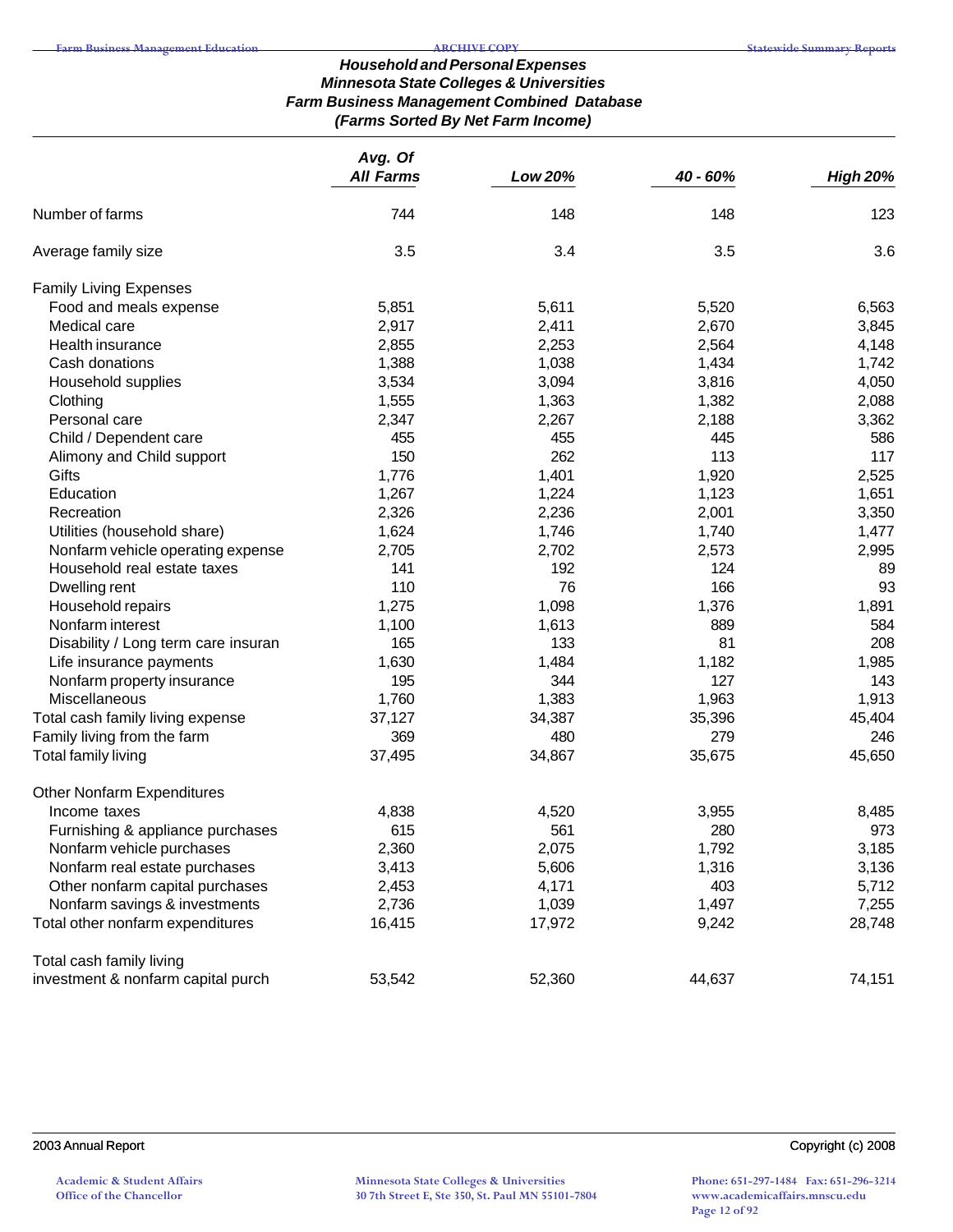### *Household and Personal Expenses Minnesota State Colleges & Universities Farm Business Management Combined Database (Farms Sorted By Net Farm Income)*

|                                     | Avg. Of          |         |          |                 |
|-------------------------------------|------------------|---------|----------|-----------------|
|                                     | <b>All Farms</b> | Low 20% | 40 - 60% | <b>High 20%</b> |
| Number of farms                     | 744              | 148     | 148      | 123             |
| Average family size                 | 3.5              | 3.4     | 3.5      | 3.6             |
| <b>Family Living Expenses</b>       |                  |         |          |                 |
| Food and meals expense              | 5,851            | 5,611   | 5,520    | 6,563           |
| Medical care                        | 2,917            | 2,411   | 2,670    | 3,845           |
| Health insurance                    | 2,855            | 2,253   | 2,564    | 4,148           |
| Cash donations                      | 1,388            | 1,038   | 1,434    | 1,742           |
| Household supplies                  | 3,534            | 3,094   | 3,816    | 4,050           |
| Clothing                            | 1,555            | 1,363   | 1,382    | 2,088           |
| Personal care                       | 2,347            | 2,267   | 2,188    | 3,362           |
| Child / Dependent care              | 455              | 455     | 445      | 586             |
| Alimony and Child support           | 150              | 262     | 113      | 117             |
| Gifts                               | 1,776            | 1,401   | 1,920    | 2,525           |
| Education                           | 1,267            | 1,224   | 1,123    | 1,651           |
| Recreation                          | 2,326            | 2,236   | 2,001    | 3,350           |
| Utilities (household share)         | 1,624            | 1,746   | 1,740    | 1,477           |
| Nonfarm vehicle operating expense   | 2,705            | 2,702   | 2,573    | 2,995           |
| Household real estate taxes         | 141              | 192     | 124      | 89              |
| Dwelling rent                       | 110              | 76      | 166      | 93              |
| Household repairs                   | 1,275            | 1,098   | 1,376    | 1,891           |
| Nonfarm interest                    | 1,100            | 1,613   | 889      | 584             |
| Disability / Long term care insuran | 165              | 133     | 81       | 208             |
| Life insurance payments             | 1,630            | 1,484   | 1,182    | 1,985           |
| Nonfarm property insurance          | 195              | 344     | 127      | 143             |
| Miscellaneous                       | 1,760            | 1,383   | 1,963    | 1,913           |
| Total cash family living expense    | 37,127           | 34,387  | 35,396   | 45,404          |
| Family living from the farm         | 369              | 480     | 279      | 246             |
| <b>Total family living</b>          | 37,495           | 34,867  | 35,675   | 45,650          |
| Other Nonfarm Expenditures          |                  |         |          |                 |
| Income taxes                        | 4,838            | 4,520   | 3,955    | 8,485           |
| Furnishing & appliance purchases    | 615              | 561     | 280      | 973             |
| Nonfarm vehicle purchases           | 2,360            | 2,075   | 1,792    | 3,185           |
| Nonfarm real estate purchases       | 3,413            | 5,606   | 1,316    | 3,136           |
| Other nonfarm capital purchases     | 2,453            | 4,171   | 403      | 5,712           |
| Nonfarm savings & investments       | 2,736            | 1,039   | 1,497    | 7,255           |
| Total other nonfarm expenditures    | 16,415           | 17,972  | 9,242    | 28,748          |
| Total cash family living            |                  |         |          |                 |
| investment & nonfarm capital purch  | 53,542           | 52,360  | 44,637   | 74,151          |

### 2003 Annual Report Copyright (c) 2008

**Academic & Student Affairs Office of the Chancellor**

**Phone: 651-297-1484 Fax: 651-296-3214 www.academicaffairs.mnscu.edu Page 12 of 92**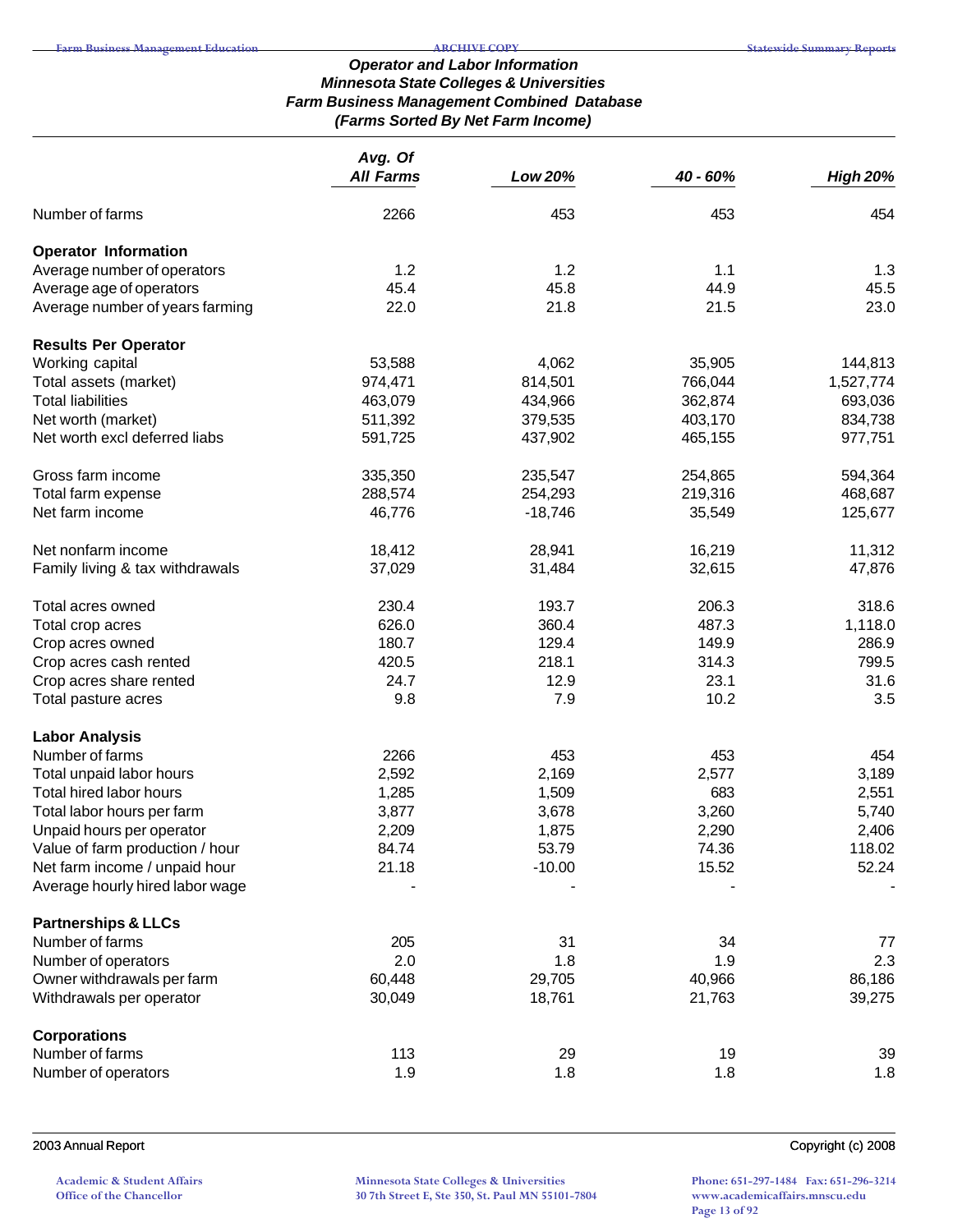### *Operator and Labor Information Minnesota State Colleges & Universities Farm Business Management Combined Database (Farms Sorted By Net Farm Income)*

|                                 | Avg. Of          |           |          |                 |  |
|---------------------------------|------------------|-----------|----------|-----------------|--|
|                                 | <b>All Farms</b> | Low 20%   | 40 - 60% | <b>High 20%</b> |  |
| Number of farms                 | 2266             | 453       | 453      | 454             |  |
| <b>Operator Information</b>     |                  |           |          |                 |  |
| Average number of operators     | 1.2              | 1.2       | 1.1      | 1.3             |  |
| Average age of operators        | 45.4             | 45.8      | 44.9     | 45.5            |  |
| Average number of years farming | 22.0             | 21.8      | 21.5     | 23.0            |  |
| <b>Results Per Operator</b>     |                  |           |          |                 |  |
| Working capital                 | 53,588           | 4,062     | 35,905   | 144,813         |  |
| Total assets (market)           | 974,471          | 814,501   | 766,044  | 1,527,774       |  |
| <b>Total liabilities</b>        | 463,079          | 434,966   | 362,874  | 693,036         |  |
| Net worth (market)              | 511,392          | 379,535   | 403,170  | 834,738         |  |
| Net worth excl deferred liabs   | 591,725          | 437,902   | 465,155  | 977,751         |  |
| Gross farm income               | 335,350          | 235,547   | 254,865  | 594,364         |  |
| Total farm expense              | 288,574          | 254,293   | 219,316  | 468,687         |  |
| Net farm income                 | 46,776           | $-18,746$ | 35,549   | 125,677         |  |
| Net nonfarm income              | 18,412           | 28,941    | 16,219   | 11,312          |  |
| Family living & tax withdrawals | 37,029           | 31,484    | 32,615   | 47,876          |  |
| Total acres owned               | 230.4            | 193.7     | 206.3    | 318.6           |  |
| Total crop acres                | 626.0            | 360.4     | 487.3    | 1,118.0         |  |
| Crop acres owned                | 180.7            | 129.4     | 149.9    | 286.9           |  |
| Crop acres cash rented          | 420.5            | 218.1     | 314.3    | 799.5           |  |
| Crop acres share rented         | 24.7             | 12.9      | 23.1     | 31.6            |  |
| Total pasture acres             | 9.8              | 7.9       | 10.2     | 3.5             |  |
| <b>Labor Analysis</b>           |                  |           |          |                 |  |
| Number of farms                 | 2266             | 453       | 453      | 454             |  |
| Total unpaid labor hours        | 2,592            | 2,169     | 2,577    | 3,189           |  |
| Total hired labor hours         | 1,285            | 1,509     | 683      | 2,551           |  |
| Total labor hours per farm      | 3,877            | 3,678     | 3,260    | 5,740           |  |
| Unpaid hours per operator       | 2,209            | 1,875     | 2,290    | 2,406           |  |
| Value of farm production / hour | 84.74            | 53.79     | 74.36    | 118.02          |  |
| Net farm income / unpaid hour   | 21.18            | $-10.00$  | 15.52    | 52.24           |  |
| Average hourly hired labor wage |                  |           |          |                 |  |
| <b>Partnerships &amp; LLCs</b>  |                  |           |          |                 |  |
| Number of farms                 | 205              | 31        | 34       | 77              |  |
| Number of operators             | 2.0              | 1.8       | 1.9      | 2.3             |  |
| Owner withdrawals per farm      | 60,448           | 29,705    | 40,966   | 86,186          |  |
| Withdrawals per operator        | 30,049           | 18,761    | 21,763   | 39,275          |  |
| <b>Corporations</b>             |                  |           |          |                 |  |
| Number of farms                 | 113              | 29        | 19       | 39              |  |
| Number of operators             | 1.9              | 1.8       | 1.8      | 1.8             |  |

**Academic & Student Affairs Office of the Chancellor**

**Minnesota State Colleges & Universities 30 7th Street E, Ste 350, St. Paul MN 55101-7804**

2003 Annual Report Copyright (c) 2008

**Phone: 651-297-1484 Fax: 651-296-3214 www.academicaffairs.mnscu.edu Page 13 of 92**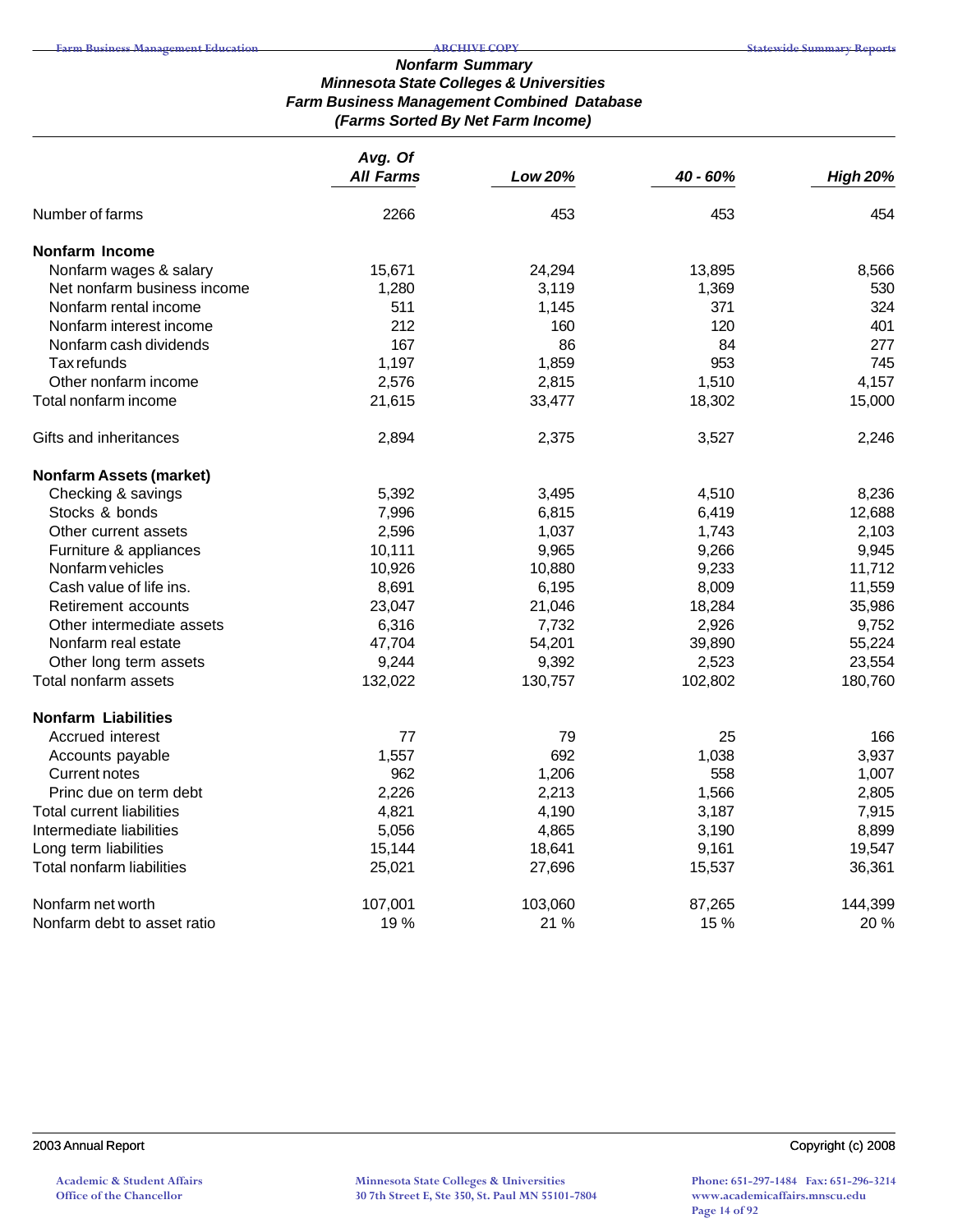### *Nonfarm Summary Minnesota State Colleges & Universities Farm Business Management Combined Database (Farms Sorted By Net Farm Income)*

|                                | Avg. Of<br><b>All Farms</b> | <b>Low 20%</b> | 40 - 60% | <b>High 20%</b> |
|--------------------------------|-----------------------------|----------------|----------|-----------------|
|                                |                             |                |          |                 |
| Number of farms                | 2266                        | 453            | 453      | 454             |
| <b>Nonfarm Income</b>          |                             |                |          |                 |
| Nonfarm wages & salary         | 15,671                      | 24,294         | 13,895   | 8,566           |
| Net nonfarm business income    | 1,280                       | 3,119          | 1,369    | 530             |
| Nonfarm rental income          | 511                         | 1,145          | 371      | 324             |
| Nonfarm interest income        | 212                         | 160            | 120      | 401             |
| Nonfarm cash dividends         | 167                         | 86             | 84       | 277             |
| Tax refunds                    | 1,197                       | 1,859          | 953      | 745             |
| Other nonfarm income           | 2,576                       | 2,815          | 1,510    | 4,157           |
| Total nonfarm income           | 21,615                      | 33,477         | 18,302   | 15,000          |
| Gifts and inheritances         | 2,894                       | 2,375          | 3,527    | 2,246           |
| <b>Nonfarm Assets (market)</b> |                             |                |          |                 |
| Checking & savings             | 5,392                       | 3,495          | 4,510    | 8,236           |
| Stocks & bonds                 | 7,996                       | 6,815          | 6,419    | 12,688          |
| Other current assets           | 2,596                       | 1,037          | 1,743    | 2,103           |
| Furniture & appliances         | 10,111                      | 9,965          | 9,266    | 9,945           |
| Nonfarm vehicles               | 10,926                      | 10,880         | 9,233    | 11,712          |
| Cash value of life ins.        | 8,691                       | 6,195          | 8,009    | 11,559          |
| Retirement accounts            | 23,047                      | 21,046         | 18,284   | 35,986          |
| Other intermediate assets      | 6,316                       | 7,732          | 2,926    | 9,752           |
| Nonfarm real estate            | 47,704                      | 54,201         | 39,890   | 55,224          |
| Other long term assets         | 9,244                       | 9,392          | 2,523    | 23,554          |
| Total nonfarm assets           | 132,022                     | 130,757        | 102,802  | 180,760         |
| <b>Nonfarm Liabilities</b>     |                             |                |          |                 |
| Accrued interest               | 77                          | 79             | 25       | 166             |
| Accounts payable               | 1,557                       | 692            | 1,038    | 3,937           |
| <b>Current notes</b>           | 962                         | 1,206          | 558      | 1,007           |
| Princ due on term debt         | 2,226                       | 2,213          | 1,566    | 2,805           |
| Total current liabilities      | 4,821                       | 4,190          | 3,187    | 7,915           |
| Intermediate liabilities       | 5,056                       | 4,865          | 3,190    | 8,899           |
| Long term liabilities          | 15,144                      | 18,641         | 9,161    | 19,547          |
| Total nonfarm liabilities      | 25,021                      | 27,696         | 15,537   | 36,361          |
| Nonfarm net worth              | 107,001                     | 103,060        | 87,265   | 144,399         |
| Nonfarm debt to asset ratio    | 19%                         | 21 %           | 15 %     | 20 %            |

**Academic & Student Affairs Office of the Chancellor**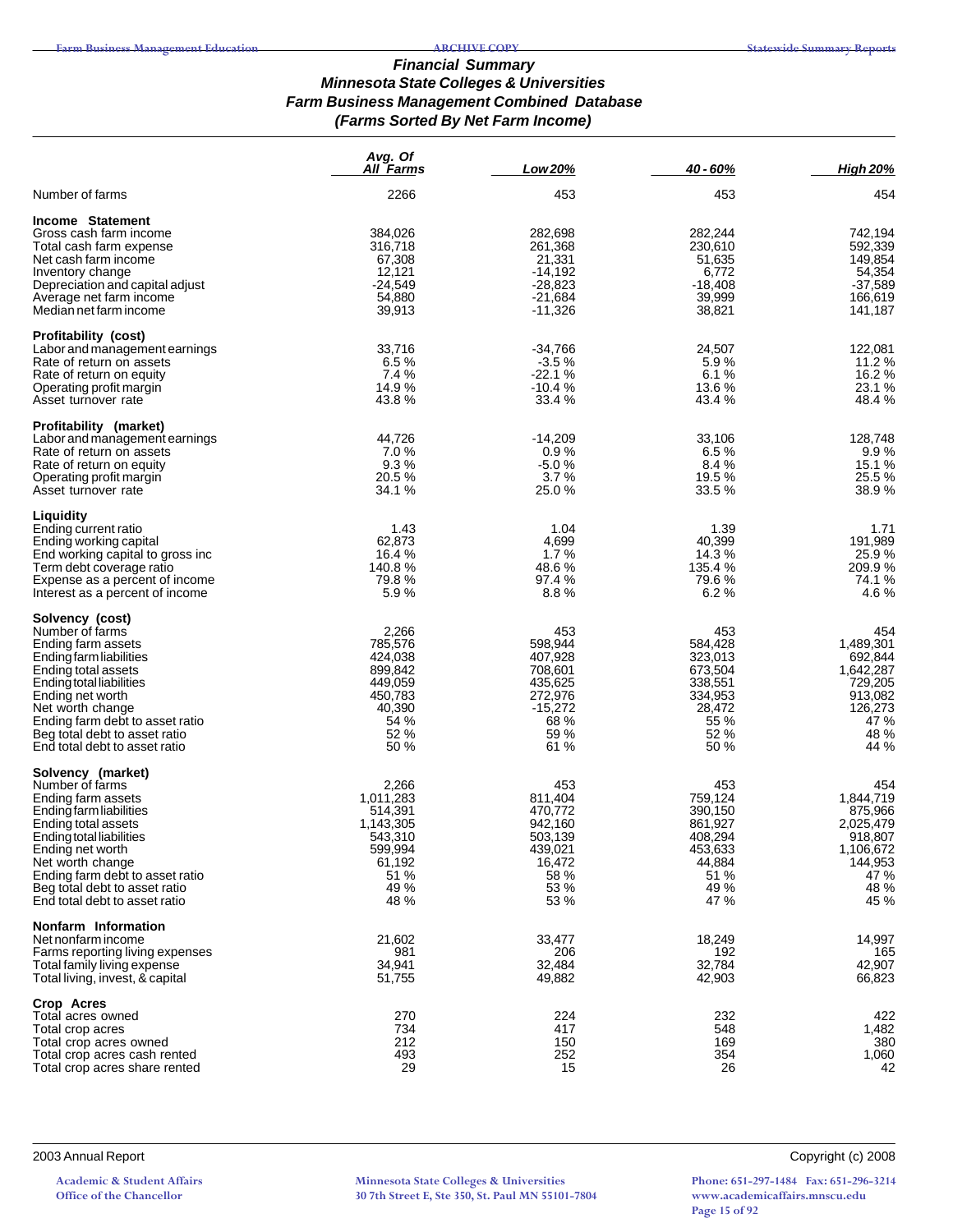### *Financial Summary Minnesota State Colleges & Universities Farm Business Management Combined Database (Farms Sorted By Net Farm Income)*

|                                                                                                                                                                                                                                                                                       | Avg. Of<br>All Farms                                                                               | Low 20%                                                                                         | 40 - 60%                                                                                     | <b>High 20%</b>                                                                                     |
|---------------------------------------------------------------------------------------------------------------------------------------------------------------------------------------------------------------------------------------------------------------------------------------|----------------------------------------------------------------------------------------------------|-------------------------------------------------------------------------------------------------|----------------------------------------------------------------------------------------------|-----------------------------------------------------------------------------------------------------|
| Number of farms                                                                                                                                                                                                                                                                       | 2266                                                                                               | 453                                                                                             | 453                                                                                          | 454                                                                                                 |
| Income Statement<br>Gross cash farm income<br>Total cash farm expense<br>Net cash farm income<br>Inventory change<br>Depreciation and capital adjust<br>Average net farm income<br>Median net farm income                                                                             | 384,026<br>316,718<br>67,308<br>12,121<br>$-24,549$<br>54,880<br>39,913                            | 282,698<br>261,368<br>21,331<br>$-14,192$<br>$-28,823$<br>$-21,684$<br>$-11,326$                | 282,244<br>230,610<br>51,635<br>6,772<br>$-18,408$<br>39,999<br>38,821                       | 742.194<br>592,339<br>149,854<br>54,354<br>$-37,589$<br>166,619<br>141,187                          |
| <b>Profitability (cost)</b><br>Labor and management earnings<br>Rate of return on assets<br>Rate of return on equity<br>Operating profit margin<br>Asset turnover rate                                                                                                                | 33,716<br>6.5%<br>7.4 %<br>14.9 %<br>43.8%                                                         | -34,766<br>$-3.5%$<br>$-22.1%$<br>$-10.4%$<br>33.4 %                                            | 24,507<br>5.9%<br>6.1%<br>13.6 %<br>43.4 %                                                   | 122,081<br>11.2 %<br>16.2%<br>23.1 %<br>48.4 %                                                      |
| Profitability (market)<br>Labor and management earnings<br>Rate of return on assets<br>Rate of return on equity<br>Operating profit margin<br>Asset turnover rate                                                                                                                     | 44,726<br>7.0%<br>9.3%<br>20.5%<br>34.1 %                                                          | $-14,209$<br>0.9%<br>$-5.0%$<br>3.7%<br>25.0%                                                   | 33,106<br>6.5%<br>8.4 %<br>19.5%<br>33.5 %                                                   | 128,748<br>9.9%<br>15.1 %<br>25.5%<br>38.9%                                                         |
| Liquidity<br>Ending current ratio<br>Ending working capital<br>End working capital to gross inc<br>Term debt coverage ratio<br>Expense as a percent of income<br>Interest as a percent of income                                                                                      | 1.43<br>62,873<br>16.4 %<br>140.8%<br>79.8%<br>5.9%                                                | 1.04<br>4,699<br>1.7%<br>48.6%<br>97.4 %<br>8.8%                                                | 1.39<br>40,399<br>14.3 %<br>135.4 %<br>79.6%<br>6.2%                                         | 1.71<br>191,989<br>25.9%<br>209.9%<br>74.1 %<br>4.6%                                                |
| Solvency (cost)<br>Number of farms<br>Ending farm assets<br>Ending farm liabilities<br>Ending total assets<br>Ending total liabilities<br>Ending net worth<br>Net worth change<br>Ending farm debt to asset ratio<br>Beg total debt to asset ratio<br>End total debt to asset ratio   | 2,266<br>785,576<br>424,038<br>899,842<br>449,059<br>450,783<br>40,390<br>54 %<br>52 %<br>50 %     | 453<br>598,944<br>407,928<br>708,601<br>435,625<br>272,976<br>$-15,272$<br>68 %<br>59 %<br>61 % | 453<br>584,428<br>323,013<br>673,504<br>338,551<br>334,953<br>28,472<br>55 %<br>52 %<br>50 % | 454<br>1,489,301<br>692,844<br>1,642,287<br>729,205<br>913,082<br>126,273<br>47 %<br>48 %<br>44 %   |
| Solvency (market)<br>Number of farms<br>Ending farm assets<br>Ending farm liabilities<br>Ending total assets<br>Ending total liabilities<br>Ending net worth<br>Net worth change<br>Ending farm debt to asset ratio<br>Beg total debt to asset ratio<br>End total debt to asset ratio | 2,266<br>1,011,283<br>514,391<br>1,143,305<br>543,310<br>599,994<br>61,192<br>51 %<br>49 %<br>48 % | 453<br>811,404<br>470.772<br>942,160<br>503,139<br>439,021<br>16,472<br>58 %<br>53 %<br>53 %    | 453<br>759,124<br>390,150<br>861,927<br>408,294<br>453,633<br>44,884<br>51 %<br>49 %<br>47 % | 454<br>1,844,719<br>875,966<br>2,025,479<br>918,807<br>1,106,672<br>144,953<br>47 %<br>48 %<br>45 % |
| Nonfarm Information<br>Net nonfarm income<br>Farms reporting living expenses<br>Total family living expense<br>Total living, invest, & capital                                                                                                                                        | 21,602<br>981<br>34,941<br>51,755                                                                  | 33,477<br>206<br>32,484<br>49,882                                                               | 18,249<br>192<br>32,784<br>42,903                                                            | 14,997<br>165<br>42,907<br>66,823                                                                   |
| Crop Acres<br>Total acres owned<br>Total crop acres<br>Total crop acres owned<br>Total crop acres cash rented<br>Total crop acres share rented                                                                                                                                        | 270<br>734<br>212<br>493<br>29                                                                     | 224<br>417<br>150<br>252<br>15                                                                  | 232<br>548<br>169<br>354<br>26                                                               | 422<br>1,482<br>380<br>1,060<br>42                                                                  |

2003 Annual Report Copyright (c) 2008

**Academic & Student Affairs Office of the Chancellor**

**Minnesota State Colleges & Universities 30 7th Street E, Ste 350, St. Paul MN 55101-7804**

**Phone: 651-297-1484 Fax: 651-296-3214 www.academicaffairs.mnscu.edu Page 15 of 92**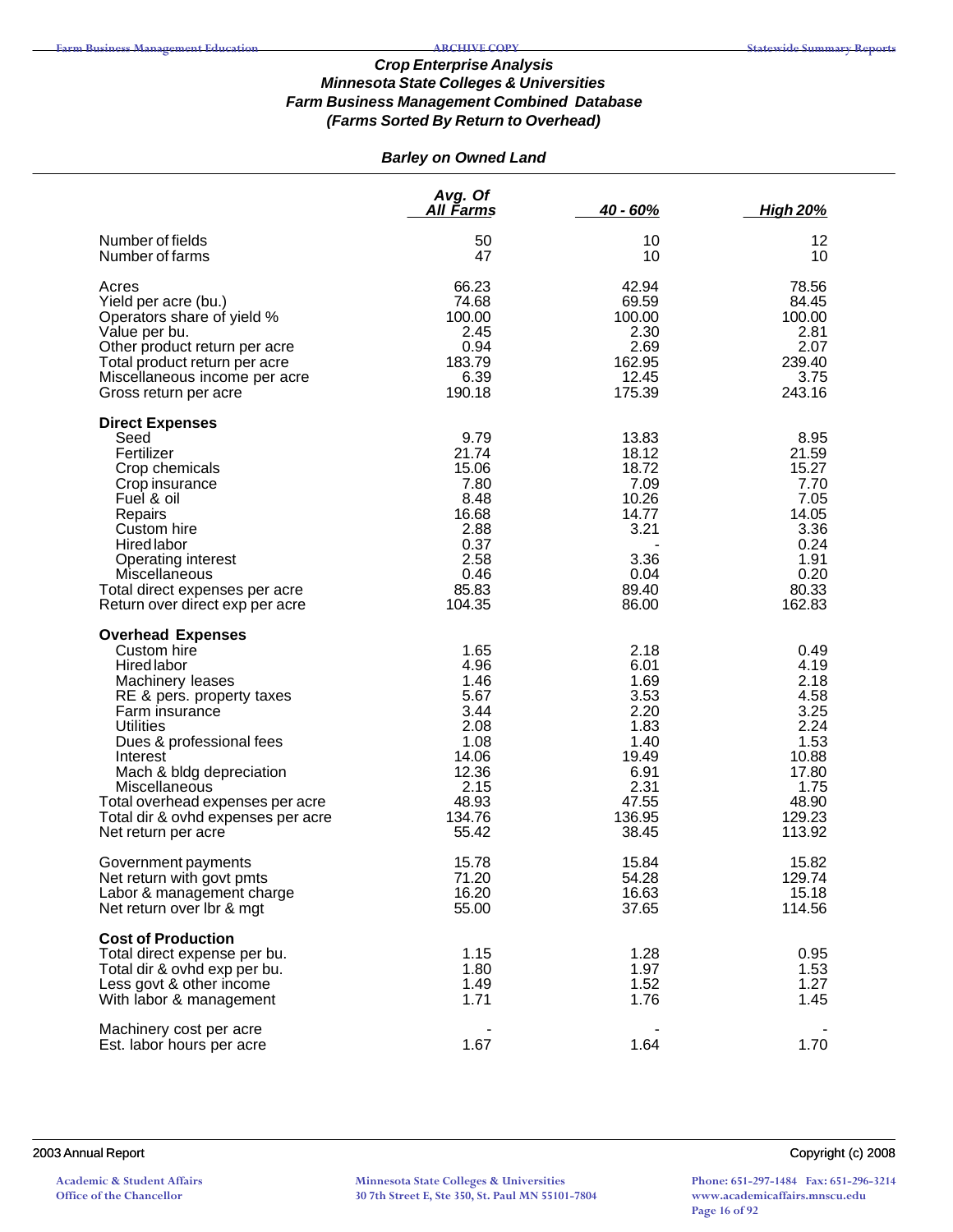# *Barley on Owned Land*

|                                                        | Avg. Of<br>All Farms | $40 - 60%$      | <b>High 20%</b> |
|--------------------------------------------------------|----------------------|-----------------|-----------------|
| Number of fields<br>Number of farms                    | 50<br>47             | 10<br>10        | 12<br>10        |
|                                                        |                      |                 |                 |
| Acres                                                  | 66.23                | 42.94           | 78.56           |
| Yield per acre (bu.)                                   | 74.68                | 69.59           | 84.45           |
| Operators share of yield %                             | 100.00               | 100.00          | 100.00          |
| Value per bu.                                          | 2.45                 | 2.30            | 2.81            |
| Other product return per acre                          | 0.94                 | 2.69            | 2.07            |
| Total product return per acre                          | 183.79               | 162.95<br>12.45 | 239.40<br>3.75  |
| Miscellaneous income per acre<br>Gross return per acre | 6.39<br>190.18       | 175.39          | 243.16          |
| <b>Direct Expenses</b>                                 |                      |                 |                 |
| Seed                                                   | 9.79                 | 13.83           | 8.95            |
| Fertilizer                                             | 21.74                | 18.12           | 21.59           |
| Crop chemicals                                         | 15.06                | 18.72           | 15.27           |
| Crop insurance                                         | 7.80                 | 7.09            | 7.70            |
| Fuel & oil                                             | 8.48                 | 10.26           | 7.05            |
| Repairs                                                | 16.68                | 14.77           | 14.05           |
| Custom hire                                            | 2.88                 | 3.21            | 3.36            |
| Hired labor                                            | 0.37                 |                 | 0.24            |
| Operating interest                                     | 2.58                 | 3.36            | 1.91            |
| Miscellaneous                                          | 0.46                 | 0.04            | 0.20            |
| Total direct expenses per acre                         | 85.83                | 89.40           | 80.33           |
| Return over direct exp per acre                        | 104.35               | 86.00           | 162.83          |
| <b>Overhead Expenses</b>                               |                      |                 |                 |
| Custom hire                                            | 1.65                 | 2.18            | 0.49            |
| Hired labor                                            | 4.96                 | 6.01            | 4.19            |
| Machinery leases                                       | 1.46                 | 1.69            | 2.18            |
| RE & pers. property taxes                              | 5.67                 | 3.53            | 4.58            |
| Farm insurance                                         | 3.44                 | 2.20            | 3.25            |
| <b>Utilities</b>                                       | 2.08                 | 1.83            | 2.24            |
| Dues & professional fees                               | 1.08                 | 1.40            | 1.53            |
| Interest                                               | 14.06                | 19.49           | 10.88           |
| Mach & bldg depreciation                               | 12.36                | 6.91            | 17.80           |
| Miscellaneous                                          | 2.15                 | 2.31            | 1.75            |
| Total overhead expenses per acre                       | 48.93                | 47.55           | 48.90<br>129.23 |
| Total dir & ovhd expenses per acre                     | 134.76<br>55.42      | 136.95<br>38.45 | 113.92          |
| Net return per acre                                    |                      |                 |                 |
| Government payments                                    | 15.78                | 15.84           | 15.82           |
| Net return with govt pmts                              | 71.20                | 54.28           | 129.74          |
| Labor & management charge                              | 16.20                | 16.63           | 15.18           |
| Net return over Ibr & mgt                              | 55.00                | 37.65           | 114.56          |
| <b>Cost of Production</b>                              |                      |                 |                 |
| Total direct expense per bu.                           | 1.15                 | 1.28            | 0.95            |
| Total dir & ovhd exp per bu.                           | 1.80                 | 1.97            | 1.53            |
| Less govt & other income                               | 1.49                 | 1.52            | 1.27            |
| With labor & management                                | 1.71                 | 1.76            | 1.45            |
| Machinery cost per acre                                |                      |                 |                 |
| Est. labor hours per acre                              | 1.67                 | 1.64            | 1.70            |

**Minnesota State Colleges & Universities 30 7th Street E, Ste 350, St. Paul MN 55101-7804**

**Phone: 651-297-1484 Fax: 651-296-3214 www.academicaffairs.mnscu.edu Page 16 of 92**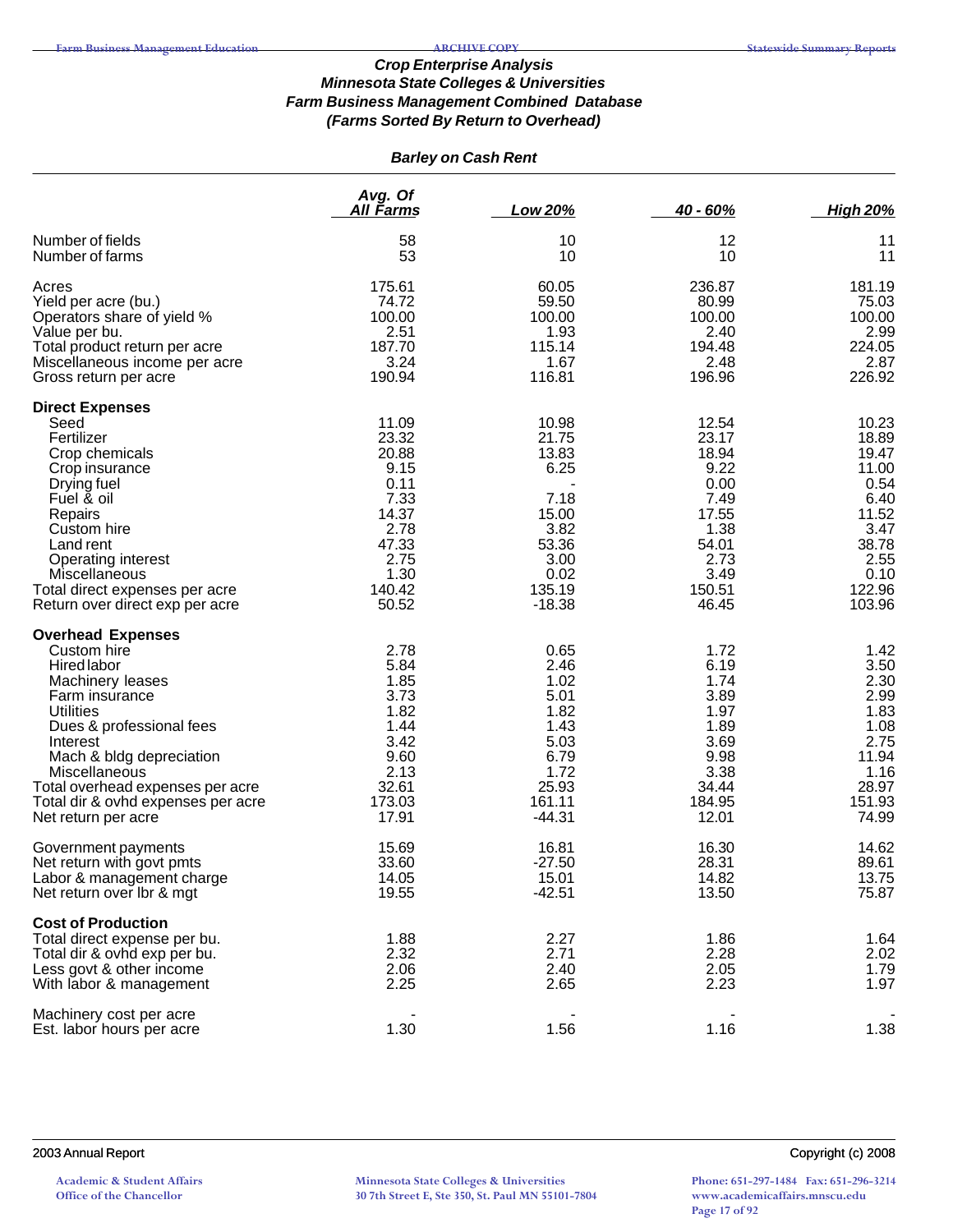## *Barley on Cash Rent*

|                                                                        | Avg. Of<br>All Farms | Low 20%           | $40 - 60%$     | <b>High 20%</b> |
|------------------------------------------------------------------------|----------------------|-------------------|----------------|-----------------|
|                                                                        | 58                   |                   |                |                 |
| Number of fields<br>Number of farms                                    | 53                   | 10<br>10          | 12<br>10       | 11<br>11        |
| Acres                                                                  | 175.61               | 60.05             | 236.87         | 181.19          |
| Yield per acre (bu.)                                                   | 74.72                | 59.50             | 80.99          | 75.03           |
| Operators share of yield %                                             | 100.00<br>2.51       | 100.00<br>1.93    | 100.00<br>2.40 | 100.00<br>2.99  |
| Value per bu.<br>Total product return per acre                         | 187.70               | 115.14            | 194.48         | 224.05          |
| Miscellaneous income per acre                                          | 3.24                 | 1.67              | 2.48           | 2.87            |
| Gross return per acre                                                  | 190.94               | 116.81            | 196.96         | 226.92          |
| <b>Direct Expenses</b>                                                 |                      |                   |                |                 |
| Seed                                                                   | 11.09                | 10.98             | 12.54          | 10.23           |
| Fertilizer                                                             | 23.32<br>20.88       | 21.75<br>13.83    | 23.17<br>18.94 | 18.89<br>19.47  |
| Crop chemicals<br>Crop insurance                                       | 9.15                 | 6.25              | 9.22           | 11.00           |
| Drying fuel                                                            | 0.11                 |                   | 0.00           | 0.54            |
| Fuel & oil                                                             | 7.33                 | 7.18              | 7.49           | 6.40            |
| Repairs                                                                | 14.37                | 15.00             | 17.55          | 11.52           |
| Custom hire                                                            | 2.78                 | 3.82              | 1.38           | 3.47            |
| Land rent                                                              | 47.33                | 53.36             | 54.01          | 38.78           |
| <b>Operating interest</b><br>Miscellaneous                             | 2.75<br>1.30         | 3.00<br>0.02      | 2.73<br>3.49   | 2.55<br>0.10    |
| Total direct expenses per acre                                         | 140.42               | 135.19            | 150.51         | 122.96          |
| Return over direct exp per acre                                        | 50.52                | $-18.38$          | 46.45          | 103.96          |
| <b>Overhead Expenses</b>                                               |                      |                   |                |                 |
| Custom hire                                                            | 2.78                 | 0.65              | 1.72           | 1.42            |
| <b>Hired labor</b>                                                     | 5.84<br>1.85         | 2.46              | 6.19<br>1.74   | 3.50<br>2.30    |
| Machinery leases<br>Farm insurance                                     | 3.73                 | 1.02<br>5.01      | 3.89           | 2.99            |
| <b>Utilities</b>                                                       | 1.82                 | 1.82              | 1.97           | 1.83            |
| Dues & professional fees                                               | 1.44                 | 1.43              | 1.89           | 1.08            |
| Interest                                                               | 3.42                 | 5.03              | 3.69           | 2.75            |
| Mach & bldg depreciation                                               | 9.60                 | 6.79              | 9.98           | 11.94           |
| Miscellaneous                                                          | 2.13<br>32.61        | 1.72<br>25.93     | 3.38<br>34.44  | 1.16<br>28.97   |
| Total overhead expenses per acre<br>Total dir & ovhd expenses per acre | 173.03               | 161.11            | 184.95         | 151.93          |
| Net return per acre                                                    | 17.91                | $-44.31$          | 12.01          | 74.99           |
| Government payments                                                    | 15.69                | 16.81             | 16.30          | 14.62           |
| Net return with govt pmts                                              | 33.60                | $-27.50$          | 28.31          | 89.61           |
| Labor & management charge<br>Net return over Ibr & mgt                 | 14.05<br>19.55       | 15.01<br>$-42.51$ | 14.82<br>13.50 | 13.75<br>75.87  |
| <b>Cost of Production</b>                                              |                      |                   |                |                 |
| Total direct expense per bu.                                           | 1.88                 | 2.27              | 1.86           | 1.64            |
| Total dir & ovhd exp per bu.                                           | 2.32                 | 2.71              | 2.28           | 2.02            |
| Less govt & other income                                               | 2.06                 | 2.40              | 2.05           | 1.79            |
| With labor & management                                                | 2.25                 | 2.65              | 2.23           | 1.97            |
| Machinery cost per acre<br>Est. labor hours per acre                   | 1.30                 | 1.56              | 1.16           | 1.38            |
|                                                                        |                      |                   |                |                 |

**Academic & Student Affairs Office of the Chancellor**

**Minnesota State Colleges & Universities 30 7th Street E, Ste 350, St. Paul MN 55101-7804** **Phone: 651-297-1484 Fax: 651-296-3214 www.academicaffairs.mnscu.edu Page 17 of 92**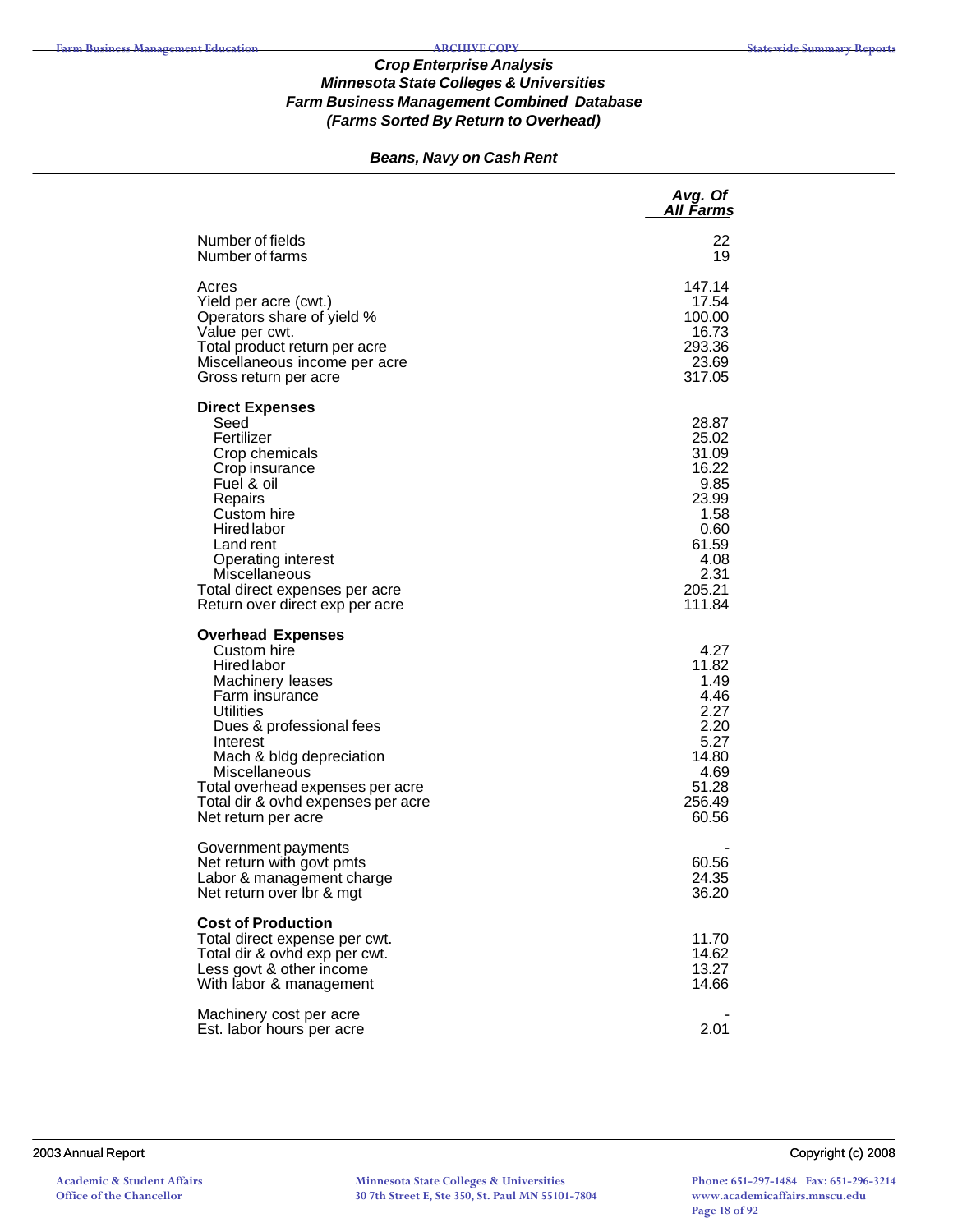## *Beans, Navy on Cash Rent*

|                                                                                                                                                                                                                                                                                                        | Avg. Of<br>All Farms                                                                                           |
|--------------------------------------------------------------------------------------------------------------------------------------------------------------------------------------------------------------------------------------------------------------------------------------------------------|----------------------------------------------------------------------------------------------------------------|
| Number of fields<br>Number of farms                                                                                                                                                                                                                                                                    | 22<br>19                                                                                                       |
| Acres<br>Yield per acre (cwt.)<br>Operators share of yield %<br>Value per cwt.<br>Total product return per acre<br>Miscellaneous income per acre<br>Gross return per acre                                                                                                                              | 147.14<br>17.54<br>100.00<br>16.73<br>293.36<br>23.69<br>317.05                                                |
| <b>Direct Expenses</b><br>Seed<br>Fertilizer<br>Crop chemicals<br>Crop insurance<br>Fuel & oil<br>Repairs<br>Custom hire<br><b>Hired</b> labor<br>Land rent<br><b>Operating interest</b><br>Miscellaneous<br>Total direct expenses per acre<br>Return over direct exp per acre                         | 28.87<br>25.02<br>31.09<br>16.22<br>9.85<br>23.99<br>1.58<br>0.60<br>61.59<br>4.08<br>2.31<br>205.21<br>111.84 |
| <b>Overhead Expenses</b><br>Custom hire<br><b>Hired labor</b><br>Machinery leases<br>Farm insurance<br>Utilities<br>Dues & professional fees<br>Interest<br>Mach & bldg depreciation<br>Miscellaneous<br>Total overhead expenses per acre<br>Total dir & ovhd expenses per acre<br>Net return per acre | 4.27<br>11.82<br>1.49<br>4.46<br>2.27<br>2.20<br>5.27<br>14.80<br>4.69<br>51.28<br>256.49<br>60.56             |
| Government payments<br>Net return with govt pmts<br>Labor & management charge<br>Net return over Ibr & mgt                                                                                                                                                                                             | 60.56<br>24.35<br>36.20                                                                                        |
| <b>Cost of Production</b><br>Total direct expense per cwt.<br>Total dir & ovhd exp per cwt.<br>Less govt & other income<br>With labor & management                                                                                                                                                     | 11.70<br>14.62<br>13.27<br>14.66                                                                               |
| Machinery cost per acre<br>Est. labor hours per acre                                                                                                                                                                                                                                                   | 2.01                                                                                                           |

### 2003 Annual Report Copyright (c) 2008

**Minnesota State Colleges & Universities 30 7th Street E, Ste 350, St. Paul MN 55101-7804** **Phone: 651-297-1484 Fax: 651-296-3214 www.academicaffairs.mnscu.edu Page 18 of 92**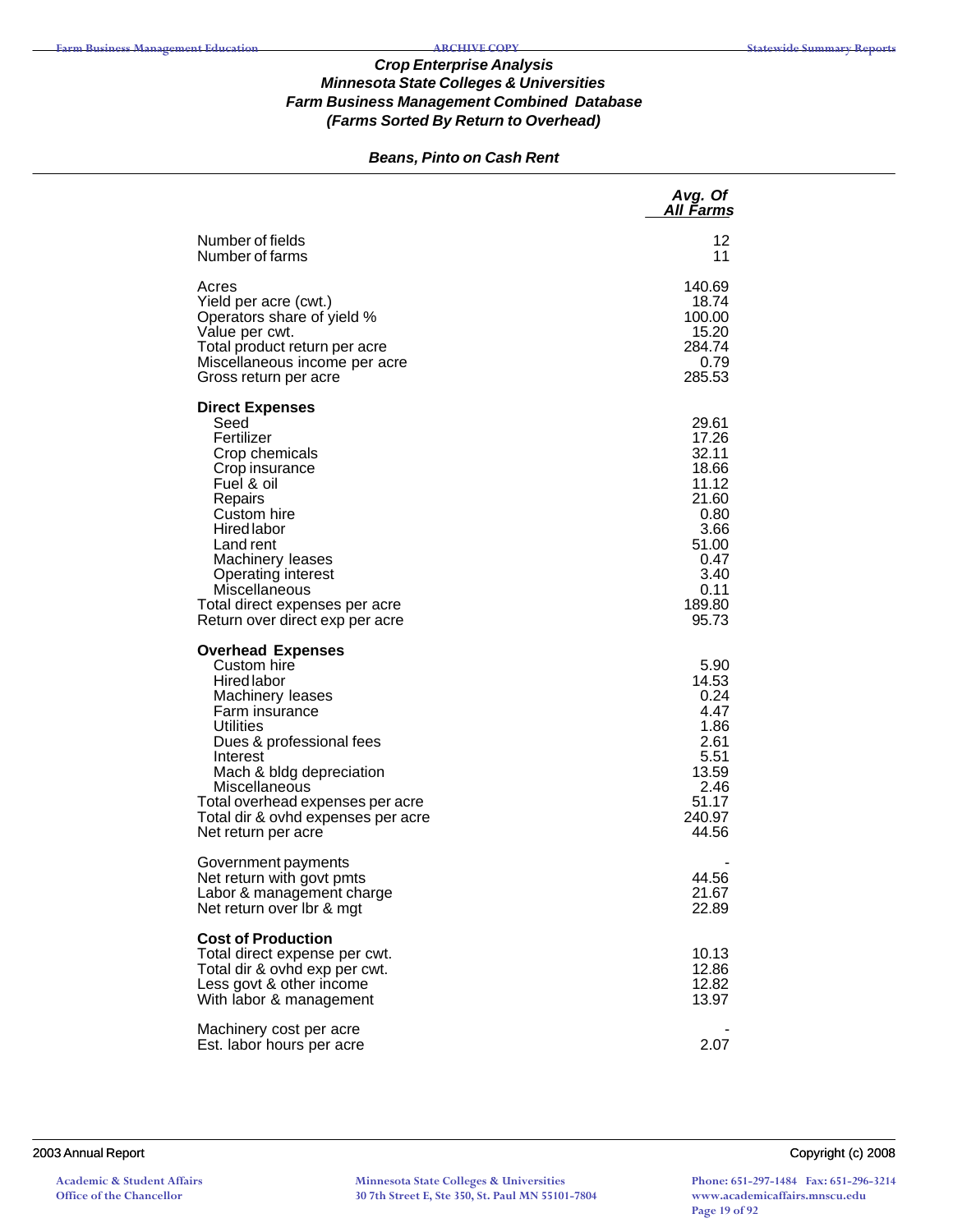## *Beans, Pinto on Cash Rent*

|                                                                                                                                                                                                                                                                                                    | Avg. Of<br>All Farms                                                                                                   |
|----------------------------------------------------------------------------------------------------------------------------------------------------------------------------------------------------------------------------------------------------------------------------------------------------|------------------------------------------------------------------------------------------------------------------------|
| Number of fields<br>Number of farms                                                                                                                                                                                                                                                                | 12<br>11                                                                                                               |
| Acres<br>Yield per acre (cwt.)<br>Operators share of yield %<br>Value per cwt.<br>Total product return per acre<br>Miscellaneous income per acre<br>Gross return per acre                                                                                                                          | 140.69<br>18.74<br>100.00<br>15.20<br>284.74<br>0.79<br>285.53                                                         |
| <b>Direct Expenses</b><br>Seed<br>Fertilizer<br>Crop chemicals<br>Crop insurance<br>Fuel & oil<br>Repairs<br>Custom hire<br><b>Hired labor</b><br>Land rent<br>Machinery leases<br><b>Operating interest</b><br>Miscellaneous<br>Total direct expenses per acre<br>Return over direct exp per acre | 29.61<br>17.26<br>32.11<br>18.66<br>11.12<br>21.60<br>0.80<br>3.66<br>51.00<br>0.47<br>3.40<br>0.11<br>189.80<br>95.73 |
| <b>Overhead Expenses</b><br>Custom hire<br>Hired labor<br>Machinery leases<br>Farm insurance<br>Utilities<br>Dues & professional fees<br>Interest<br>Mach & bldg depreciation<br>Miscellaneous<br>Total overhead expenses per acre<br>Total dir & ovhd expenses per acre<br>Net return per acre    | 5.90<br>14.53<br>0.24<br>4.47<br>1.86<br>2.61<br>5.51<br>13.59<br>2.46<br>51.17<br>240.97<br>44.56                     |
| Government payments<br>Net return with govt pmts<br>Labor & management charge<br>Net return over Ibr & mgt                                                                                                                                                                                         | 44.56<br>21.67<br>22.89                                                                                                |
| <b>Cost of Production</b><br>Total direct expense per cwt.<br>Total dir & ovhd exp per cwt.<br>Less govt & other income<br>With labor & management                                                                                                                                                 | 10.13<br>12.86<br>12.82<br>13.97                                                                                       |
| Machinery cost per acre<br>Est. labor hours per acre                                                                                                                                                                                                                                               | 2.07                                                                                                                   |

**Phone: 651-297-1484 Fax: 651-296-3214 www.academicaffairs.mnscu.edu Page 19 of 92**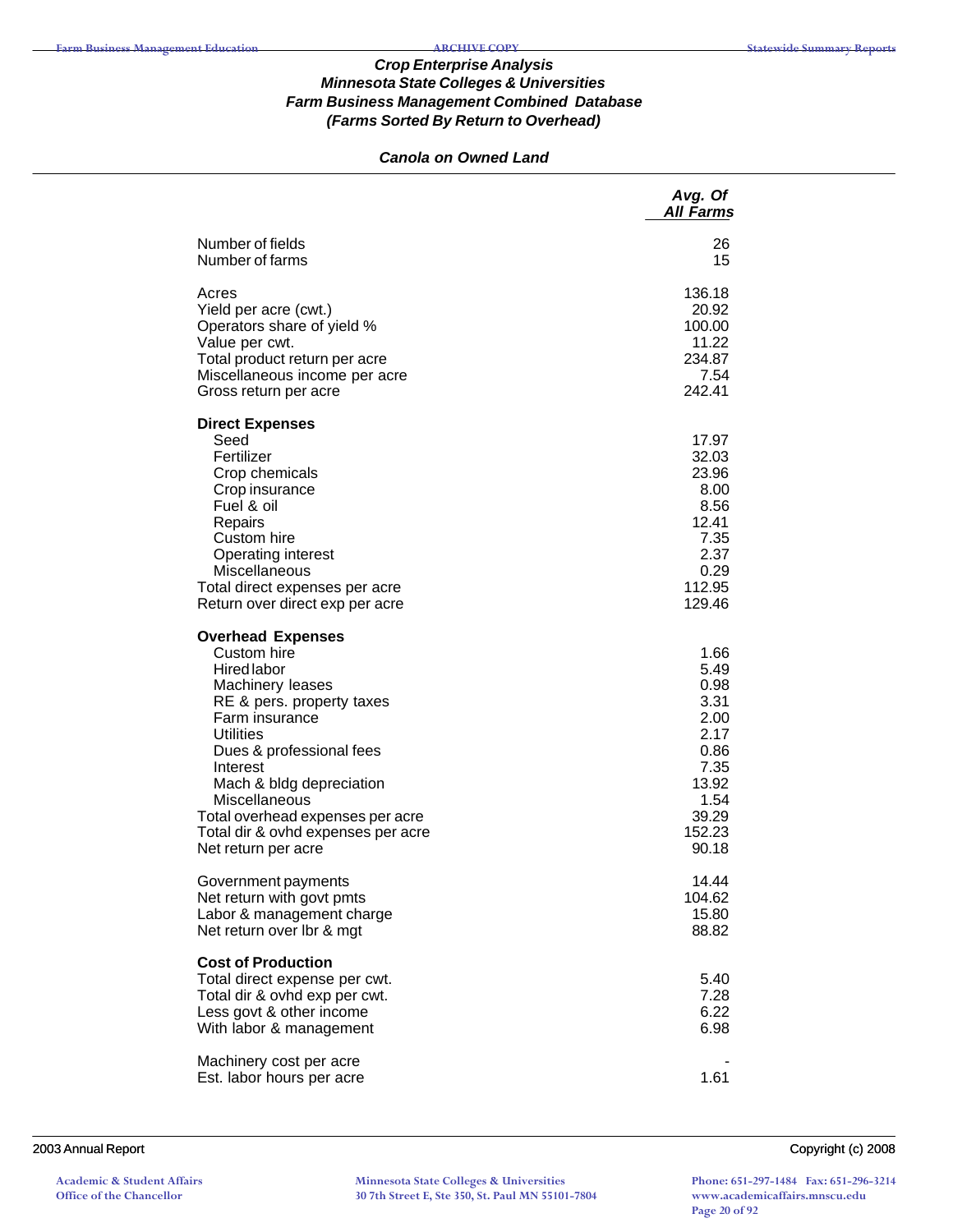## *Canola on Owned Land*

|                                                                                                                                                                                                                                                                                                                                            | Avg. Of<br><b>All Farms</b>                                                                               |
|--------------------------------------------------------------------------------------------------------------------------------------------------------------------------------------------------------------------------------------------------------------------------------------------------------------------------------------------|-----------------------------------------------------------------------------------------------------------|
| Number of fields<br>Number of farms                                                                                                                                                                                                                                                                                                        | 26<br>15                                                                                                  |
| Acres<br>Yield per acre (cwt.)<br>Operators share of yield %<br>Value per cwt.<br>Total product return per acre<br>Miscellaneous income per acre<br>Gross return per acre                                                                                                                                                                  | 136.18<br>20.92<br>100.00<br>11.22<br>234.87<br>7.54<br>242.41                                            |
| <b>Direct Expenses</b><br>Seed<br>Fertilizer<br>Crop chemicals<br>Crop insurance<br>Fuel & oil<br>Repairs<br>Custom hire<br>Operating interest<br>Miscellaneous<br>Total direct expenses per acre<br>Return over direct exp per acre                                                                                                       | 17.97<br>32.03<br>23.96<br>8.00<br>8.56<br>12.41<br>7.35<br>2.37<br>0.29<br>112.95<br>129.46              |
| <b>Overhead Expenses</b><br>Custom hire<br><b>Hired labor</b><br>Machinery leases<br>RE & pers. property taxes<br>Farm insurance<br><b>Utilities</b><br>Dues & professional fees<br>Interest<br>Mach & bldg depreciation<br>Miscellaneous<br>Total overhead expenses per acre<br>Total dir & ovhd expenses per acre<br>Net return per acre | 1.66<br>5.49<br>0.98<br>3.31<br>2.00<br>2.17<br>0.86<br>7.35<br>13.92<br>1.54<br>39.29<br>152.23<br>90.18 |
| Government payments<br>Net return with govt pmts<br>Labor & management charge<br>Net return over Ibr & mgt                                                                                                                                                                                                                                 | 14.44<br>104.62<br>15.80<br>88.82                                                                         |
| <b>Cost of Production</b><br>Total direct expense per cwt.<br>Total dir & ovhd exp per cwt.<br>Less govt & other income<br>With labor & management                                                                                                                                                                                         | 5.40<br>7.28<br>6.22<br>6.98                                                                              |
| Machinery cost per acre<br>Est. labor hours per acre                                                                                                                                                                                                                                                                                       | 1.61                                                                                                      |

**Academic & Student Affairs Office of the Chancellor**

**Minnesota State Colleges & Universities 30 7th Street E, Ste 350, St. Paul MN 55101-7804**

**Phone: 651-297-1484 Fax: 651-296-3214 www.academicaffairs.mnscu.edu Page 20 of 92**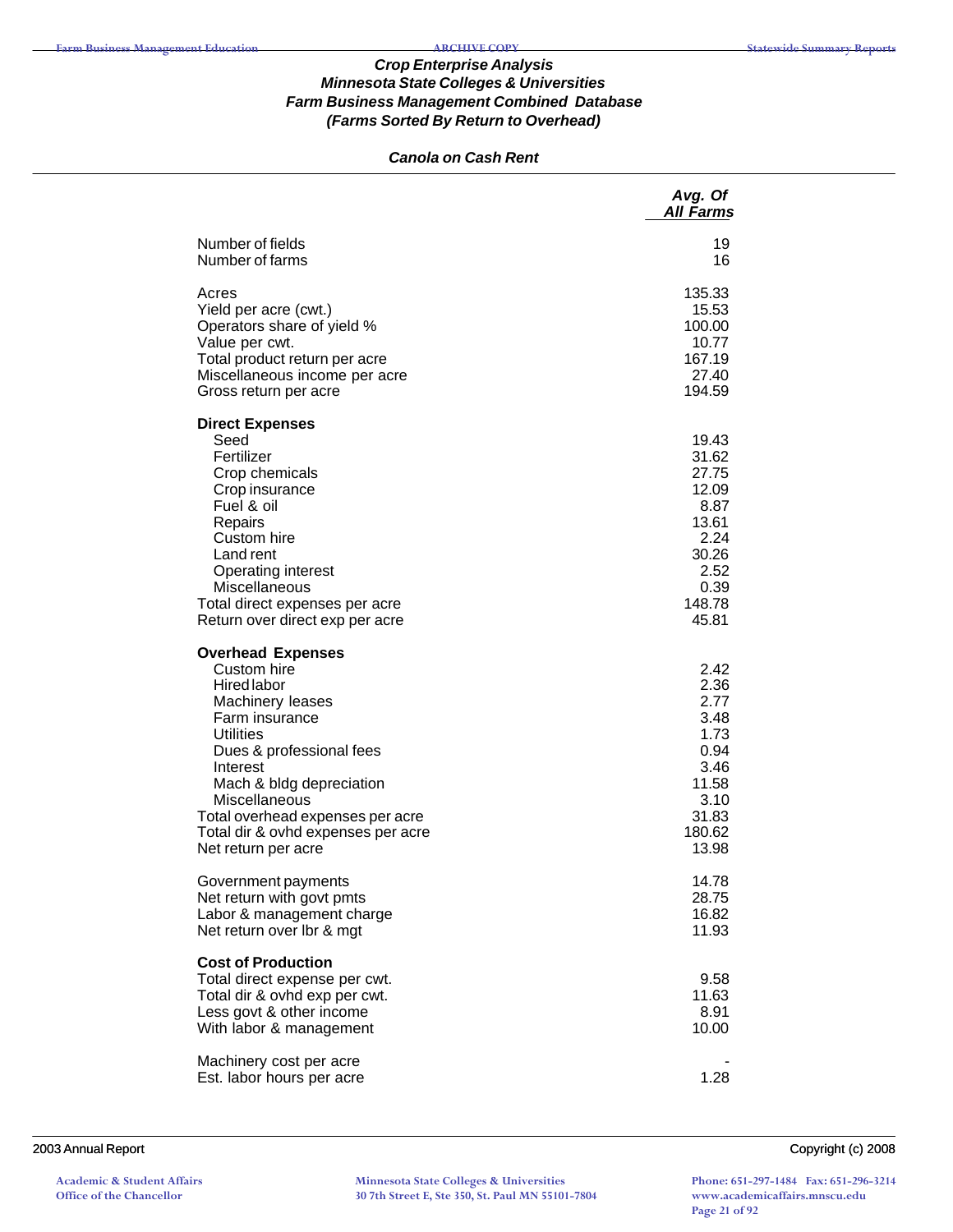## *Canola on Cash Rent*

|                                                                                                                                                                                                                                                                                                               | Avg. Of<br><b>All Farms</b>                                                                           |
|---------------------------------------------------------------------------------------------------------------------------------------------------------------------------------------------------------------------------------------------------------------------------------------------------------------|-------------------------------------------------------------------------------------------------------|
| Number of fields<br>Number of farms                                                                                                                                                                                                                                                                           | 19<br>16                                                                                              |
| Acres<br>Yield per acre (cwt.)<br>Operators share of yield %<br>Value per cwt.<br>Total product return per acre<br>Miscellaneous income per acre<br>Gross return per acre                                                                                                                                     | 135.33<br>15.53<br>100.00<br>10.77<br>167.19<br>27.40<br>194.59                                       |
| <b>Direct Expenses</b><br>Seed<br>Fertilizer<br>Crop chemicals<br>Crop insurance<br>Fuel & oil<br>Repairs<br>Custom hire<br>Land rent<br>Operating interest<br>Miscellaneous<br>Total direct expenses per acre<br>Return over direct exp per acre                                                             | 19.43<br>31.62<br>27.75<br>12.09<br>8.87<br>13.61<br>2.24<br>30.26<br>2.52<br>0.39<br>148.78<br>45.81 |
| <b>Overhead Expenses</b><br>Custom hire<br><b>Hired labor</b><br>Machinery leases<br>Farm insurance<br><b>Utilities</b><br>Dues & professional fees<br>Interest<br>Mach & bldg depreciation<br>Miscellaneous<br>Total overhead expenses per acre<br>Total dir & ovhd expenses per acre<br>Net return per acre | 2.42<br>2.36<br>2.77<br>3.48<br>1.73<br>0.94<br>3.46<br>11.58<br>3.10<br>31.83<br>180.62<br>13.98     |
| Government payments<br>Net return with govt pmts<br>Labor & management charge<br>Net return over Ibr & mgt                                                                                                                                                                                                    | 14.78<br>28.75<br>16.82<br>11.93                                                                      |
| <b>Cost of Production</b><br>Total direct expense per cwt.<br>Total dir & ovhd exp per cwt.<br>Less govt & other income<br>With labor & management                                                                                                                                                            | 9.58<br>11.63<br>8.91<br>10.00                                                                        |
| Machinery cost per acre<br>Est. labor hours per acre                                                                                                                                                                                                                                                          | 1.28                                                                                                  |

### 2003 Annual Report Copyright (c) 2008

**Academic & Student Affairs Office of the Chancellor**

**Minnesota State Colleges & Universities 30 7th Street E, Ste 350, St. Paul MN 55101-7804**

**Phone: 651-297-1484 Fax: 651-296-3214 www.academicaffairs.mnscu.edu Page 21 of 92**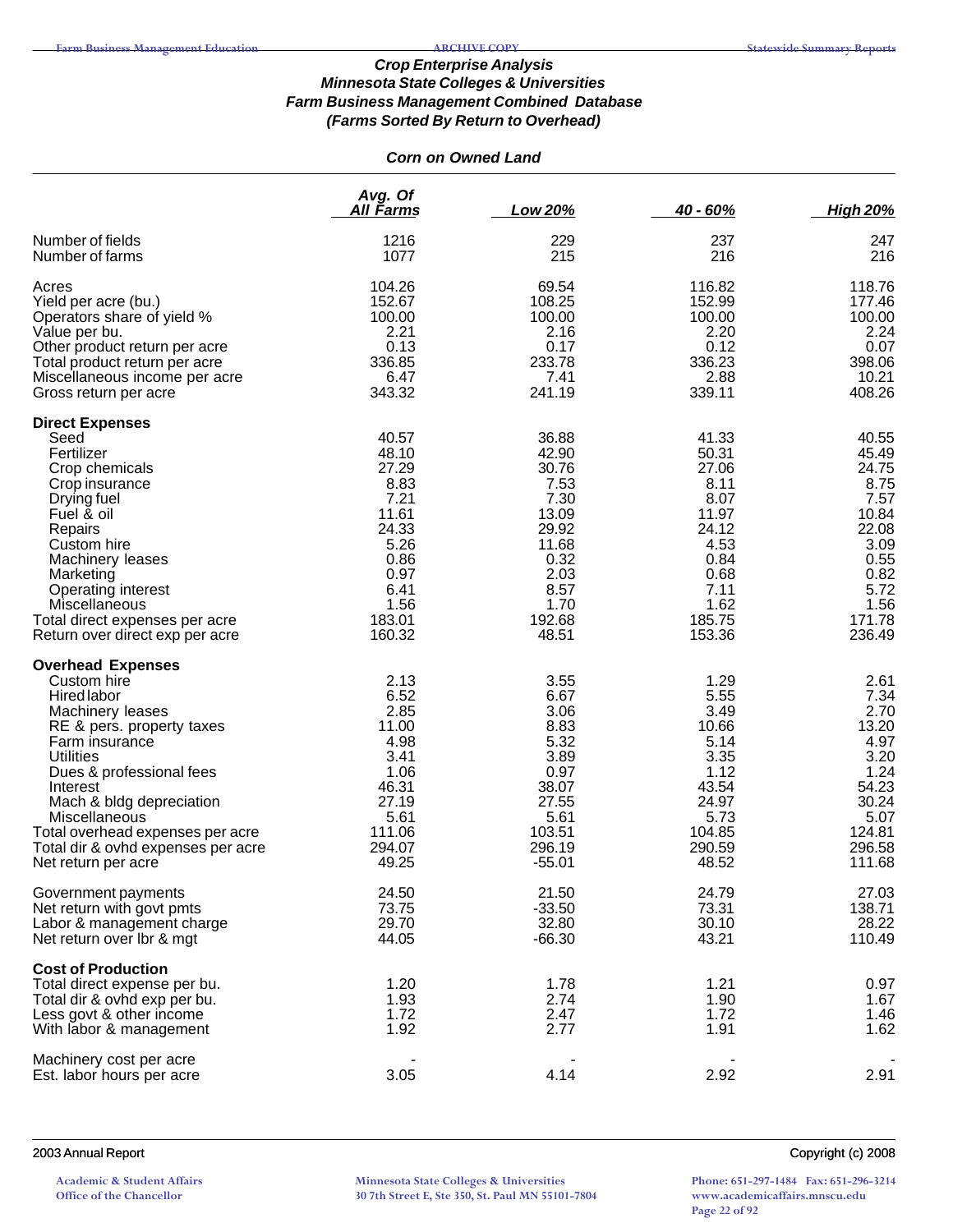## *Corn on Owned Land*

|                                                                                                                                                                                                                                                                                                                                            | Avg. Of<br><b>All Farms</b>                                                                                           | Low 20%                                                                                                               | $40 - 60%$                                                                                                            | <b>High 20%</b>                                                                                                       |
|--------------------------------------------------------------------------------------------------------------------------------------------------------------------------------------------------------------------------------------------------------------------------------------------------------------------------------------------|-----------------------------------------------------------------------------------------------------------------------|-----------------------------------------------------------------------------------------------------------------------|-----------------------------------------------------------------------------------------------------------------------|-----------------------------------------------------------------------------------------------------------------------|
| Number of fields<br>Number of farms                                                                                                                                                                                                                                                                                                        | 1216<br>1077                                                                                                          | 229<br>215                                                                                                            | 237<br>216                                                                                                            | 247<br>216                                                                                                            |
| Acres<br>Yield per acre (bu.)<br>Operators share of yield %<br>Value per bu.<br>Other product return per acre<br>Total product return per acre<br>Miscellaneous income per acre<br>Gross return per acre                                                                                                                                   | 104.26<br>152.67<br>100.00<br>2.21<br>0.13<br>336.85<br>6.47<br>343.32                                                | 69.54<br>108.25<br>100.00<br>2.16<br>0.17<br>233.78<br>7.41<br>241.19                                                 | 116.82<br>152.99<br>100.00<br>2.20<br>0.12<br>336.23<br>2.88<br>339.11                                                | 118.76<br>177.46<br>100.00<br>2.24<br>0.07<br>398.06<br>10.21<br>408.26                                               |
| <b>Direct Expenses</b><br>Seed<br>Fertilizer<br>Crop chemicals<br>Crop insurance<br>Drying fuel<br>Fuel & oil<br>Repairs<br>Custom hire<br>Machinery leases<br>Marketing<br>Operating interest<br>Miscellaneous<br>Total direct expenses per acre<br>Return over direct exp per acre                                                       | 40.57<br>48.10<br>27.29<br>8.83<br>7.21<br>11.61<br>24.33<br>5.26<br>0.86<br>0.97<br>6.41<br>1.56<br>183.01<br>160.32 | 36.88<br>42.90<br>30.76<br>7.53<br>7.30<br>13.09<br>29.92<br>11.68<br>0.32<br>2.03<br>8.57<br>1.70<br>192.68<br>48.51 | 41.33<br>50.31<br>27.06<br>8.11<br>8.07<br>11.97<br>24.12<br>4.53<br>0.84<br>0.68<br>7.11<br>1.62<br>185.75<br>153.36 | 40.55<br>45.49<br>24.75<br>8.75<br>7.57<br>10.84<br>22.08<br>3.09<br>0.55<br>0.82<br>5.72<br>1.56<br>171.78<br>236.49 |
| <b>Overhead Expenses</b><br>Custom hire<br><b>Hired labor</b><br>Machinery leases<br>RE & pers. property taxes<br>Farm insurance<br><b>Utilities</b><br>Dues & professional fees<br>Interest<br>Mach & bldg depreciation<br>Miscellaneous<br>Total overhead expenses per acre<br>Total dir & ovhd expenses per acre<br>Net return per acre | 2.13<br>6.52<br>2.85<br>11.00<br>4.98<br>3.41<br>1.06<br>46.31<br>27.19<br>5.61<br>111.06<br>294.07<br>49.25          | 3.55<br>6.67<br>3.06<br>8.83<br>5.32<br>3.89<br>0.97<br>38.07<br>27.55<br>5.61<br>103.51<br>296.19<br>$-55.01$        | 1.29<br>5.55<br>3.49<br>10.66<br>5.14<br>3.35<br>1.12<br>43.54<br>24.97<br>5.73<br>104.85<br>290.59<br>48.52          | 2.61<br>7.34<br>2.70<br>13.20<br>4.97<br>3.20<br>1.24<br>54.23<br>30.24<br>5.07<br>124.81<br>296.58<br>111.68         |
| Government payments<br>Net return with govt pmts<br>Labor & management charge<br>Net return over Ibr & mgt                                                                                                                                                                                                                                 | 24.50<br>73.75<br>29.70<br>44.05                                                                                      | 21.50<br>$-33.50$<br>32.80<br>$-66.30$                                                                                | 24.79<br>73.31<br>30.10<br>43.21                                                                                      | 27.03<br>138.71<br>28.22<br>110.49                                                                                    |
| <b>Cost of Production</b><br>Total direct expense per bu.<br>Total dir & ovhd exp per bu.<br>Less govt & other income<br>With labor & management                                                                                                                                                                                           | 1.20<br>1.93<br>1.72<br>1.92                                                                                          | 1.78<br>2.74<br>2.47<br>2.77                                                                                          | 1.21<br>1.90<br>1.72<br>1.91                                                                                          | 0.97<br>1.67<br>1.46<br>1.62                                                                                          |
| Machinery cost per acre<br>Est. labor hours per acre                                                                                                                                                                                                                                                                                       | 3.05                                                                                                                  | 4.14                                                                                                                  | 2.92                                                                                                                  | 2.91                                                                                                                  |

**Academic & Student Affairs Office of the Chancellor**

**Minnesota State Colleges & Universities 30 7th Street E, Ste 350, St. Paul MN 55101-7804**

**Phone: 651-297-1484 Fax: 651-296-3214 www.academicaffairs.mnscu.edu Page 22 of 92**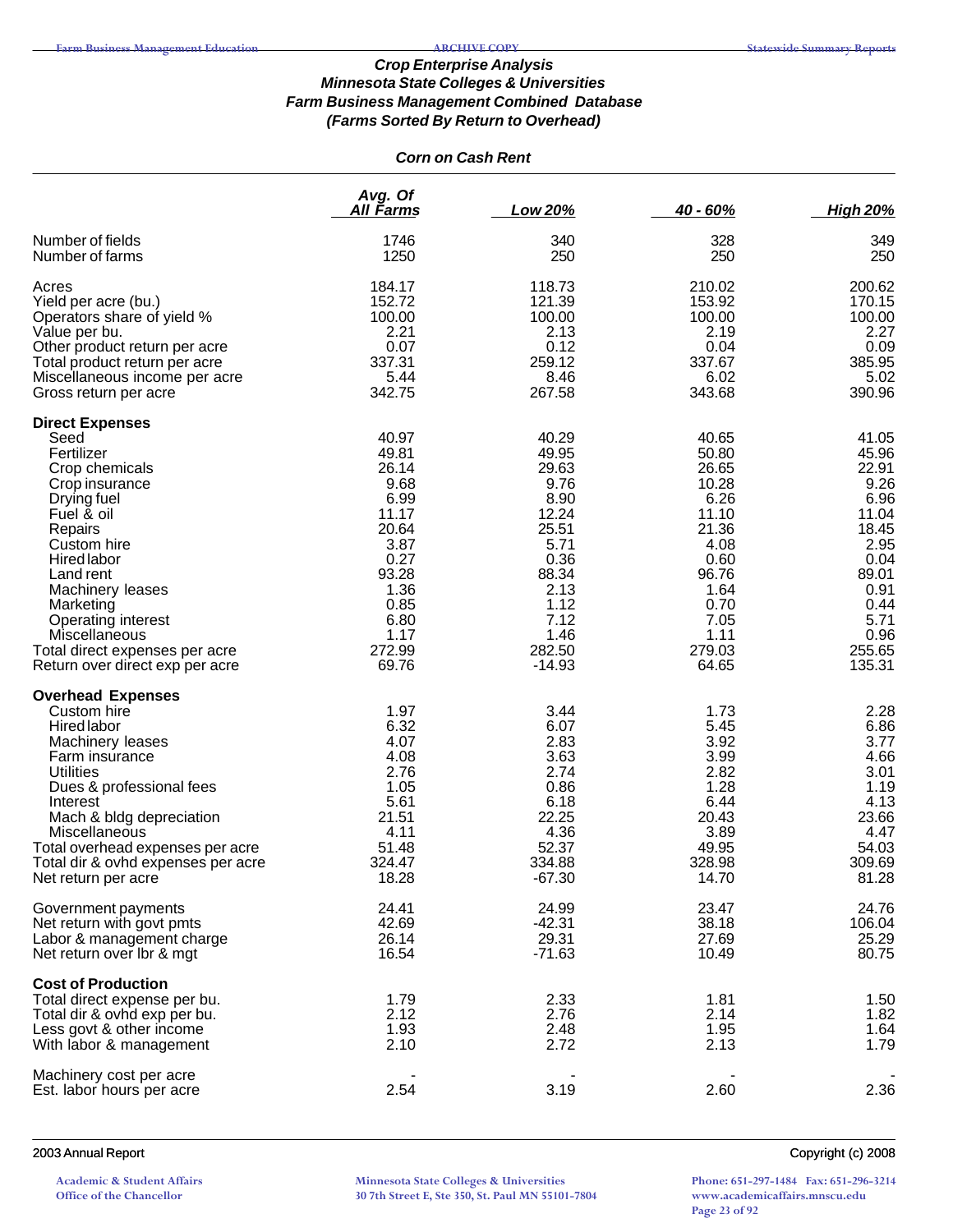## *Corn on Cash Rent*

|                                                                                                                                                                                                                                                                                                                  | Avg. Of<br><b>All Farms</b>                                                                                                           | Low 20%                                                                                                                                  | $40 - 60%$                                                                                                                             | <b>High 20%</b>                                                                                                                        |
|------------------------------------------------------------------------------------------------------------------------------------------------------------------------------------------------------------------------------------------------------------------------------------------------------------------|---------------------------------------------------------------------------------------------------------------------------------------|------------------------------------------------------------------------------------------------------------------------------------------|----------------------------------------------------------------------------------------------------------------------------------------|----------------------------------------------------------------------------------------------------------------------------------------|
| Number of fields<br>Number of farms                                                                                                                                                                                                                                                                              | 1746<br>1250                                                                                                                          | 340<br>250                                                                                                                               | 328<br>250                                                                                                                             | 349<br>250                                                                                                                             |
| Acres<br>Yield per acre (bu.)<br>Operators share of yield %<br>Value per bu.<br>Other product return per acre<br>Total product return per acre<br>Miscellaneous income per acre<br>Gross return per acre                                                                                                         | 184.17<br>152.72<br>100.00<br>2.21<br>0.07<br>337.31<br>5.44<br>342.75                                                                | 118.73<br>121.39<br>100.00<br>2.13<br>0.12<br>259.12<br>8.46<br>267.58                                                                   | 210.02<br>153.92<br>100.00<br>2.19<br>0.04<br>337.67<br>6.02<br>343.68                                                                 | 200.62<br>170.15<br>100.00<br>2.27<br>0.09<br>385.95<br>5.02<br>390.96                                                                 |
| <b>Direct Expenses</b><br>Seed<br>Fertilizer<br>Crop chemicals<br>Crop insurance<br>Drying fuel<br>Fuel & oil<br>Repairs<br>Custom hire<br>Hired labor<br>Land rent<br>Machinery leases<br>Marketing<br>Operating interest<br>Miscellaneous<br>Total direct expenses per acre<br>Return over direct exp per acre | 40.97<br>49.81<br>26.14<br>9.68<br>6.99<br>11.17<br>20.64<br>3.87<br>0.27<br>93.28<br>1.36<br>0.85<br>6.80<br>1.17<br>272.99<br>69.76 | 40.29<br>49.95<br>29.63<br>9.76<br>8.90<br>12.24<br>25.51<br>5.71<br>0.36<br>88.34<br>2.13<br>1.12<br>7.12<br>1.46<br>282.50<br>$-14.93$ | 40.65<br>50.80<br>26.65<br>10.28<br>6.26<br>11.10<br>21.36<br>4.08<br>0.60<br>96.76<br>1.64<br>0.70<br>7.05<br>1.11<br>279.03<br>64.65 | 41.05<br>45.96<br>22.91<br>9.26<br>6.96<br>11.04<br>18.45<br>2.95<br>0.04<br>89.01<br>0.91<br>0.44<br>5.71<br>0.96<br>255.65<br>135.31 |
| <b>Overhead Expenses</b><br>Custom hire<br><b>Hired labor</b><br>Machinery leases<br>Farm insurance<br><b>Utilities</b><br>Dues & professional fees<br>Interest<br>Mach & bldg depreciation<br>Miscellaneous<br>Total overhead expenses per acre<br>Total dir & ovhd expenses per acre<br>Net return per acre    | 1.97<br>6.32<br>4.07<br>4.08<br>2.76<br>1.05<br>5.61<br>21.51<br>4.11<br>51.48<br>324.47<br>18.28                                     | 3.44<br>6.07<br>2.83<br>3.63<br>2.74<br>0.86<br>6.18<br>22.25<br>4.36<br>52.37<br>334.88<br>$-67.30$                                     | 1.73<br>5.45<br>3.92<br>3.99<br>2.82<br>1.28<br>6.44<br>20.43<br>3.89<br>49.95<br>328.98<br>14.70                                      | 2.28<br>6.86<br>3.77<br>4.66<br>3.01<br>1.19<br>4.13<br>23.66<br>4.47<br>54.03<br>309.69<br>81.28                                      |
| Government payments<br>Net return with govt pmts<br>Labor & management charge<br>Net return over Ibr & mgt                                                                                                                                                                                                       | 24.41<br>42.69<br>26.14<br>16.54                                                                                                      | 24.99<br>$-42.31$<br>29.31<br>$-71.63$                                                                                                   | 23.47<br>38.18<br>27.69<br>10.49                                                                                                       | 24.76<br>106.04<br>25.29<br>80.75                                                                                                      |
| <b>Cost of Production</b><br>Total direct expense per bu.<br>Total dir & ovhd exp per bu.<br>Less govt & other income<br>With labor & management                                                                                                                                                                 | 1.79<br>2.12<br>1.93<br>2.10                                                                                                          | 2.33<br>2.76<br>2.48<br>2.72                                                                                                             | 1.81<br>2.14<br>1.95<br>2.13                                                                                                           | 1.50<br>1.82<br>1.64<br>1.79                                                                                                           |
| Machinery cost per acre<br>Est. labor hours per acre                                                                                                                                                                                                                                                             | 2.54                                                                                                                                  | 3.19                                                                                                                                     | 2.60                                                                                                                                   | 2.36                                                                                                                                   |

**Academic & Student Affairs Office of the Chancellor**

**Minnesota State Colleges & Universities 30 7th Street E, Ste 350, St. Paul MN 55101-7804**

2003 Annual Report Copyright (c) 2008

**Phone: 651-297-1484 Fax: 651-296-3214 www.academicaffairs.mnscu.edu Page 23 of 92**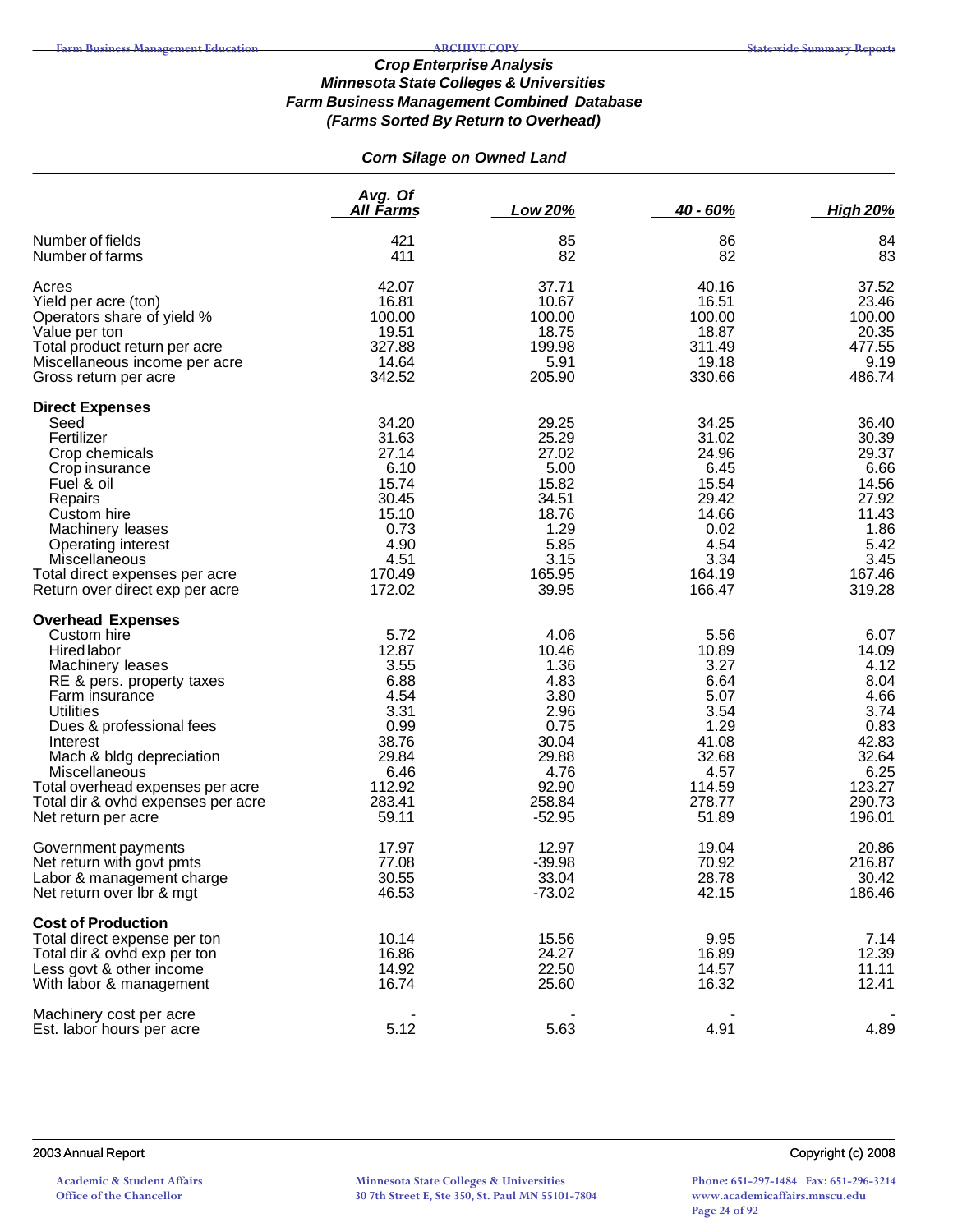# *Corn Silage on Owned Land*

|                                           | Avg. Of          |                |                |                 |  |
|-------------------------------------------|------------------|----------------|----------------|-----------------|--|
|                                           | <b>All Farms</b> | Low 20%        | $40 - 60%$     | <b>High 20%</b> |  |
| Number of fields                          | 421              | 85             | 86             | 84              |  |
| Number of farms                           | 411              | 82             | 82             | 83              |  |
| Acres                                     | 42.07            | 37.71          | 40.16          | 37.52           |  |
| Yield per acre (ton)                      | 16.81            | 10.67          | 16.51          | 23.46           |  |
| Operators share of yield %                | 100.00           | 100.00         | 100.00         | 100.00          |  |
| Value per ton                             | 19.51            | 18.75          | 18.87          | 20.35           |  |
| Total product return per acre             | 327.88           | 199.98         | 311.49         | 477.55          |  |
| Miscellaneous income per acre             | 14.64            | 5.91           | 19.18          | 9.19            |  |
| Gross return per acre                     | 342.52           | 205.90         | 330.66         | 486.74          |  |
| <b>Direct Expenses</b>                    |                  |                |                |                 |  |
| Seed                                      | 34.20            | 29.25          | 34.25          | 36.40           |  |
| Fertilizer                                | 31.63            | 25.29          | 31.02          | 30.39           |  |
| Crop chemicals                            | 27.14            | 27.02          | 24.96          | 29.37           |  |
| Crop insurance                            | 6.10             | 5.00           | 6.45           | 6.66            |  |
| Fuel & oil                                | 15.74            | 15.82          | 15.54          | 14.56           |  |
| Repairs                                   | 30.45            | 34.51          | 29.42          | 27.92           |  |
| Custom hire                               | 15.10            | 18.76          | 14.66          | 11.43           |  |
| Machinery leases                          | 0.73             | 1.29           | 0.02           | 1.86            |  |
| Operating interest                        | 4.90             | 5.85           | 4.54           | 5.42            |  |
| <b>Miscellaneous</b>                      | 4.51             | 3.15           | 3.34           | 3.45            |  |
| Total direct expenses per acre            | 170.49           | 165.95         | 164.19         | 167.46          |  |
| Return over direct exp per acre           | 172.02           | 39.95          | 166.47         | 319.28          |  |
| <b>Overhead Expenses</b>                  |                  |                |                |                 |  |
| Custom hire                               | 5.72             | 4.06           | 5.56           | 6.07            |  |
| Hired labor                               | 12.87            | 10.46          | 10.89          | 14.09           |  |
| Machinery leases                          | 3.55             | 1.36           | 3.27           | 4.12            |  |
| RE & pers. property taxes                 | 6.88             | 4.83           | 6.64           | 8.04            |  |
| Farm insurance                            | 4.54             | 3.80           | 5.07           | 4.66            |  |
| <b>Utilities</b>                          | 3.31             | 2.96           | 3.54           | 3.74            |  |
| Dues & professional fees                  | 0.99             | 0.75           | 1.29           | 0.83            |  |
| Interest                                  | 38.76<br>29.84   | 30.04<br>29.88 | 41.08<br>32.68 | 42.83<br>32.64  |  |
| Mach & bldg depreciation<br>Miscellaneous | 6.46             | 4.76           | 4.57           | 6.25            |  |
| Total overhead expenses per acre          | 112.92           | 92.90          | 114.59         | 123.27          |  |
| Total dir & ovhd expenses per acre        | 283.41           | 258.84         | 278.77         | 290.73          |  |
| Net return per acre                       | 59.11            | $-52.95$       | 51.89          | 196.01          |  |
| Government payments                       | 17.97            | 12.97          | 19.04          | 20.86           |  |
| Net return with govt pmts                 | 77.08            | $-39.98$       | 70.92          | 216.87          |  |
| Labor & management charge                 | 30.55            | 33.04          | 28.78          | 30.42           |  |
| Net return over Ibr & mgt                 | 46.53            | $-73.02$       | 42.15          | 186.46          |  |
| <b>Cost of Production</b>                 |                  |                |                |                 |  |
| Total direct expense per ton              | 10.14            | 15.56          | 9.95           | 7.14            |  |
| Total dir & ovhd exp per ton              | 16.86            | 24.27          | 16.89          | 12.39           |  |
| Less govt & other income                  | 14.92            | 22.50          | 14.57          | 11.11           |  |
| With labor & management                   | 16.74            | 25.60          | 16.32          | 12.41           |  |
| Machinery cost per acre                   |                  |                |                |                 |  |
| Est. labor hours per acre                 | 5.12             | 5.63           | 4.91           | 4.89            |  |

**Academic & Student Affairs Office of the Chancellor**

**Minnesota State Colleges & Universities 30 7th Street E, Ste 350, St. Paul MN 55101-7804** **Phone: 651-297-1484 Fax: 651-296-3214 www.academicaffairs.mnscu.edu Page 24 of 92**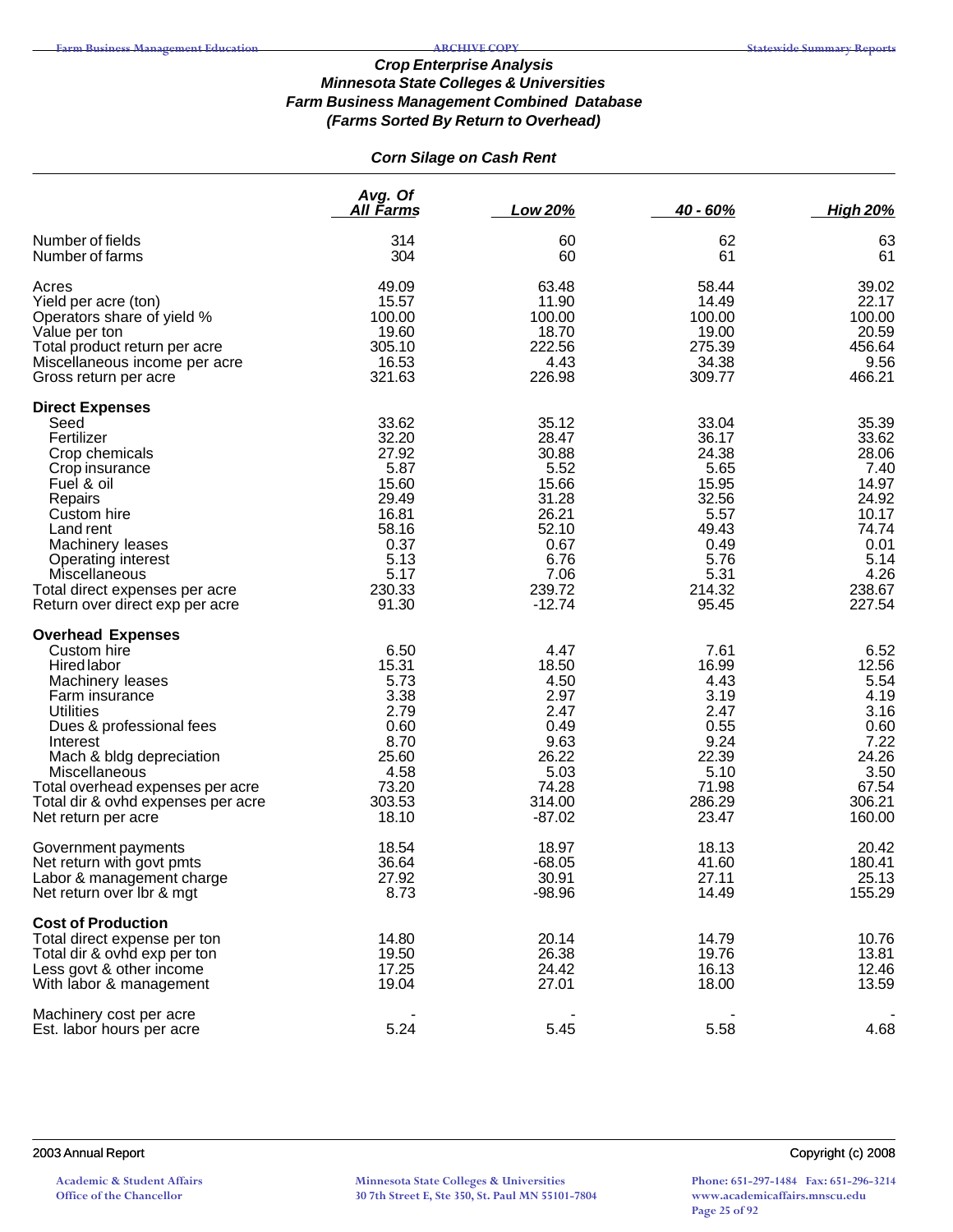## *Corn Silage on Cash Rent*

|                                               | Avg. Of        |                |                |                 |
|-----------------------------------------------|----------------|----------------|----------------|-----------------|
|                                               | All Farms      | Low 20%        | $40 - 60%$     | <b>High 20%</b> |
| Number of fields                              | 314            | 60             | 62             | 63              |
| Number of farms                               | 304            | 60             | 61             | 61              |
|                                               |                |                |                |                 |
| Acres<br>Yield per acre (ton)                 | 49.09<br>15.57 | 63.48<br>11.90 | 58.44<br>14.49 | 39.02<br>22.17  |
| Operators share of yield %                    | 100.00         | 100.00         | 100.00         | 100.00          |
| Value per ton                                 | 19.60          | 18.70          | 19.00          | 20.59           |
| Total product return per acre                 | 305.10         | 222.56         | 275.39         | 456.64          |
| Miscellaneous income per acre                 | 16.53          | 4.43           | 34.38          | 9.56            |
| Gross return per acre                         | 321.63         | 226.98         | 309.77         | 466.21          |
| <b>Direct Expenses</b>                        |                |                |                |                 |
| Seed                                          | 33.62          | 35.12          | 33.04          | 35.39           |
| Fertilizer                                    | 32.20          | 28.47          | 36.17          | 33.62           |
| Crop chemicals                                | 27.92          | 30.88          | 24.38          | 28.06           |
| Crop insurance                                | 5.87           | 5.52           | 5.65           | 7.40            |
| Fuel & oil                                    | 15.60          | 15.66          | 15.95          | 14.97           |
| Repairs                                       | 29.49          | 31.28          | 32.56          | 24.92           |
| Custom hire                                   | 16.81          | 26.21          | 5.57           | 10.17           |
| Land rent                                     | 58.16<br>0.37  | 52.10<br>0.67  | 49.43<br>0.49  | 74.74<br>0.01   |
| Machinery leases<br><b>Operating interest</b> | 5.13           | 6.76           | 5.76           | 5.14            |
| Miscellaneous                                 | 5.17           | 7.06           | 5.31           | 4.26            |
| Total direct expenses per acre                | 230.33         | 239.72         | 214.32         | 238.67          |
| Return over direct exp per acre               | 91.30          | $-12.74$       | 95.45          | 227.54          |
| <b>Overhead Expenses</b>                      |                |                |                |                 |
| Custom hire                                   | 6.50           | 4.47           | 7.61           | 6.52            |
| <b>Hired labor</b>                            | 15.31          | 18.50          | 16.99          | 12.56           |
| Machinery leases                              | 5.73           | 4.50           | 4.43           | 5.54            |
| Farm insurance                                | 3.38           | 2.97           | 3.19           | 4.19            |
| <b>Utilities</b>                              | 2.79           | 2.47           | 2.47           | 3.16            |
| Dues & professional fees                      | 0.60           | 0.49           | 0.55           | 0.60            |
| Interest                                      | 8.70<br>25.60  | 9.63<br>26.22  | 9.24<br>22.39  | 7.22<br>24.26   |
| Mach & bldg depreciation<br>Miscellaneous     | 4.58           | 5.03           | 5.10           | 3.50            |
| Total overhead expenses per acre              | 73.20          | 74.28          | 71.98          | 67.54           |
| Total dir & ovhd expenses per acre            | 303.53         | 314.00         | 286.29         | 306.21          |
| Net return per acre                           | 18.10          | $-87.02$       | 23.47          | 160.00          |
| Government payments                           | 18.54          | 18.97          | 18.13          | 20.42           |
| Net return with govt pmts                     | 36.64          | $-68.05$       | 41.60          | 180.41          |
| Labor & management charge                     | 27.92          | 30.91          | 27.11          | 25.13           |
| Net return over Ibr & mgt                     | 8.73           | $-98.96$       | 14.49          | 155.29          |
| <b>Cost of Production</b>                     |                |                |                |                 |
| Total direct expense per ton                  | 14.80          | 20.14          | 14.79          | 10.76           |
| Total dir & ovhd exp per ton                  | 19.50          | 26.38          | 19.76          | 13.81           |
| Less govt & other income                      | 17.25          | 24.42          | 16.13          | 12.46           |
| With labor & management                       | 19.04          | 27.01          | 18.00          | 13.59           |
| Machinery cost per acre                       |                |                |                |                 |
| Est. labor hours per acre                     | 5.24           | 5.45           | 5.58           | 4.68            |

**Academic & Student Affairs Office of the Chancellor**

**Minnesota State Colleges & Universities 30 7th Street E, Ste 350, St. Paul MN 55101-7804** **Phone: 651-297-1484 Fax: 651-296-3214 www.academicaffairs.mnscu.edu Page 25 of 92**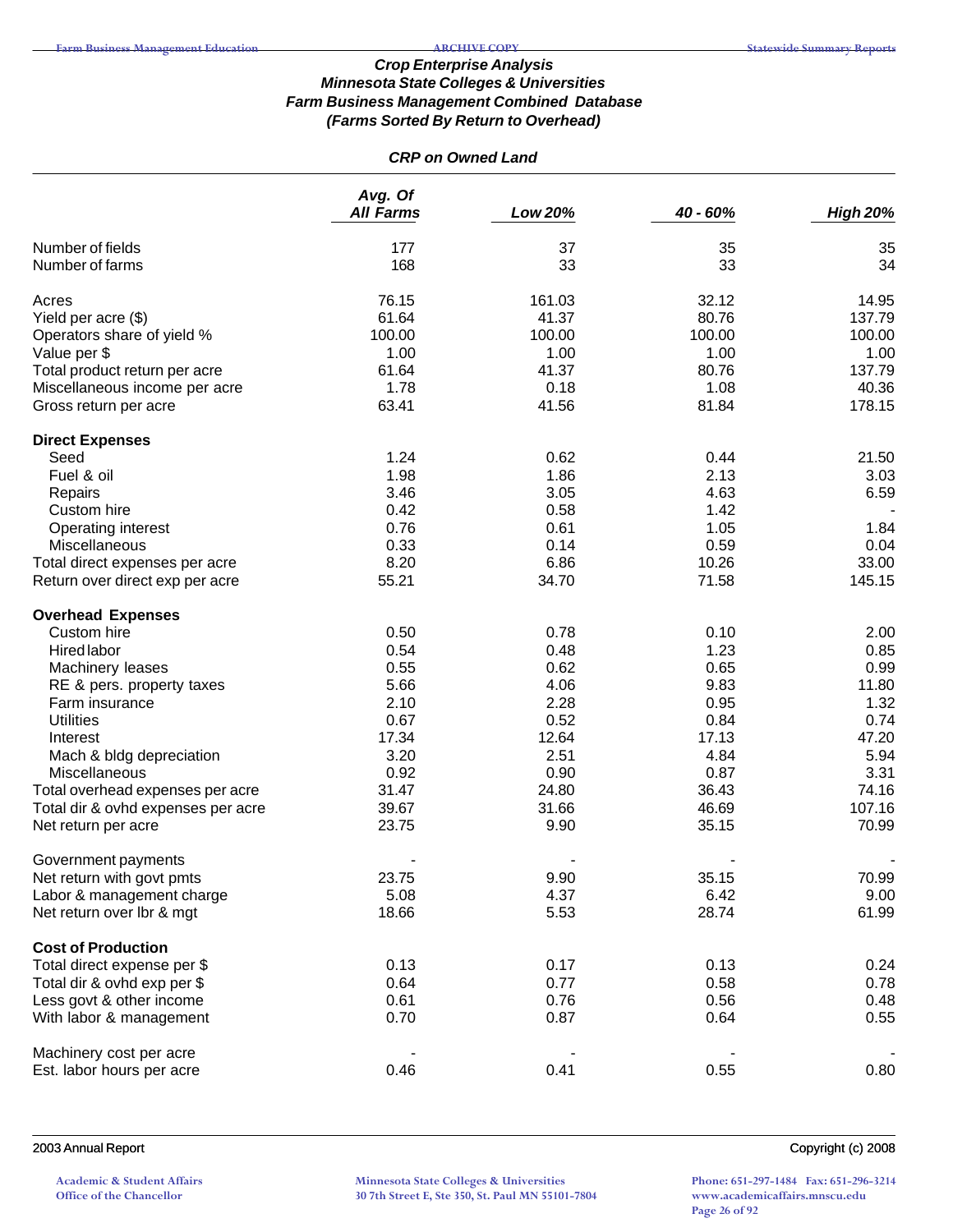## *CRP on Owned Land*

|                                    | Avg. Of<br><b>All Farms</b> | Low 20% | 40 - 60% | <b>High 20%</b> |
|------------------------------------|-----------------------------|---------|----------|-----------------|
| Number of fields                   | 177                         | 37      |          | 35              |
| Number of farms                    | 168                         | 33      | 35<br>33 | 34              |
| Acres                              | 76.15                       | 161.03  | 32.12    | 14.95           |
| Yield per acre (\$)                | 61.64                       | 41.37   | 80.76    | 137.79          |
| Operators share of yield %         | 100.00                      | 100.00  | 100.00   | 100.00          |
| Value per \$                       | 1.00                        | 1.00    | 1.00     | 1.00            |
| Total product return per acre      | 61.64                       | 41.37   | 80.76    | 137.79          |
| Miscellaneous income per acre      | 1.78                        | 0.18    | 1.08     | 40.36           |
| Gross return per acre              | 63.41                       | 41.56   | 81.84    | 178.15          |
| <b>Direct Expenses</b>             |                             |         |          |                 |
| Seed                               | 1.24                        | 0.62    | 0.44     | 21.50           |
| Fuel & oil                         | 1.98                        | 1.86    | 2.13     | 3.03            |
| Repairs                            | 3.46                        | 3.05    | 4.63     | 6.59            |
| Custom hire                        | 0.42                        | 0.58    | 1.42     |                 |
| Operating interest                 | 0.76                        | 0.61    | 1.05     | 1.84            |
| Miscellaneous                      | 0.33                        | 0.14    | 0.59     | 0.04            |
| Total direct expenses per acre     | 8.20                        | 6.86    | 10.26    | 33.00           |
| Return over direct exp per acre    | 55.21                       | 34.70   | 71.58    | 145.15          |
| <b>Overhead Expenses</b>           |                             |         |          |                 |
| Custom hire                        | 0.50                        | 0.78    | 0.10     | 2.00            |
| <b>Hired labor</b>                 | 0.54                        | 0.48    | 1.23     | 0.85            |
| Machinery leases                   | 0.55                        | 0.62    | 0.65     | 0.99            |
| RE & pers. property taxes          | 5.66                        | 4.06    | 9.83     | 11.80           |
| Farm insurance                     | 2.10                        | 2.28    | 0.95     | 1.32            |
| <b>Utilities</b>                   | 0.67                        | 0.52    | 0.84     | 0.74            |
| Interest                           | 17.34                       | 12.64   | 17.13    | 47.20           |
| Mach & bldg depreciation           | 3.20                        | 2.51    | 4.84     | 5.94            |
| Miscellaneous                      | 0.92                        | 0.90    | 0.87     | 3.31            |
| Total overhead expenses per acre   | 31.47                       | 24.80   | 36.43    | 74.16           |
| Total dir & ovhd expenses per acre | 39.67                       | 31.66   | 46.69    | 107.16          |
| Net return per acre                | 23.75                       | 9.90    | 35.15    | 70.99           |
| Government payments                |                             |         |          |                 |
| Net return with govt pmts          | 23.75                       | 9.90    | 35.15    | 70.99           |
| Labor & management charge          | 5.08                        | 4.37    | 6.42     | 9.00            |
| Net return over lbr & mgt          | 18.66                       | 5.53    | 28.74    | 61.99           |
| <b>Cost of Production</b>          |                             |         |          |                 |
| Total direct expense per \$        | 0.13                        | 0.17    | 0.13     | 0.24            |
| Total dir & ovhd exp per \$        | 0.64                        | 0.77    | 0.58     | 0.78            |
| Less govt & other income           | 0.61                        | 0.76    | 0.56     | 0.48            |
| With labor & management            | 0.70                        | 0.87    | 0.64     | 0.55            |
| Machinery cost per acre            |                             |         |          |                 |
| Est. labor hours per acre          | 0.46                        | 0.41    | 0.55     | 0.80            |

2003 Annual Report Copyright (c) 2008

**Academic & Student Affairs Office of the Chancellor**

**Minnesota State Colleges & Universities 30 7th Street E, Ste 350, St. Paul MN 55101-7804**

**Phone: 651-297-1484 Fax: 651-296-3214 www.academicaffairs.mnscu.edu Page 26 of 92**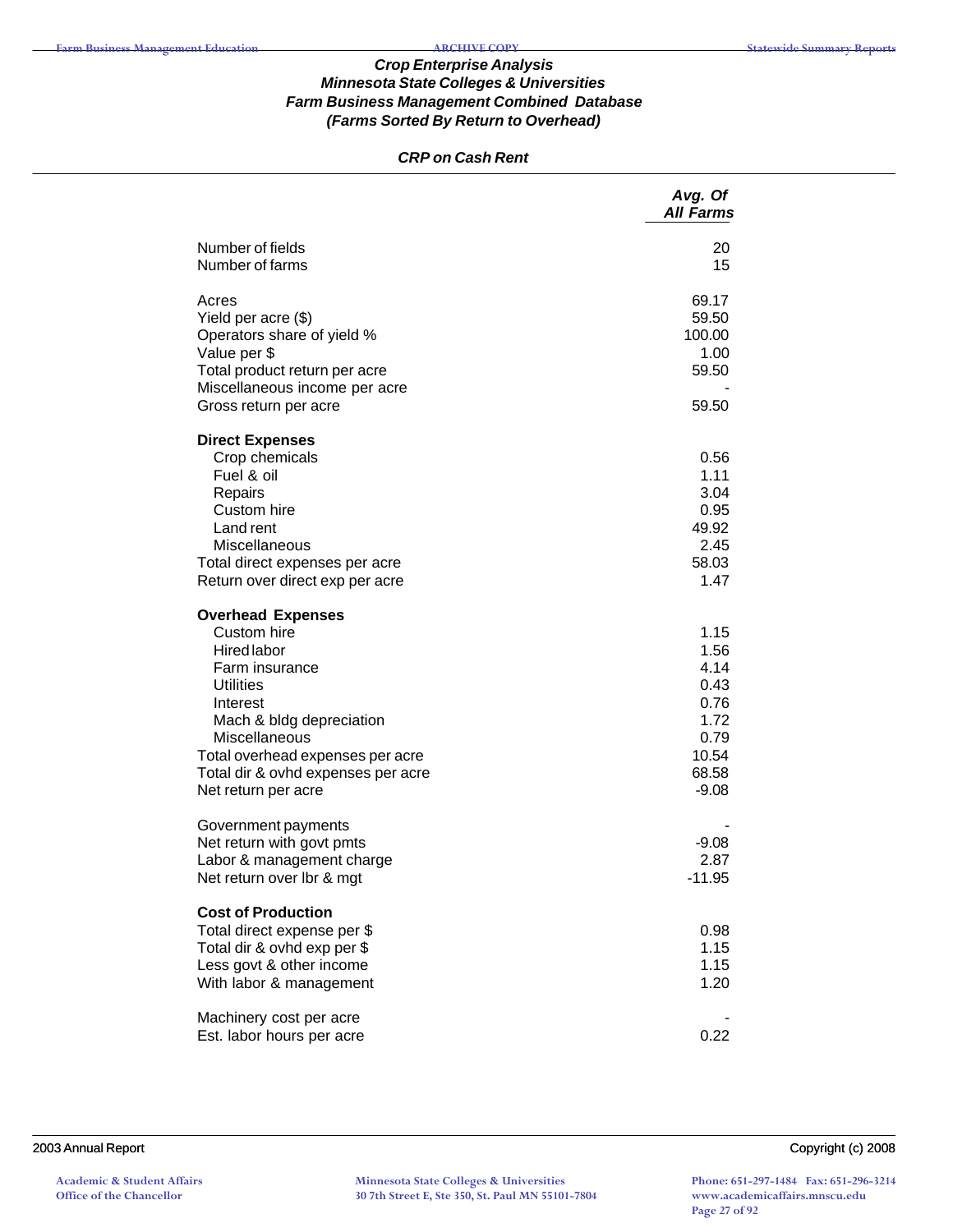## *CRP on Cash Rent*

|                                                                                                                                                                                                                                            | Avg. Of<br><b>All Farms</b>                                                       |
|--------------------------------------------------------------------------------------------------------------------------------------------------------------------------------------------------------------------------------------------|-----------------------------------------------------------------------------------|
| Number of fields<br>Number of farms                                                                                                                                                                                                        | 20<br>15                                                                          |
| Acres<br>Yield per acre (\$)<br>Operators share of yield %<br>Value per \$<br>Total product return per acre<br>Miscellaneous income per acre<br>Gross return per acre<br><b>Direct Expenses</b><br>Crop chemicals<br>Fuel & oil<br>Repairs | 69.17<br>59.50<br>100.00<br>1.00<br>59.50<br>59.50<br>0.56<br>1.11<br>3.04        |
| Custom hire<br>Land rent<br>Miscellaneous<br>Total direct expenses per acre<br>Return over direct exp per acre<br><b>Overhead Expenses</b>                                                                                                 | 0.95<br>49.92<br>2.45<br>58.03<br>1.47                                            |
| Custom hire<br>Hired labor<br>Farm insurance<br><b>Utilities</b><br>Interest<br>Mach & bldg depreciation<br>Miscellaneous<br>Total overhead expenses per acre<br>Total dir & ovhd expenses per acre<br>Net return per acre                 | 1.15<br>1.56<br>4.14<br>0.43<br>0.76<br>1.72<br>0.79<br>10.54<br>68.58<br>$-9.08$ |
| Government payments<br>Net return with govt pmts<br>Labor & management charge<br>Net return over Ibr & mgt                                                                                                                                 | $-9.08$<br>2.87<br>$-11.95$                                                       |
| <b>Cost of Production</b><br>Total direct expense per \$<br>Total dir & ovhd exp per \$<br>Less govt & other income<br>With labor & management                                                                                             | 0.98<br>1.15<br>1.15<br>1.20                                                      |
| Machinery cost per acre<br>Est. labor hours per acre                                                                                                                                                                                       | 0.22                                                                              |

2003 Annual Report Copyright (c) 2008

**Phone: 651-297-1484 Fax: 651-296-3214 www.academicaffairs.mnscu.edu Page 27 of 92**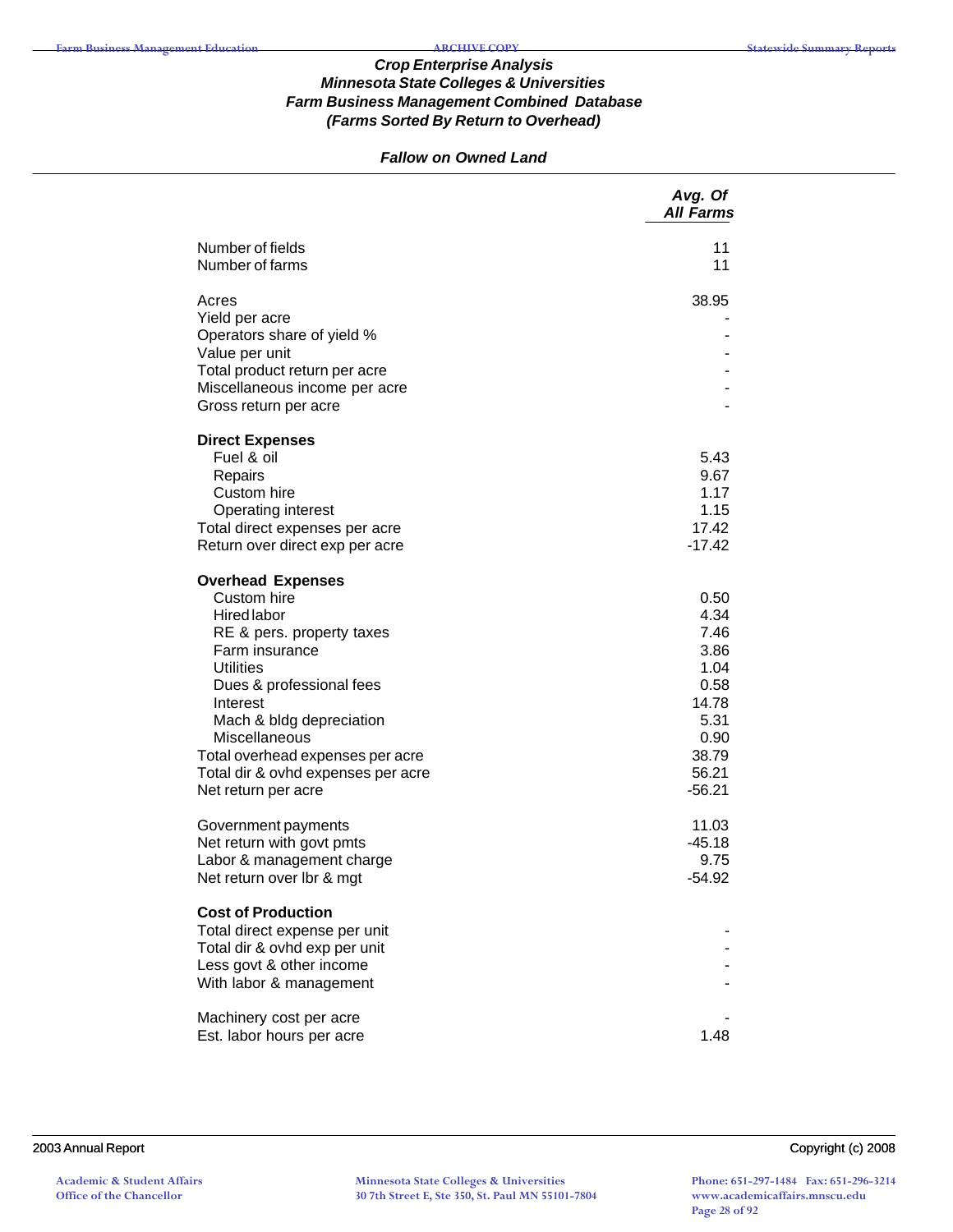## *Fallow on Owned Land*

|                                                                        | Avg. Of<br><b>All Farms</b> |
|------------------------------------------------------------------------|-----------------------------|
| Number of fields<br>Number of farms                                    | 11<br>11                    |
| Acres                                                                  | 38.95                       |
| Yield per acre                                                         |                             |
| Operators share of yield %                                             |                             |
| Value per unit                                                         |                             |
| Total product return per acre<br>Miscellaneous income per acre         |                             |
| Gross return per acre                                                  |                             |
| <b>Direct Expenses</b>                                                 |                             |
| Fuel & oil                                                             | 5.43                        |
| Repairs                                                                | 9.67                        |
| Custom hire                                                            | 1.17                        |
| <b>Operating interest</b>                                              | 1.15<br>17.42               |
| Total direct expenses per acre<br>Return over direct exp per acre      | $-17.42$                    |
|                                                                        |                             |
| <b>Overhead Expenses</b>                                               |                             |
| Custom hire                                                            | 0.50                        |
| <b>Hired labor</b><br>RE & pers. property taxes                        | 4.34<br>7.46                |
| Farm insurance                                                         | 3.86                        |
| <b>Utilities</b>                                                       | 1.04                        |
| Dues & professional fees                                               | 0.58                        |
| Interest                                                               | 14.78                       |
| Mach & bldg depreciation                                               | 5.31                        |
| Miscellaneous                                                          | 0.90                        |
| Total overhead expenses per acre<br>Total dir & ovhd expenses per acre | 38.79<br>56.21              |
| Net return per acre                                                    | $-56.21$                    |
|                                                                        |                             |
| Government payments<br>Net return with govt pmts                       | 11.03<br>$-45.18$           |
| Labor & management charge                                              | 9.75                        |
| Net return over Ibr & mgt                                              | $-54.92$                    |
| <b>Cost of Production</b>                                              |                             |
| Total direct expense per unit                                          |                             |
| Total dir & ovhd exp per unit                                          |                             |
| Less govt & other income                                               |                             |
| With labor & management                                                |                             |
| Machinery cost per acre                                                |                             |
| Est. labor hours per acre                                              | 1.48                        |

2003 Annual Report Copyright (c) 2008

**Phone: 651-297-1484 Fax: 651-296-3214 www.academicaffairs.mnscu.edu Page 28 of 92**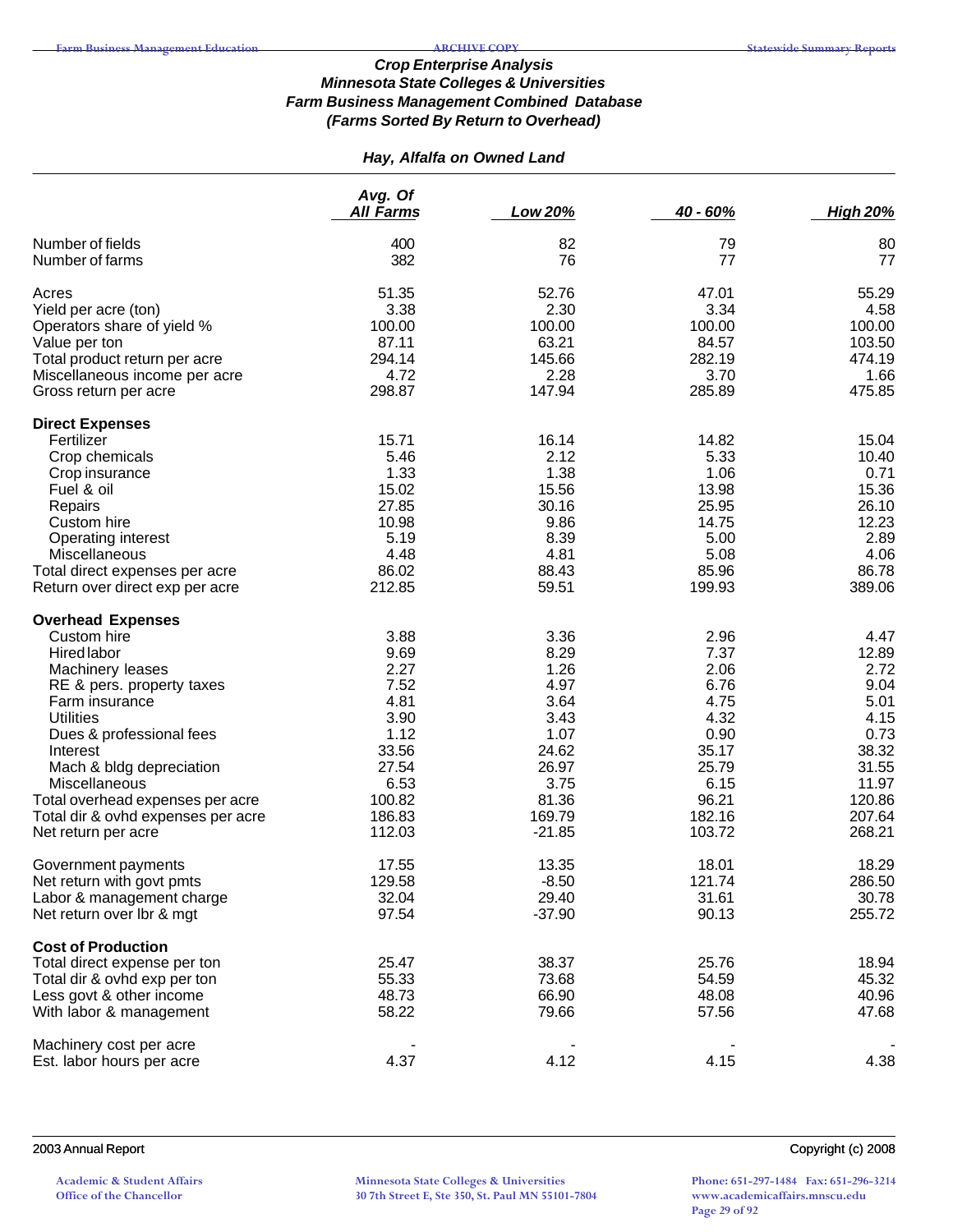# *Hay, Alfalfa on Owned Land*

|                                                 | Avg. Of          |              |              |                 |
|-------------------------------------------------|------------------|--------------|--------------|-----------------|
|                                                 | <b>All Farms</b> | Low 20%      | 40 - 60%     | <b>High 20%</b> |
| Number of fields                                | 400              | 82           | 79           | 80              |
| Number of farms                                 | 382              | 76           | 77           | 77              |
| Acres                                           | 51.35            | 52.76        | 47.01        | 55.29           |
| Yield per acre (ton)                            | 3.38             | 2.30         | 3.34         | 4.58            |
| Operators share of yield %                      | 100.00           | 100.00       | 100.00       | 100.00          |
| Value per ton                                   | 87.11            | 63.21        | 84.57        | 103.50          |
| Total product return per acre                   | 294.14           | 145.66       | 282.19       | 474.19          |
| Miscellaneous income per acre                   | 4.72             | 2.28         | 3.70         | 1.66            |
| Gross return per acre                           | 298.87           | 147.94       | 285.89       | 475.85          |
| <b>Direct Expenses</b>                          |                  |              |              |                 |
| Fertilizer                                      | 15.71            | 16.14        | 14.82        | 15.04           |
| Crop chemicals                                  | 5.46             | 2.12         | 5.33         | 10.40           |
| Crop insurance                                  | 1.33             | 1.38         | 1.06         | 0.71            |
| Fuel & oil                                      | 15.02            | 15.56        | 13.98        | 15.36           |
| Repairs                                         | 27.85            | 30.16        | 25.95        | 26.10           |
| Custom hire                                     | 10.98            | 9.86         | 14.75        | 12.23           |
| Operating interest                              | 5.19<br>4.48     | 8.39<br>4.81 | 5.00<br>5.08 | 2.89<br>4.06    |
| Miscellaneous<br>Total direct expenses per acre | 86.02            | 88.43        | 85.96        | 86.78           |
| Return over direct exp per acre                 | 212.85           | 59.51        | 199.93       | 389.06          |
|                                                 |                  |              |              |                 |
| <b>Overhead Expenses</b><br>Custom hire         | 3.88             | 3.36         | 2.96         | 4.47            |
| <b>Hired labor</b>                              | 9.69             | 8.29         | 7.37         | 12.89           |
| Machinery leases                                | 2.27             | 1.26         | 2.06         | 2.72            |
| RE & pers. property taxes                       | 7.52             | 4.97         | 6.76         | 9.04            |
| Farm insurance                                  | 4.81             | 3.64         | 4.75         | 5.01            |
| <b>Utilities</b>                                | 3.90             | 3.43         | 4.32         | 4.15            |
| Dues & professional fees                        | 1.12             | 1.07         | 0.90         | 0.73            |
| Interest                                        | 33.56            | 24.62        | 35.17        | 38.32           |
| Mach & bldg depreciation                        | 27.54            | 26.97        | 25.79        | 31.55           |
| Miscellaneous                                   | 6.53             | 3.75         | 6.15         | 11.97           |
| Total overhead expenses per acre                | 100.82           | 81.36        | 96.21        | 120.86          |
| Total dir & ovhd expenses per acre              | 186.83           | 169.79       | 182.16       | 207.64          |
| Net return per acre                             | 112.03           | $-21.85$     | 103.72       | 268.21          |
| Government payments                             | 17.55            | 13.35        | 18.01        | 18.29           |
| Net return with govt pmts                       | 129.58           | $-8.50$      | 121.74       | 286.50          |
| Labor & management charge                       | 32.04            | 29.40        | 31.61        | 30.78           |
| Net return over lbr & mgt                       | 97.54            | $-37.90$     | 90.13        | 255.72          |
| <b>Cost of Production</b>                       |                  |              |              |                 |
| Total direct expense per ton                    | 25.47            | 38.37        | 25.76        | 18.94           |
| Total dir & ovhd exp per ton                    | 55.33            | 73.68        | 54.59        | 45.32           |
| Less govt & other income                        | 48.73            | 66.90        | 48.08        | 40.96           |
| With labor & management                         | 58.22            | 79.66        | 57.56        | 47.68           |
| Machinery cost per acre                         |                  |              |              |                 |
| Est. labor hours per acre                       | 4.37             | 4.12         | 4.15         | 4.38            |

**Minnesota State Colleges & Universities 30 7th Street E, Ste 350, St. Paul MN 55101-7804** **Phone: 651-297-1484 Fax: 651-296-3214 www.academicaffairs.mnscu.edu Page 29 of 92**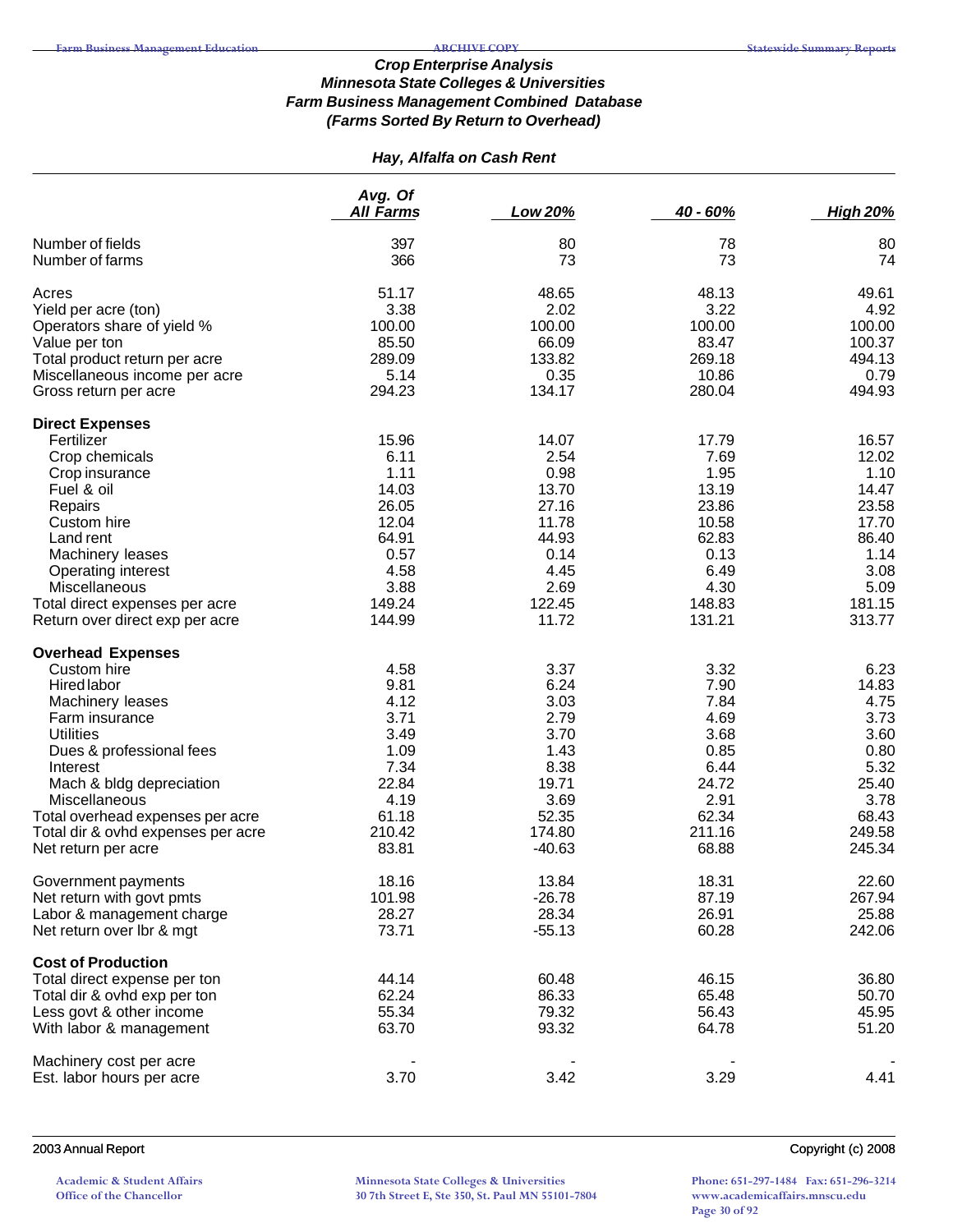# *Hay, Alfalfa on Cash Rent*

|                                     | Avg. Of<br><b>All Farms</b> | Low 20%      | 40 - 60%     | <b>High 20%</b> |
|-------------------------------------|-----------------------------|--------------|--------------|-----------------|
| Number of fields                    | 397                         | 80           | 78           | 80              |
| Number of farms                     | 366                         | 73           | 73           | 74              |
| Acres                               | 51.17                       | 48.65        | 48.13        | 49.61           |
| Yield per acre (ton)                | 3.38                        | 2.02         | 3.22         | 4.92            |
| Operators share of yield %          | 100.00                      | 100.00       | 100.00       | 100.00          |
| Value per ton                       | 85.50                       | 66.09        | 83.47        | 100.37          |
| Total product return per acre       | 289.09                      | 133.82       | 269.18       | 494.13          |
| Miscellaneous income per acre       | 5.14                        | 0.35         | 10.86        | 0.79            |
| Gross return per acre               | 294.23                      | 134.17       | 280.04       | 494.93          |
| <b>Direct Expenses</b>              |                             |              |              |                 |
| Fertilizer                          | 15.96                       | 14.07        | 17.79        | 16.57           |
| Crop chemicals                      | 6.11                        | 2.54         | 7.69         | 12.02           |
| Crop insurance                      | 1.11                        | 0.98         | 1.95         | 1.10            |
| Fuel & oil                          | 14.03                       | 13.70        | 13.19        | 14.47           |
| Repairs                             | 26.05                       | 27.16        | 23.86        | 23.58           |
| Custom hire                         | 12.04                       | 11.78        | 10.58        | 17.70           |
| Land rent                           | 64.91                       | 44.93        | 62.83        | 86.40           |
| Machinery leases                    | 0.57                        | 0.14         | 0.13         | 1.14            |
| Operating interest<br>Miscellaneous | 4.58<br>3.88                | 4.45<br>2.69 | 6.49<br>4.30 | 3.08<br>5.09    |
| Total direct expenses per acre      | 149.24                      | 122.45       | 148.83       | 181.15          |
| Return over direct exp per acre     | 144.99                      | 11.72        | 131.21       | 313.77          |
| <b>Overhead Expenses</b>            |                             |              |              |                 |
| Custom hire                         | 4.58                        | 3.37         | 3.32         | 6.23            |
| Hired labor                         | 9.81                        | 6.24         | 7.90         | 14.83           |
| Machinery leases                    | 4.12                        | 3.03         | 7.84         | 4.75            |
| Farm insurance                      | 3.71                        | 2.79         | 4.69         | 3.73            |
| <b>Utilities</b>                    | 3.49                        | 3.70         | 3.68         | 3.60            |
| Dues & professional fees            | 1.09                        | 1.43         | 0.85         | 0.80            |
| Interest                            | 7.34                        | 8.38         | 6.44         | 5.32            |
| Mach & bldg depreciation            | 22.84                       | 19.71        | 24.72        | 25.40           |
| Miscellaneous                       | 4.19                        | 3.69         | 2.91         | 3.78            |
| Total overhead expenses per acre    | 61.18                       | 52.35        | 62.34        | 68.43           |
| Total dir & ovhd expenses per acre  | 210.42                      | 174.80       | 211.16       | 249.58          |
| Net return per acre                 | 83.81                       | $-40.63$     | 68.88        | 245.34          |
| Government payments                 | 18.16                       | 13.84        | 18.31        | 22.60           |
| Net return with govt pmts           | 101.98                      | $-26.78$     | 87.19        | 267.94          |
| Labor & management charge           | 28.27                       | 28.34        | 26.91        | 25.88           |
| Net return over lbr & mgt           | 73.71                       | $-55.13$     | 60.28        | 242.06          |
| <b>Cost of Production</b>           |                             |              |              |                 |
| Total direct expense per ton        | 44.14                       | 60.48        | 46.15        | 36.80           |
| Total dir & ovhd exp per ton        | 62.24                       | 86.33        | 65.48        | 50.70           |
| Less govt & other income            | 55.34                       | 79.32        | 56.43        | 45.95           |
| With labor & management             | 63.70                       | 93.32        | 64.78        | 51.20           |
| Machinery cost per acre             |                             |              |              |                 |
| Est. labor hours per acre           | 3.70                        | 3.42         | 3.29         | 4.41            |

**Minnesota State Colleges & Universities 30 7th Street E, Ste 350, St. Paul MN 55101-7804** **Phone: 651-297-1484 Fax: 651-296-3214 www.academicaffairs.mnscu.edu Page 30 of 92**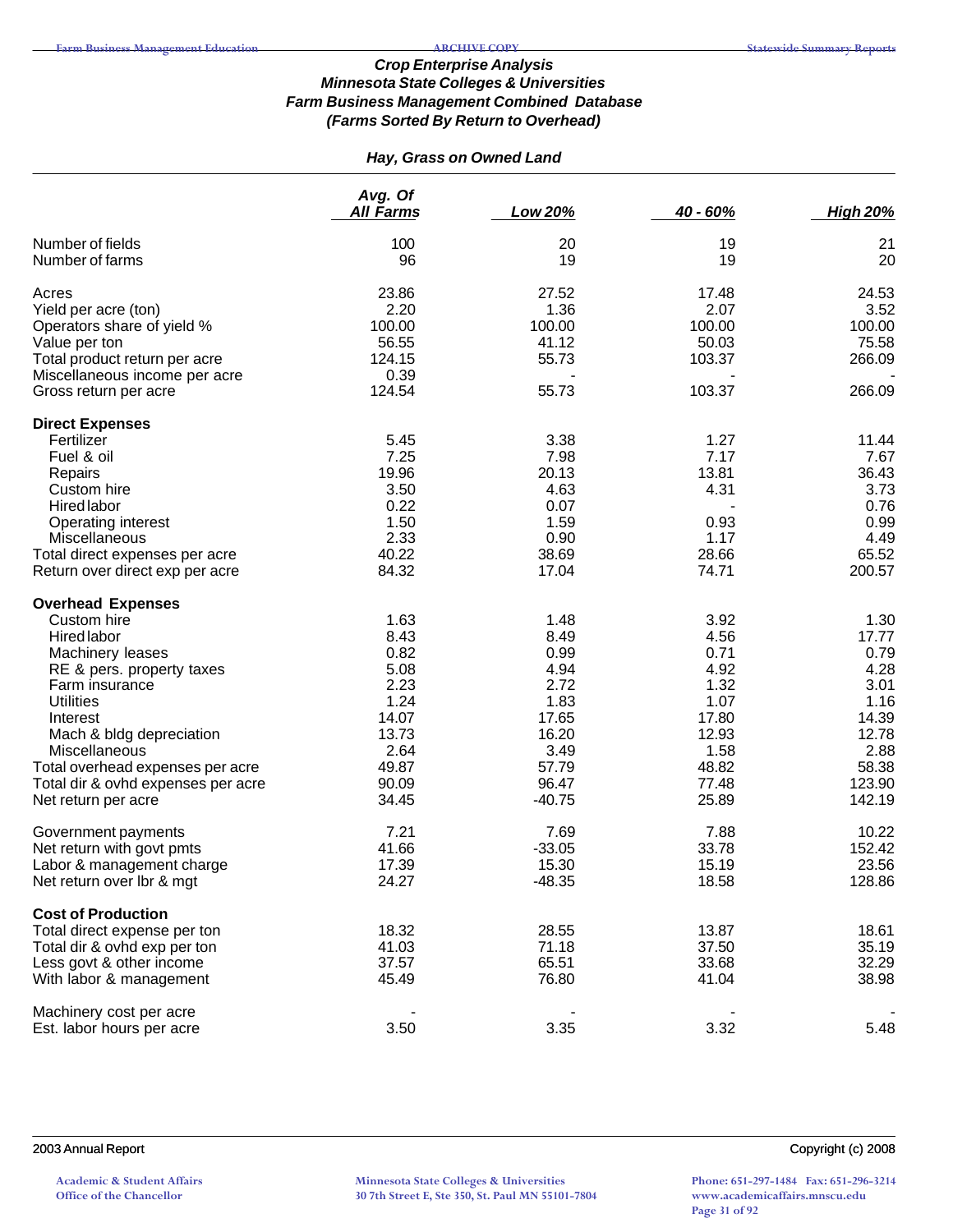# *Hay, Grass on Owned Land*

|                                                        | Avg. Of<br><b>All Farms</b> | Low 20%        | 40 - 60%        | <b>High 20%</b> |
|--------------------------------------------------------|-----------------------------|----------------|-----------------|-----------------|
| Number of fields<br>Number of farms                    | 100<br>96                   | 20<br>19       | 19<br>19        | 21<br>20        |
| Acres                                                  | 23.86                       | 27.52          | 17.48           | 24.53           |
| Yield per acre (ton)<br>Operators share of yield %     | 2.20<br>100.00              | 1.36<br>100.00 | 2.07<br>100.00  | 3.52<br>100.00  |
| Value per ton<br>Total product return per acre         | 56.55<br>124.15             | 41.12<br>55.73 | 50.03<br>103.37 | 75.58<br>266.09 |
| Miscellaneous income per acre<br>Gross return per acre | 0.39<br>124.54              | 55.73          | 103.37          | 266.09          |
| <b>Direct Expenses</b>                                 |                             |                |                 |                 |
| Fertilizer<br>Fuel & oil                               | 5.45<br>7.25                | 3.38<br>7.98   | 1.27<br>7.17    | 11.44<br>7.67   |
| Repairs                                                | 19.96                       | 20.13          | 13.81           | 36.43           |
| Custom hire                                            | 3.50                        | 4.63           | 4.31            | 3.73            |
| <b>Hired labor</b>                                     | 0.22                        | 0.07           |                 | 0.76            |
| Operating interest                                     | 1.50                        | 1.59           | 0.93            | 0.99            |
| Miscellaneous                                          | 2.33                        | 0.90           | 1.17            | 4.49            |
| Total direct expenses per acre                         | 40.22                       | 38.69          | 28.66           | 65.52           |
| Return over direct exp per acre                        | 84.32                       | 17.04          | 74.71           | 200.57          |
| <b>Overhead Expenses</b>                               |                             |                |                 |                 |
| Custom hire<br>Hired labor                             | 1.63<br>8.43                | 1.48           | 3.92<br>4.56    | 1.30            |
| Machinery leases                                       | 0.82                        | 8.49<br>0.99   | 0.71            | 17.77<br>0.79   |
| RE & pers. property taxes                              | 5.08                        | 4.94           | 4.92            | 4.28            |
| Farm insurance                                         | 2.23                        | 2.72           | 1.32            | 3.01            |
| <b>Utilities</b>                                       | 1.24                        | 1.83           | 1.07            | 1.16            |
| Interest                                               | 14.07                       | 17.65          | 17.80           | 14.39           |
| Mach & bldg depreciation                               | 13.73                       | 16.20          | 12.93           | 12.78           |
| Miscellaneous                                          | 2.64                        | 3.49           | 1.58            | 2.88            |
| Total overhead expenses per acre                       | 49.87                       | 57.79          | 48.82           | 58.38           |
| Total dir & ovhd expenses per acre                     | 90.09                       | 96.47          | 77.48           | 123.90          |
| Net return per acre                                    | 34.45                       | $-40.75$       | 25.89           | 142.19          |
| Government payments                                    | 7.21                        | 7.69           | 7.88            | 10.22           |
| Net return with govt pmts                              | 41.66                       | $-33.05$       | 33.78           | 152.42          |
| Labor & management charge                              | 17.39                       | 15.30          | 15.19           | 23.56           |
| Net return over lbr & mgt                              | 24.27                       | $-48.35$       | 18.58           | 128.86          |
| <b>Cost of Production</b>                              |                             |                |                 |                 |
| Total direct expense per ton                           | 18.32                       | 28.55          | 13.87           | 18.61           |
| Total dir & ovhd exp per ton                           | 41.03                       | 71.18          | 37.50           | 35.19           |
| Less govt & other income                               | 37.57<br>45.49              | 65.51<br>76.80 | 33.68<br>41.04  | 32.29<br>38.98  |
| With labor & management                                |                             |                |                 |                 |
| Machinery cost per acre                                |                             |                |                 |                 |
| Est. labor hours per acre                              | 3.50                        | 3.35           | 3.32            | 5.48            |

**Phone: 651-297-1484 Fax: 651-296-3214 www.academicaffairs.mnscu.edu Page 31 of 92**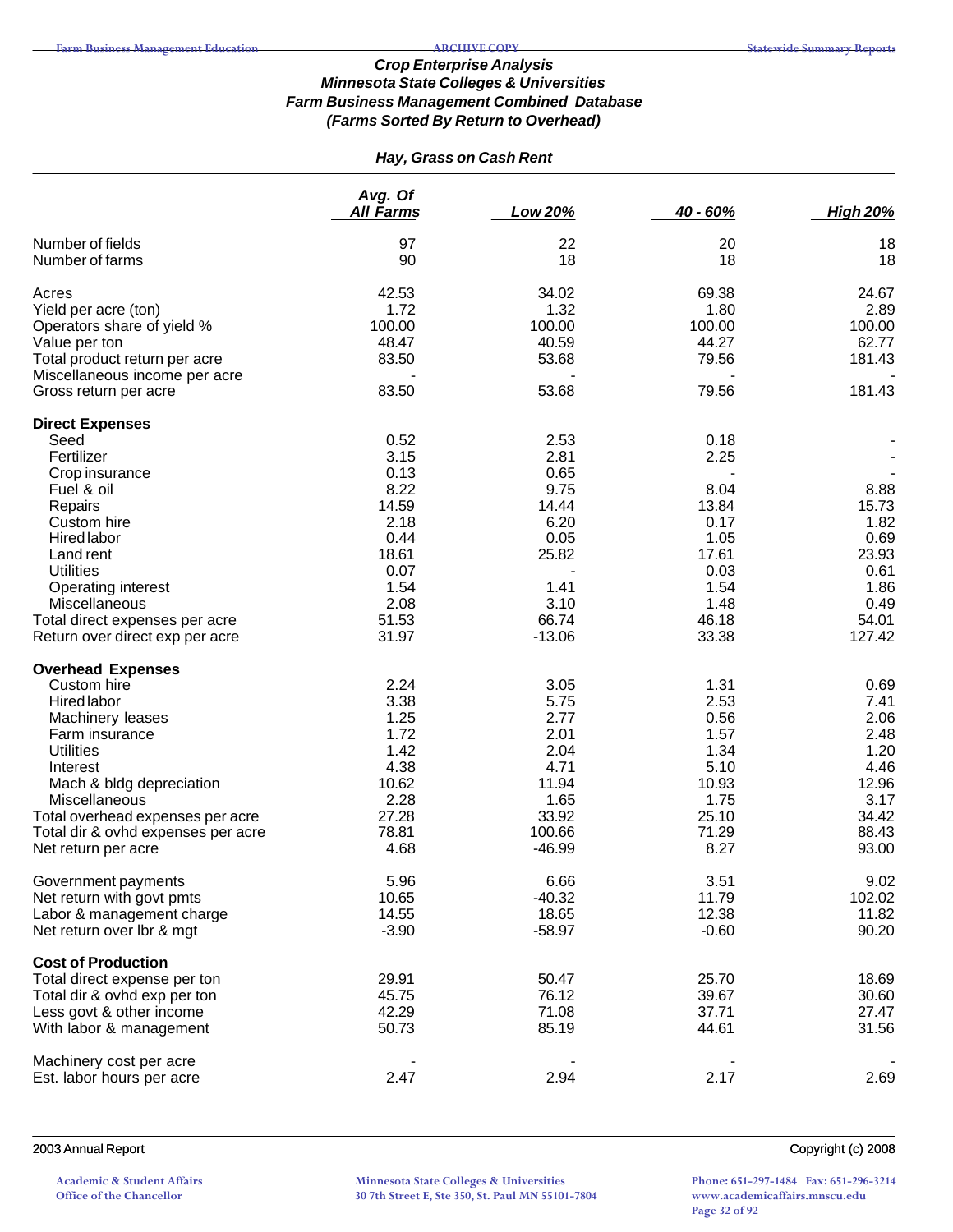# *Hay, Grass on Cash Rent*

|                                                           | Avg. Of<br><b>All Farms</b> | Low 20%       | 40 - 60%      | <b>High 20%</b> |
|-----------------------------------------------------------|-----------------------------|---------------|---------------|-----------------|
| Number of fields                                          | 97                          | 22            | 20            | 18              |
| Number of farms                                           | 90                          | 18            | 18            | 18              |
| Acres                                                     | 42.53                       | 34.02         | 69.38         | 24.67           |
| Yield per acre (ton)                                      | 1.72                        | 1.32          | 1.80          | 2.89            |
| Operators share of yield %                                | 100.00                      | 100.00        | 100.00        | 100.00          |
| Value per ton                                             | 48.47                       | 40.59         | 44.27         | 62.77           |
| Total product return per acre                             | 83.50                       | 53.68         | 79.56         | 181.43          |
| Miscellaneous income per acre                             |                             |               |               |                 |
| Gross return per acre                                     | 83.50                       | 53.68         | 79.56         | 181.43          |
| <b>Direct Expenses</b>                                    |                             |               |               |                 |
| Seed                                                      | 0.52                        | 2.53          | 0.18          |                 |
| Fertilizer                                                | 3.15                        | 2.81          | 2.25          |                 |
| Crop insurance                                            | 0.13<br>8.22                | 0.65          |               |                 |
| Fuel & oil                                                | 14.59                       | 9.75<br>14.44 | 8.04<br>13.84 | 8.88<br>15.73   |
| Repairs<br>Custom hire                                    | 2.18                        | 6.20          | 0.17          | 1.82            |
| Hired labor                                               | 0.44                        | 0.05          | 1.05          | 0.69            |
| Land rent                                                 | 18.61                       | 25.82         | 17.61         | 23.93           |
| <b>Utilities</b>                                          | 0.07                        |               | 0.03          | 0.61            |
| Operating interest                                        | 1.54                        | 1.41          | 1.54          | 1.86            |
| Miscellaneous                                             | 2.08                        | 3.10          | 1.48          | 0.49            |
| Total direct expenses per acre                            | 51.53                       | 66.74         | 46.18         | 54.01           |
| Return over direct exp per acre                           | 31.97                       | $-13.06$      | 33.38         | 127.42          |
| <b>Overhead Expenses</b>                                  |                             |               |               |                 |
| Custom hire                                               | 2.24                        | 3.05          | 1.31          | 0.69            |
| Hired labor                                               | 3.38                        | 5.75          | 2.53          | 7.41            |
| Machinery leases                                          | 1.25                        | 2.77          | 0.56          | 2.06            |
| Farm insurance                                            | 1.72                        | 2.01          | 1.57          | 2.48            |
| <b>Utilities</b>                                          | 1.42                        | 2.04          | 1.34          | 1.20            |
| Interest                                                  | 4.38                        | 4.71          | 5.10          | 4.46            |
| Mach & bldg depreciation                                  | 10.62                       | 11.94         | 10.93         | 12.96           |
| Miscellaneous                                             | 2.28<br>27.28               | 1.65<br>33.92 | 1.75<br>25.10 | 3.17<br>34.42   |
| Total overhead expenses per acre                          | 78.81                       | 100.66        | 71.29         | 88.43           |
| Total dir & ovhd expenses per acre<br>Net return per acre | 4.68                        | $-46.99$      | 8.27          | 93.00           |
| Government payments                                       | 5.96                        | 6.66          | 3.51          | 9.02            |
| Net return with govt pmts                                 | 10.65                       | $-40.32$      | 11.79         | 102.02          |
| Labor & management charge                                 | 14.55                       | 18.65         | 12.38         | 11.82           |
| Net return over Ibr & mgt                                 | $-3.90$                     | $-58.97$      | $-0.60$       | 90.20           |
| <b>Cost of Production</b>                                 |                             |               |               |                 |
| Total direct expense per ton                              | 29.91                       | 50.47         | 25.70         | 18.69           |
| Total dir & ovhd exp per ton                              | 45.75                       | 76.12         | 39.67         | 30.60           |
| Less govt & other income                                  | 42.29                       | 71.08         | 37.71         | 27.47           |
| With labor & management                                   | 50.73                       | 85.19         | 44.61         | 31.56           |
| Machinery cost per acre                                   |                             |               |               |                 |
| Est. labor hours per acre                                 | 2.47                        | 2.94          | 2.17          | 2.69            |

**Minnesota State Colleges & Universities 30 7th Street E, Ste 350, St. Paul MN 55101-7804** **Phone: 651-297-1484 Fax: 651-296-3214 www.academicaffairs.mnscu.edu Page 32 of 92**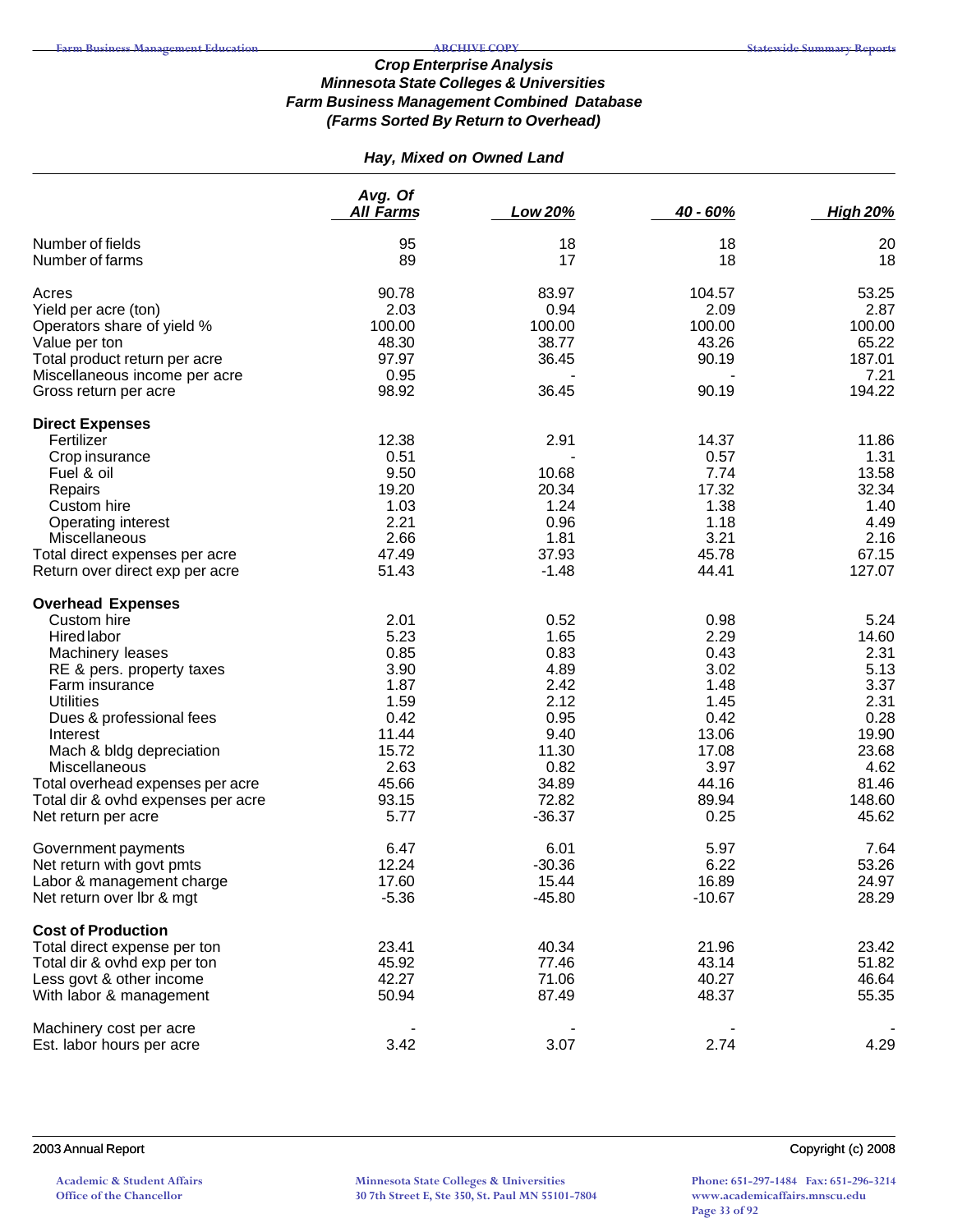# *Hay, Mixed on Owned Land*

|                                    | Avg. Of<br><b>All Farms</b> | Low 20%  | 40 - 60% | <b>High 20%</b> |
|------------------------------------|-----------------------------|----------|----------|-----------------|
| Number of fields                   | 95                          | 18       | 18       | 20              |
| Number of farms                    | 89                          | 17       | 18       | 18              |
| Acres                              | 90.78                       | 83.97    | 104.57   | 53.25           |
| Yield per acre (ton)               | 2.03                        | 0.94     | 2.09     | 2.87            |
| Operators share of yield %         | 100.00                      | 100.00   | 100.00   | 100.00          |
| Value per ton                      | 48.30                       | 38.77    | 43.26    | 65.22           |
| Total product return per acre      | 97.97                       | 36.45    | 90.19    | 187.01          |
| Miscellaneous income per acre      | 0.95                        |          |          | 7.21            |
| Gross return per acre              | 98.92                       | 36.45    | 90.19    | 194.22          |
| <b>Direct Expenses</b>             |                             |          |          |                 |
| Fertilizer                         | 12.38                       | 2.91     | 14.37    | 11.86           |
| Crop insurance                     | 0.51                        |          | 0.57     | 1.31            |
| Fuel & oil                         | 9.50                        | 10.68    | 7.74     | 13.58           |
| Repairs                            | 19.20                       | 20.34    | 17.32    | 32.34           |
| Custom hire                        | 1.03                        | 1.24     | 1.38     | 1.40            |
| Operating interest                 | 2.21                        | 0.96     | 1.18     | 4.49            |
| Miscellaneous                      | 2.66                        | 1.81     | 3.21     | 2.16            |
| Total direct expenses per acre     | 47.49                       | 37.93    | 45.78    | 67.15           |
| Return over direct exp per acre    | 51.43                       | $-1.48$  | 44.41    | 127.07          |
| <b>Overhead Expenses</b>           |                             |          |          |                 |
| Custom hire                        | 2.01                        | 0.52     | 0.98     | 5.24            |
| <b>Hired labor</b>                 | 5.23                        | 1.65     | 2.29     | 14.60           |
| Machinery leases                   | 0.85                        | 0.83     | 0.43     | 2.31            |
| RE & pers. property taxes          | 3.90                        | 4.89     | 3.02     | 5.13            |
| Farm insurance                     | 1.87                        | 2.42     | 1.48     | 3.37            |
| <b>Utilities</b>                   | 1.59                        | 2.12     | 1.45     | 2.31            |
| Dues & professional fees           | 0.42                        | 0.95     | 0.42     | 0.28            |
| Interest                           | 11.44                       | 9.40     | 13.06    | 19.90           |
| Mach & bldg depreciation           | 15.72                       | 11.30    | 17.08    | 23.68           |
| Miscellaneous                      | 2.63                        | 0.82     | 3.97     | 4.62            |
| Total overhead expenses per acre   | 45.66                       | 34.89    | 44.16    | 81.46           |
| Total dir & ovhd expenses per acre | 93.15                       | 72.82    | 89.94    | 148.60          |
| Net return per acre                | 5.77                        | $-36.37$ | 0.25     | 45.62           |
| Government payments                | 6.47                        | 6.01     | 5.97     | 7.64            |
| Net return with govt pmts          | 12.24                       | $-30.36$ | 6.22     | 53.26           |
| Labor & management charge          | 17.60                       | 15.44    | 16.89    | 24.97           |
| Net return over lbr & mgt          | $-5.36$                     | $-45.80$ | $-10.67$ | 28.29           |
| <b>Cost of Production</b>          |                             |          |          |                 |
| Total direct expense per ton       | 23.41                       | 40.34    | 21.96    | 23.42           |
| Total dir & ovhd exp per ton       | 45.92                       | 77.46    | 43.14    | 51.82           |
| Less govt & other income           | 42.27                       | 71.06    | 40.27    | 46.64           |
| With labor & management            | 50.94                       | 87.49    | 48.37    | 55.35           |
| Machinery cost per acre            |                             |          |          |                 |
| Est. labor hours per acre          | 3.42                        | 3.07     | 2.74     | 4.29            |
|                                    |                             |          |          |                 |

2003 Annual Report Copyright (c) 2008

**Academic & Student Affairs Office of the Chancellor**

**Minnesota State Colleges & Universities 30 7th Street E, Ste 350, St. Paul MN 55101-7804**

**Phone: 651-297-1484 Fax: 651-296-3214 www.academicaffairs.mnscu.edu Page 33 of 92**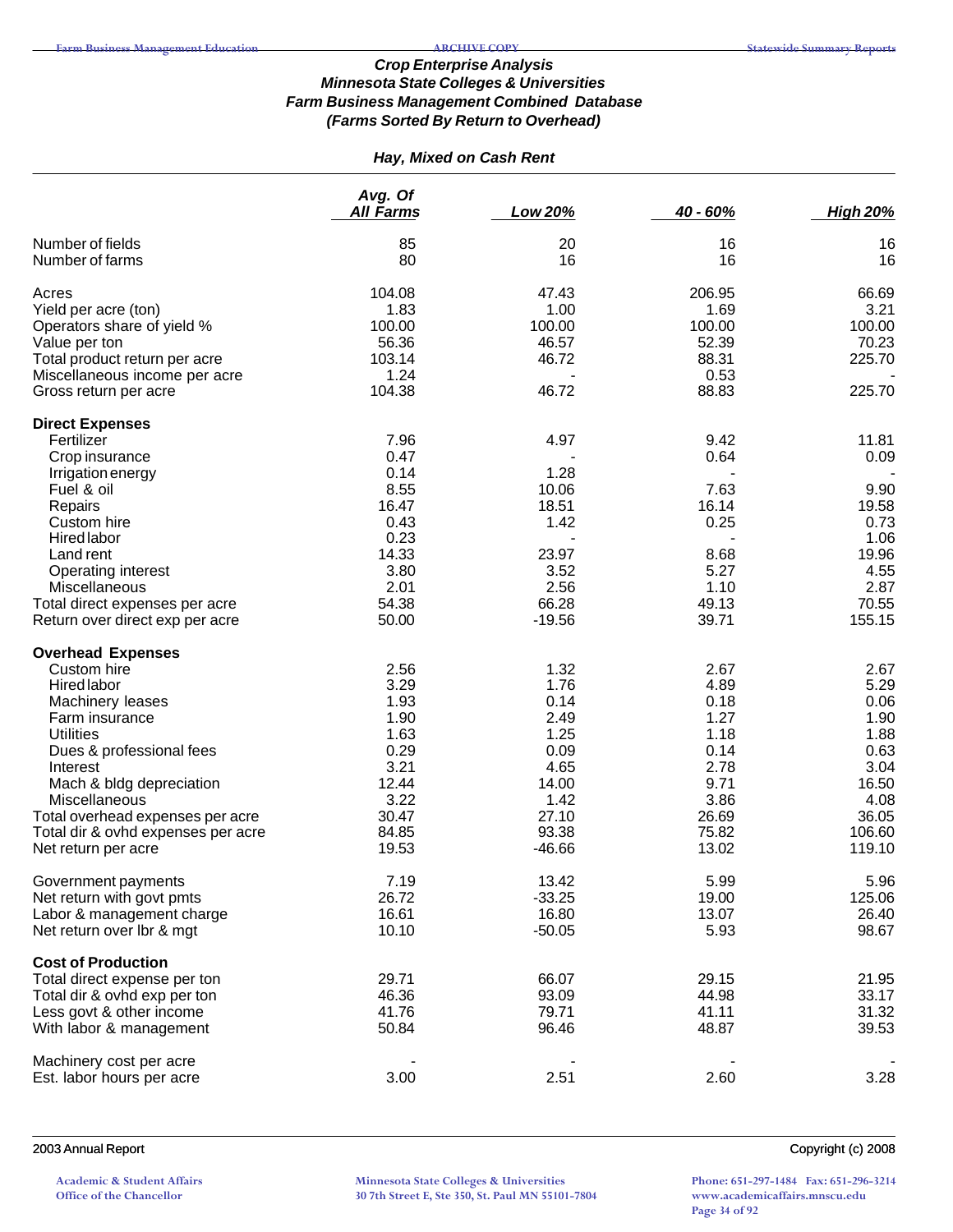# *Hay, Mixed on Cash Rent*

|                                    | Avg. Of          |          |          |                 |
|------------------------------------|------------------|----------|----------|-----------------|
|                                    | <b>All Farms</b> | Low 20%  | 40 - 60% | <b>High 20%</b> |
| Number of fields                   | 85               | 20       | 16       | 16              |
| Number of farms                    | 80               | 16       | 16       | 16              |
| Acres                              | 104.08           | 47.43    | 206.95   | 66.69           |
| Yield per acre (ton)               | 1.83             | 1.00     | 1.69     | 3.21            |
| Operators share of yield %         | 100.00           | 100.00   | 100.00   | 100.00          |
| Value per ton                      | 56.36            | 46.57    | 52.39    | 70.23           |
| Total product return per acre      | 103.14           | 46.72    | 88.31    | 225.70          |
| Miscellaneous income per acre      | 1.24             |          | 0.53     |                 |
| Gross return per acre              | 104.38           | 46.72    | 88.83    | 225.70          |
| <b>Direct Expenses</b>             |                  |          |          |                 |
| Fertilizer                         | 7.96             | 4.97     | 9.42     | 11.81           |
| Crop insurance                     | 0.47             |          | 0.64     | 0.09            |
| Irrigation energy                  | 0.14             | 1.28     |          |                 |
| Fuel & oil                         | 8.55             | 10.06    | 7.63     | 9.90            |
| Repairs                            | 16.47            | 18.51    | 16.14    | 19.58           |
| Custom hire                        | 0.43             | 1.42     | 0.25     | 0.73            |
| <b>Hired labor</b>                 | 0.23             |          |          | 1.06            |
| Land rent                          | 14.33            | 23.97    | 8.68     | 19.96           |
| Operating interest                 | 3.80             | 3.52     | 5.27     | 4.55            |
| Miscellaneous                      | 2.01             | 2.56     | 1.10     | 2.87            |
| Total direct expenses per acre     | 54.38            | 66.28    | 49.13    | 70.55           |
| Return over direct exp per acre    | 50.00            | $-19.56$ | 39.71    | 155.15          |
| <b>Overhead Expenses</b>           |                  |          |          |                 |
| Custom hire                        | 2.56             | 1.32     | 2.67     | 2.67            |
| Hired labor                        | 3.29             | 1.76     | 4.89     | 5.29            |
| Machinery leases                   | 1.93             | 0.14     | 0.18     | 0.06            |
| Farm insurance                     | 1.90             | 2.49     | 1.27     | 1.90            |
| <b>Utilities</b>                   | 1.63             | 1.25     | 1.18     | 1.88            |
| Dues & professional fees           | 0.29             | 0.09     | 0.14     | 0.63            |
| Interest                           | 3.21             | 4.65     | 2.78     | 3.04            |
| Mach & bldg depreciation           | 12.44            | 14.00    | 9.71     | 16.50           |
| Miscellaneous                      | 3.22             | 1.42     | 3.86     | 4.08            |
| Total overhead expenses per acre   | 30.47            | 27.10    | 26.69    | 36.05           |
| Total dir & ovhd expenses per acre | 84.85            | 93.38    | 75.82    | 106.60          |
| Net return per acre                | 19.53            | $-46.66$ | 13.02    | 119.10          |
| Government payments                | 7.19             | 13.42    | 5.99     | 5.96            |
| Net return with govt pmts          | 26.72            | $-33.25$ | 19.00    | 125.06          |
| Labor & management charge          | 16.61            | 16.80    | 13.07    | 26.40           |
| Net return over Ibr & mgt          | 10.10            | $-50.05$ | 5.93     | 98.67           |
| <b>Cost of Production</b>          |                  |          |          |                 |
| Total direct expense per ton       | 29.71            | 66.07    | 29.15    | 21.95           |
| Total dir & ovhd exp per ton       | 46.36            | 93.09    | 44.98    | 33.17           |
| Less govt & other income           | 41.76            | 79.71    | 41.11    | 31.32           |
| With labor & management            | 50.84            | 96.46    | 48.87    | 39.53           |
| Machinery cost per acre            |                  |          |          |                 |
| Est. labor hours per acre          | 3.00             | 2.51     | 2.60     | 3.28            |

**Phone: 651-297-1484 Fax: 651-296-3214 www.academicaffairs.mnscu.edu Page 34 of 92**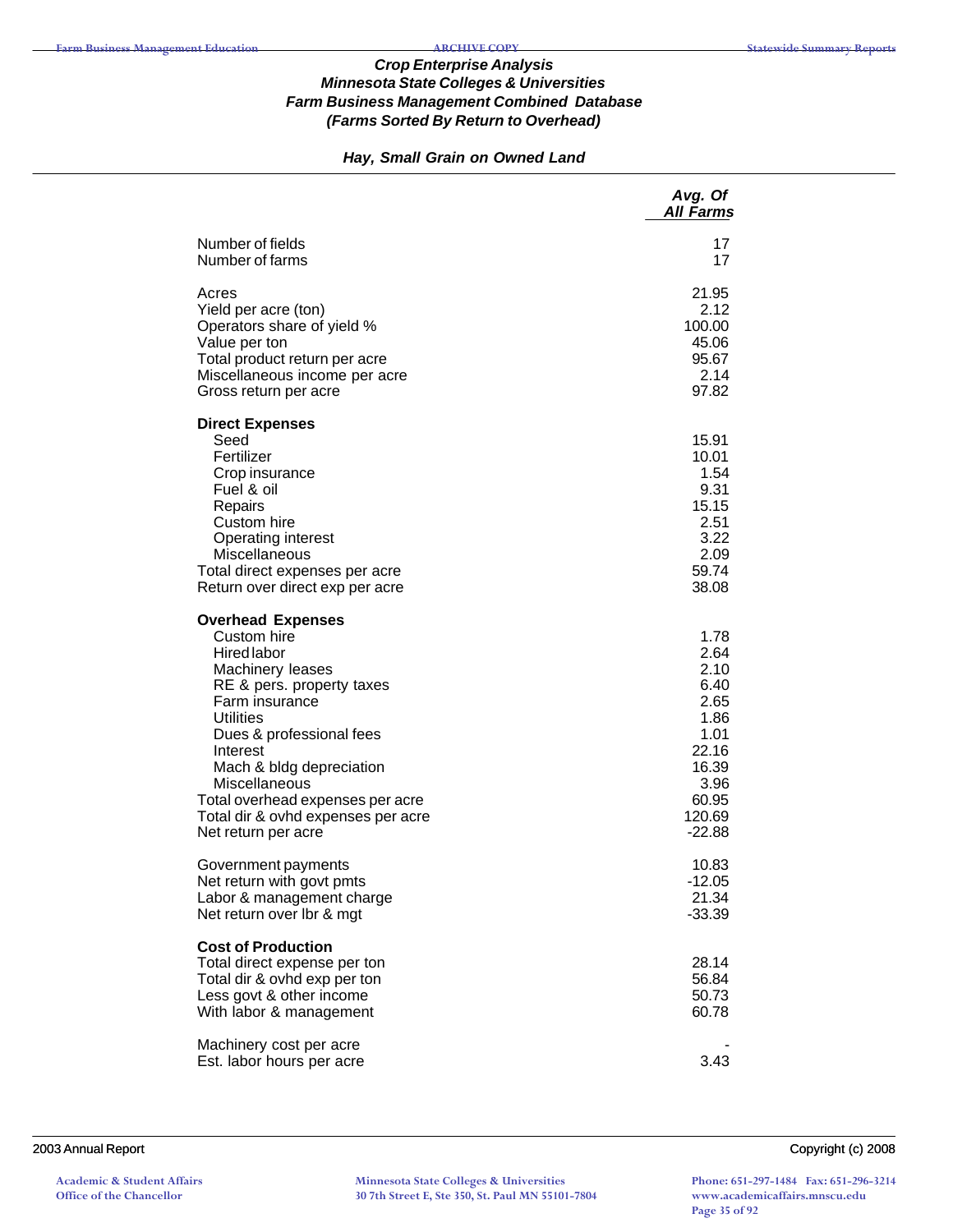## *Hay, Small Grain on Owned Land*

|                                                                                                                                                                                                                                                                                                                                            | Avg. Of<br><b>All Farms</b>                                                                                   |
|--------------------------------------------------------------------------------------------------------------------------------------------------------------------------------------------------------------------------------------------------------------------------------------------------------------------------------------------|---------------------------------------------------------------------------------------------------------------|
| Number of fields<br>Number of farms                                                                                                                                                                                                                                                                                                        | 17<br>17                                                                                                      |
| Acres<br>Yield per acre (ton)<br>Operators share of yield %<br>Value per ton<br>Total product return per acre<br>Miscellaneous income per acre<br>Gross return per acre                                                                                                                                                                    | 21.95<br>2.12<br>100.00<br>45.06<br>95.67<br>2.14<br>97.82                                                    |
| <b>Direct Expenses</b><br>Seed<br>Fertilizer<br>Crop insurance<br>Fuel & oil<br>Repairs<br>Custom hire<br>Operating interest<br>Miscellaneous<br>Total direct expenses per acre<br>Return over direct exp per acre                                                                                                                         | 15.91<br>10.01<br>1.54<br>9.31<br>15.15<br>2.51<br>3.22<br>2.09<br>59.74<br>38.08                             |
| <b>Overhead Expenses</b><br>Custom hire<br><b>Hired</b> labor<br>Machinery leases<br>RE & pers. property taxes<br>Farm insurance<br><b>Utilities</b><br>Dues & professional fees<br>Interest<br>Mach & bldg depreciation<br>Miscellaneous<br>Total overhead expenses per acre<br>Total dir & ovhd expenses per acre<br>Net return per acre | 1.78<br>2.64<br>2.10<br>6.40<br>2.65<br>1.86<br>1.01<br>22.16<br>16.39<br>3.96<br>60.95<br>120.69<br>$-22.88$ |
| Government payments<br>Net return with govt pmts<br>Labor & management charge<br>Net return over Ibr & mgt                                                                                                                                                                                                                                 | 10.83<br>$-12.05$<br>21.34<br>$-33.39$                                                                        |
| <b>Cost of Production</b><br>Total direct expense per ton<br>Total dir & ovhd exp per ton<br>Less govt & other income<br>With labor & management                                                                                                                                                                                           | 28.14<br>56.84<br>50.73<br>60.78                                                                              |
| Machinery cost per acre<br>Est. labor hours per acre                                                                                                                                                                                                                                                                                       | 3.43                                                                                                          |

### 2003 Annual Report Copyright (c) 2008

**Minnesota State Colleges & Universities 30 7th Street E, Ste 350, St. Paul MN 55101-7804** **Phone: 651-297-1484 Fax: 651-296-3214 www.academicaffairs.mnscu.edu Page 35 of 92**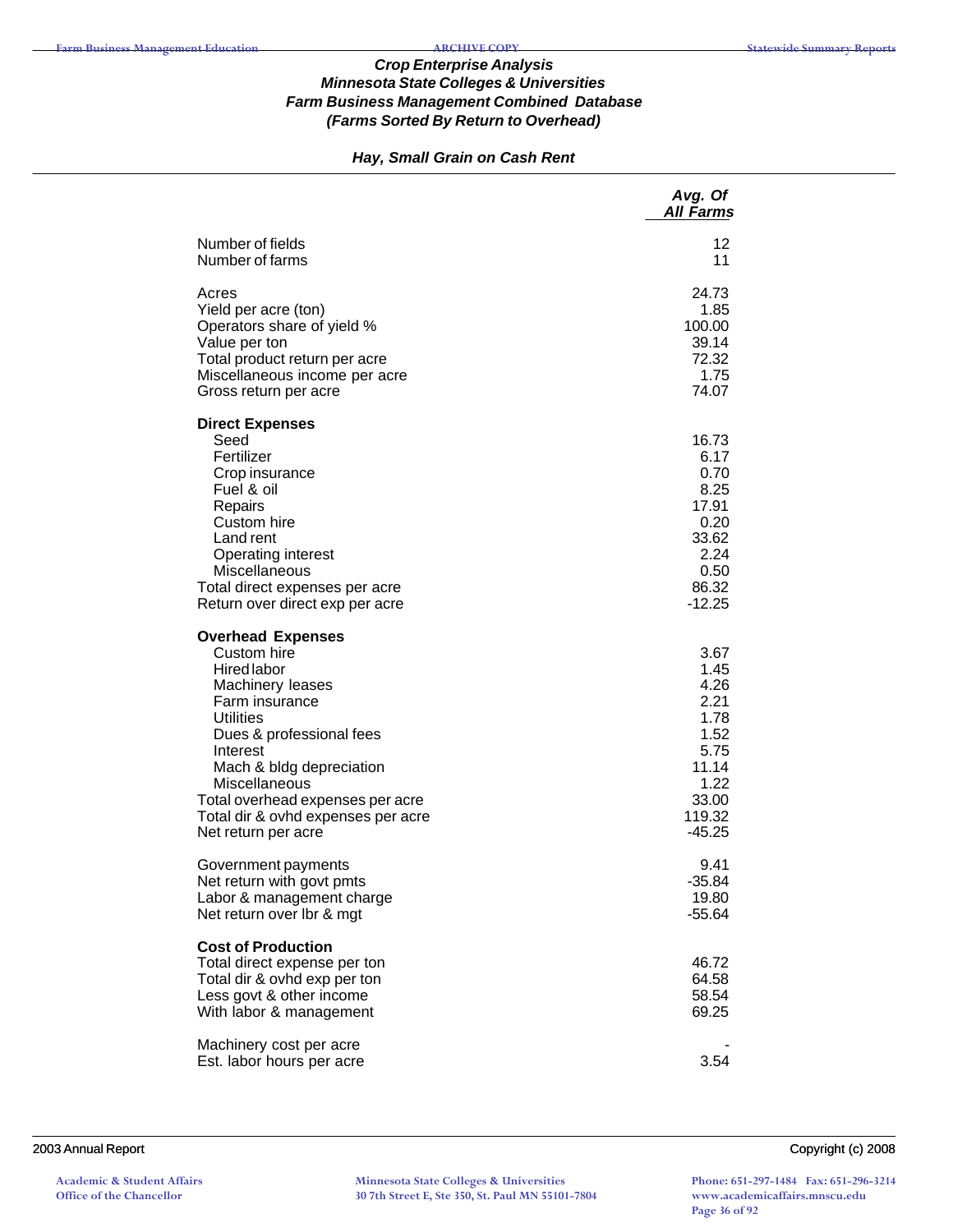# *Hay, Small Grain on Cash Rent*

|                                                                                                                                                                                                                                                                                                               | Avg. Of<br><b>All Farms</b>                                                                          |
|---------------------------------------------------------------------------------------------------------------------------------------------------------------------------------------------------------------------------------------------------------------------------------------------------------------|------------------------------------------------------------------------------------------------------|
| Number of fields<br>Number of farms                                                                                                                                                                                                                                                                           | 12<br>11                                                                                             |
| Acres<br>Yield per acre (ton)<br>Operators share of yield %<br>Value per ton<br>Total product return per acre<br>Miscellaneous income per acre<br>Gross return per acre                                                                                                                                       | 24.73<br>1.85<br>100.00<br>39.14<br>72.32<br>1.75<br>74.07                                           |
| <b>Direct Expenses</b><br>Seed<br>Fertilizer<br>Crop insurance<br>Fuel & oil<br>Repairs<br>Custom hire<br>Land rent<br>Operating interest<br>Miscellaneous<br>Total direct expenses per acre<br>Return over direct exp per acre                                                                               | 16.73<br>6.17<br>0.70<br>8.25<br>17.91<br>0.20<br>33.62<br>2.24<br>0.50<br>86.32<br>$-12.25$         |
| <b>Overhead Expenses</b><br>Custom hire<br><b>Hired labor</b><br>Machinery leases<br>Farm insurance<br><b>Utilities</b><br>Dues & professional fees<br>Interest<br>Mach & bldg depreciation<br>Miscellaneous<br>Total overhead expenses per acre<br>Total dir & ovhd expenses per acre<br>Net return per acre | 3.67<br>1.45<br>4.26<br>2.21<br>1.78<br>1.52<br>5.75<br>11.14<br>1.22<br>33.00<br>119.32<br>$-45.25$ |
| Government payments<br>Net return with govt pmts<br>Labor & management charge<br>Net return over Ibr & mgt                                                                                                                                                                                                    | 9.41<br>$-35.84$<br>19.80<br>$-55.64$                                                                |
| <b>Cost of Production</b><br>Total direct expense per ton<br>Total dir & ovhd exp per ton<br>Less govt & other income<br>With labor & management                                                                                                                                                              | 46.72<br>64.58<br>58.54<br>69.25                                                                     |
| Machinery cost per acre<br>Est. labor hours per acre                                                                                                                                                                                                                                                          | 3.54                                                                                                 |

### 2003 Annual Report Copyright (c) 2008

**Minnesota State Colleges & Universities 30 7th Street E, Ste 350, St. Paul MN 55101-7804**

**Phone: 651-297-1484 Fax: 651-296-3214 www.academicaffairs.mnscu.edu Page 36 of 92**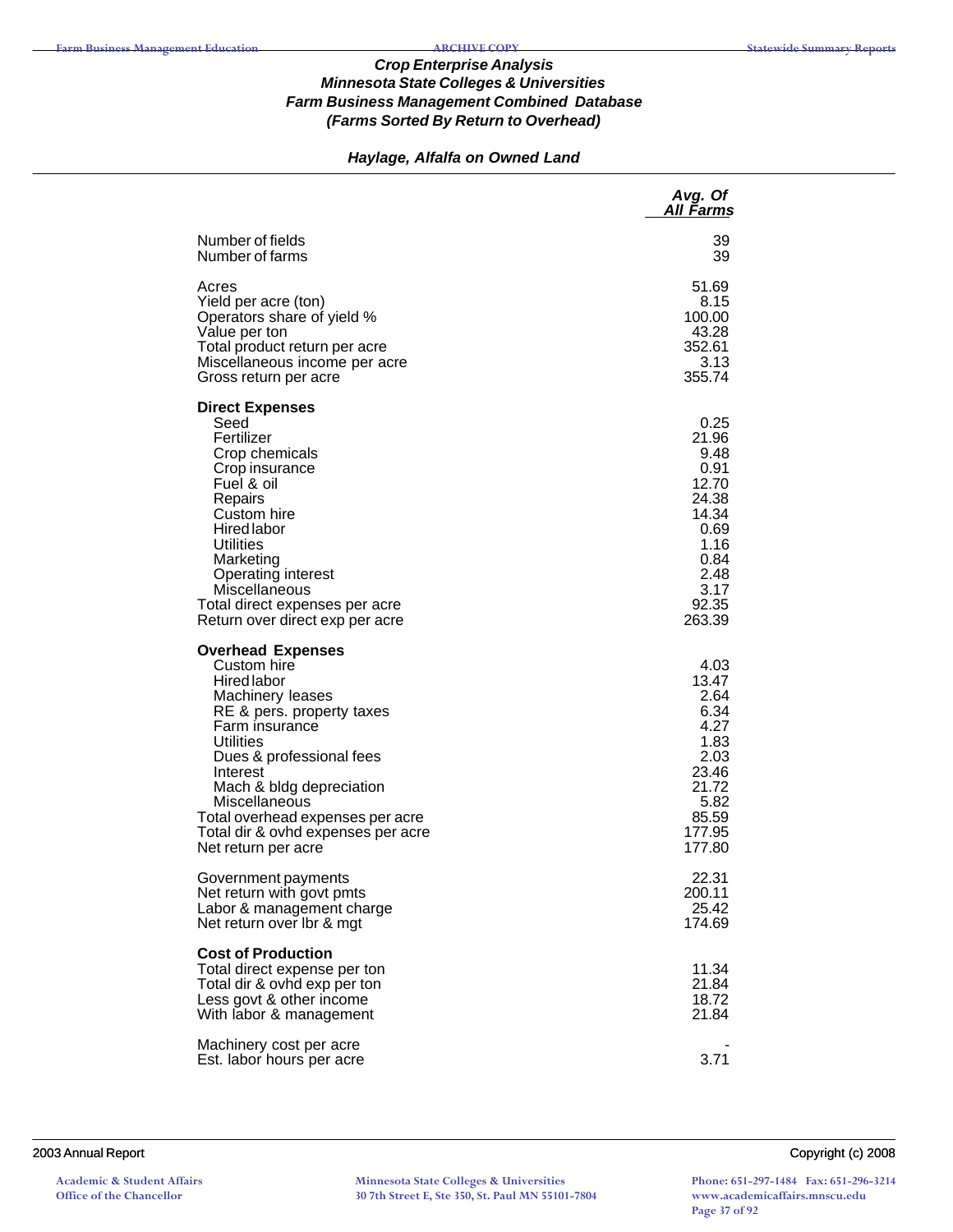# *Haylage, Alfalfa on Owned Land*

|                                                                                                                                                                                                                                                                                                                                     | Avg. Of<br>All Farms                                                                                                |
|-------------------------------------------------------------------------------------------------------------------------------------------------------------------------------------------------------------------------------------------------------------------------------------------------------------------------------------|---------------------------------------------------------------------------------------------------------------------|
| Number of fields<br>Number of farms                                                                                                                                                                                                                                                                                                 | 39<br>39                                                                                                            |
| Acres<br>Yield per acre (ton)<br>Operators share of yield %<br>Value per ton<br>Total product return per acre<br>Miscellaneous income per acre<br>Gross return per acre                                                                                                                                                             | 51.69<br>8.15<br>100.00<br>43.28<br>352.61<br>3.13<br>355.74                                                        |
| <b>Direct Expenses</b><br>Seed<br>Fertilizer<br>Crop chemicals<br>Crop insurance<br>Fuel & oil<br>Repairs<br>Custom hire<br>Hired labor<br>Utilities<br>Marketing<br><b>Operating interest</b><br>Miscellaneous<br>Total direct expenses per acre<br>Return over direct exp per acre                                                | 0.25<br>21.96<br>9.48<br>0.91<br>12.70<br>24.38<br>14.34<br>0.69<br>1.16<br>0.84<br>2.48<br>3.17<br>92.35<br>263.39 |
| <b>Overhead Expenses</b><br>Custom hire<br><b>Hired labor</b><br>Machinery leases<br>RE & pers. property taxes<br>Farm insurance<br>Utilities<br>Dues & professional fees<br>Interest<br>Mach & bldg depreciation<br>Miscellaneous<br>Total overhead expenses per acre<br>Total dir & ovhd expenses per acre<br>Net return per acre | 4.03<br>13.47<br>2.64<br>6.34<br>4.27<br>1.83<br>2.03<br>23.46<br>21.72<br>5.82<br>85.59<br>177.95<br>177.80        |
| Government payments<br>Net return with govt pmts<br>Labor & management charge<br>Net return over Ibr & mgt                                                                                                                                                                                                                          | 22.31<br>200.11<br>25.42<br>174.69                                                                                  |
| <b>Cost of Production</b><br>Total direct expense per ton<br>Total dir & ovhd exp per ton<br>Less govt & other income<br>With labor & management                                                                                                                                                                                    | 11.34<br>21.84<br>18.72<br>21.84                                                                                    |
| Machinery cost per acre<br>Est. labor hours per acre                                                                                                                                                                                                                                                                                | 3.71                                                                                                                |

### 2003 Annual Report Copyright (c) 2008

**Academic & Student Affairs Office of the Chancellor**

**Minnesota State Colleges & Universities 30 7th Street E, Ste 350, St. Paul MN 55101-7804**

**Phone: 651-297-1484 Fax: 651-296-3214 www.academicaffairs.mnscu.edu Page 37 of 92**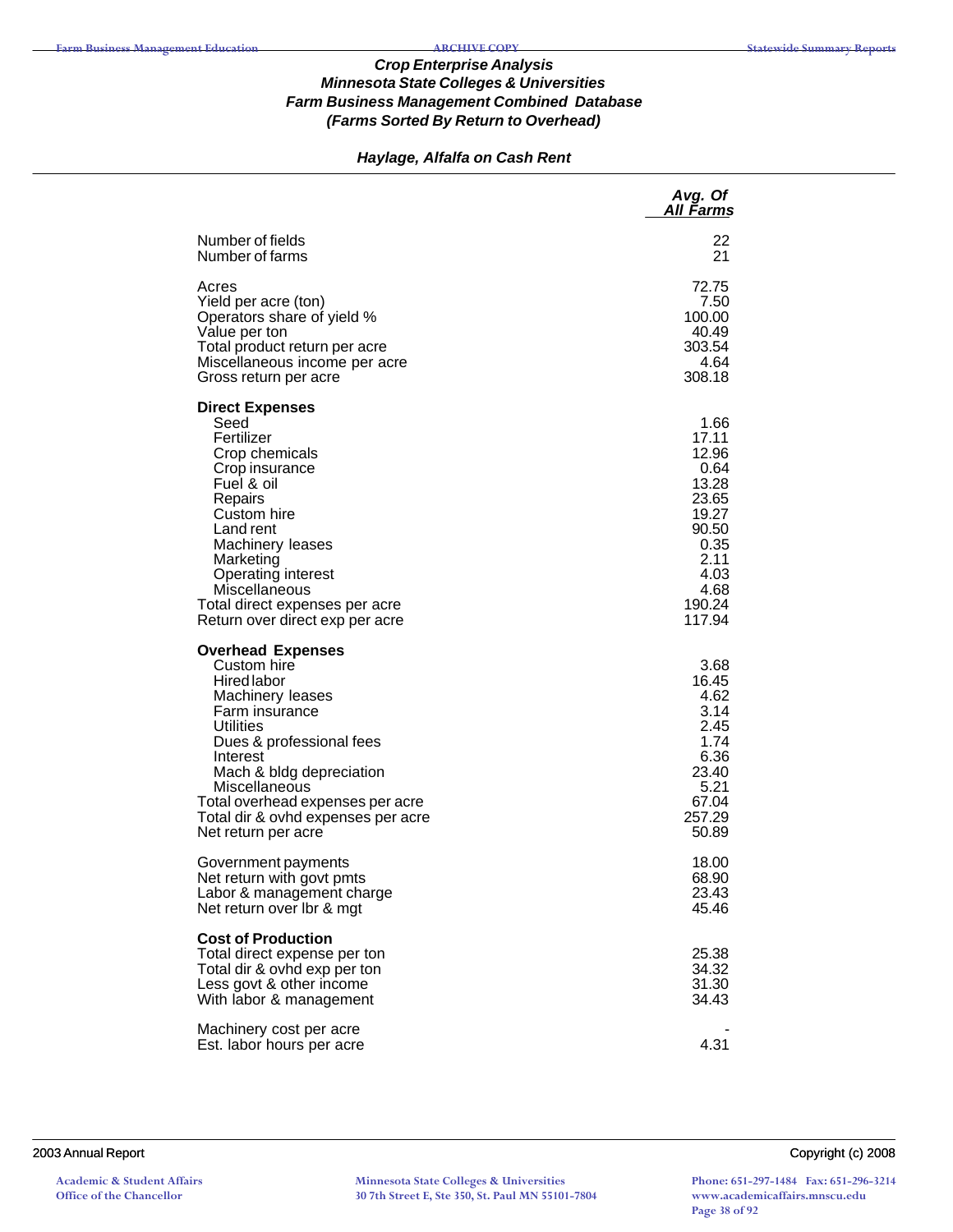# *Haylage, Alfalfa on Cash Rent*

|                                                                                                                                                                                                                                                                                                 | Avg. Of<br>All Farms                                                                                                   |
|-------------------------------------------------------------------------------------------------------------------------------------------------------------------------------------------------------------------------------------------------------------------------------------------------|------------------------------------------------------------------------------------------------------------------------|
| Number of fields<br>Number of farms                                                                                                                                                                                                                                                             | 22<br>21                                                                                                               |
| Acres<br>Yield per acre (ton)<br>Operators share of yield %<br>Value per ton<br>Total product return per acre<br>Miscellaneous income per acre<br>Gross return per acre                                                                                                                         | 72.75<br>7.50<br>100.00<br>40.49<br>303.54<br>4.64<br>308.18                                                           |
| <b>Direct Expenses</b><br>Seed<br>Fertilizer<br>Crop chemicals<br>Crop insurance<br>Fuel & oil<br>Repairs<br>Custom hire<br>Land rent<br>Machinery leases<br>Marketing<br><b>Operating interest</b><br>Miscellaneous<br>Total direct expenses per acre<br>Return over direct exp per acre       | 1.66<br>17.11<br>12.96<br>0.64<br>13.28<br>23.65<br>19.27<br>90.50<br>0.35<br>2.11<br>4.03<br>4.68<br>190.24<br>117.94 |
| <b>Overhead Expenses</b><br>Custom hire<br>Hired labor<br>Machinery leases<br>Farm insurance<br>Utilities<br>Dues & professional fees<br>Interest<br>Mach & bldg depreciation<br>Miscellaneous<br>Total overhead expenses per acre<br>Total dir & ovhd expenses per acre<br>Net return per acre | 3.68<br>16.45<br>4.62<br>3.14<br>2.45<br>1.74<br>6.36<br>23.40<br>5.21<br>67.04<br>257.29<br>50.89                     |
| Government payments<br>Net return with govt pmts<br>Labor & management charge<br>Net return over Ibr & mgt                                                                                                                                                                                      | 18.00<br>68.90<br>23.43<br>45.46                                                                                       |
| <b>Cost of Production</b><br>Total direct expense per ton<br>Total dir & ovhd exp per ton<br>Less govt & other income<br>With labor & management                                                                                                                                                | 25.38<br>34.32<br>31.30<br>34.43                                                                                       |
| Machinery cost per acre<br>Est. labor hours per acre                                                                                                                                                                                                                                            | 4.31                                                                                                                   |

### 2003 Annual Report Copyright (c) 2008

**Phone: 651-297-1484 Fax: 651-296-3214 www.academicaffairs.mnscu.edu Page 38 of 92**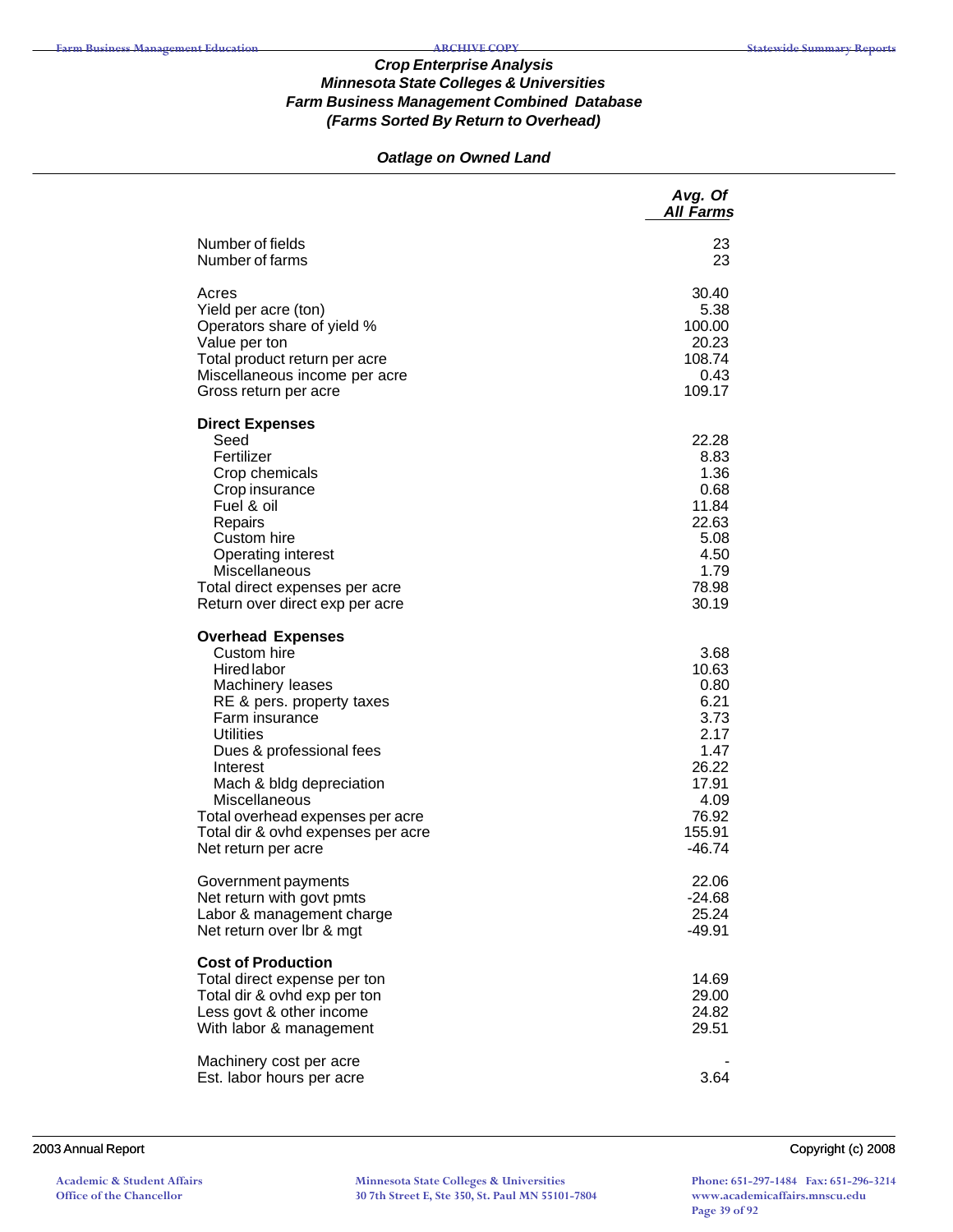## *Oatlage on Owned Land*

|                                                                                                                                                                                                                                                                                                                                            | Avg. Of<br><b>All Farms</b>                                                                                    |
|--------------------------------------------------------------------------------------------------------------------------------------------------------------------------------------------------------------------------------------------------------------------------------------------------------------------------------------------|----------------------------------------------------------------------------------------------------------------|
| Number of fields<br>Number of farms                                                                                                                                                                                                                                                                                                        | 23<br>23                                                                                                       |
| Acres<br>Yield per acre (ton)<br>Operators share of yield %<br>Value per ton<br>Total product return per acre<br>Miscellaneous income per acre<br>Gross return per acre                                                                                                                                                                    | 30.40<br>5.38<br>100.00<br>20.23<br>108.74<br>0.43<br>109.17                                                   |
| <b>Direct Expenses</b><br>Seed<br>Fertilizer<br>Crop chemicals<br>Crop insurance<br>Fuel & oil<br>Repairs<br>Custom hire<br><b>Operating interest</b><br>Miscellaneous<br>Total direct expenses per acre<br>Return over direct exp per acre                                                                                                | 22.28<br>8.83<br>1.36<br>0.68<br>11.84<br>22.63<br>5.08<br>4.50<br>1.79<br>78.98<br>30.19                      |
| <b>Overhead Expenses</b><br>Custom hire<br><b>Hired labor</b><br>Machinery leases<br>RE & pers. property taxes<br>Farm insurance<br><b>Utilities</b><br>Dues & professional fees<br>Interest<br>Mach & bldg depreciation<br>Miscellaneous<br>Total overhead expenses per acre<br>Total dir & ovhd expenses per acre<br>Net return per acre | 3.68<br>10.63<br>0.80<br>6.21<br>3.73<br>2.17<br>1.47<br>26.22<br>17.91<br>4.09<br>76.92<br>155.91<br>$-46.74$ |
| Government payments<br>Net return with govt pmts<br>Labor & management charge<br>Net return over Ibr & mgt                                                                                                                                                                                                                                 | 22.06<br>$-24.68$<br>25.24<br>-49.91                                                                           |
| <b>Cost of Production</b><br>Total direct expense per ton<br>Total dir & ovhd exp per ton<br>Less govt & other income<br>With labor & management                                                                                                                                                                                           | 14.69<br>29.00<br>24.82<br>29.51                                                                               |
| Machinery cost per acre<br>Est. labor hours per acre                                                                                                                                                                                                                                                                                       | 3.64                                                                                                           |

### 2003 Annual Report Copyright (c) 2008

**Academic & Student Affairs Office of the Chancellor**

**Minnesota State Colleges & Universities 30 7th Street E, Ste 350, St. Paul MN 55101-7804**

**Phone: 651-297-1484 Fax: 651-296-3214 www.academicaffairs.mnscu.edu Page 39 of 92**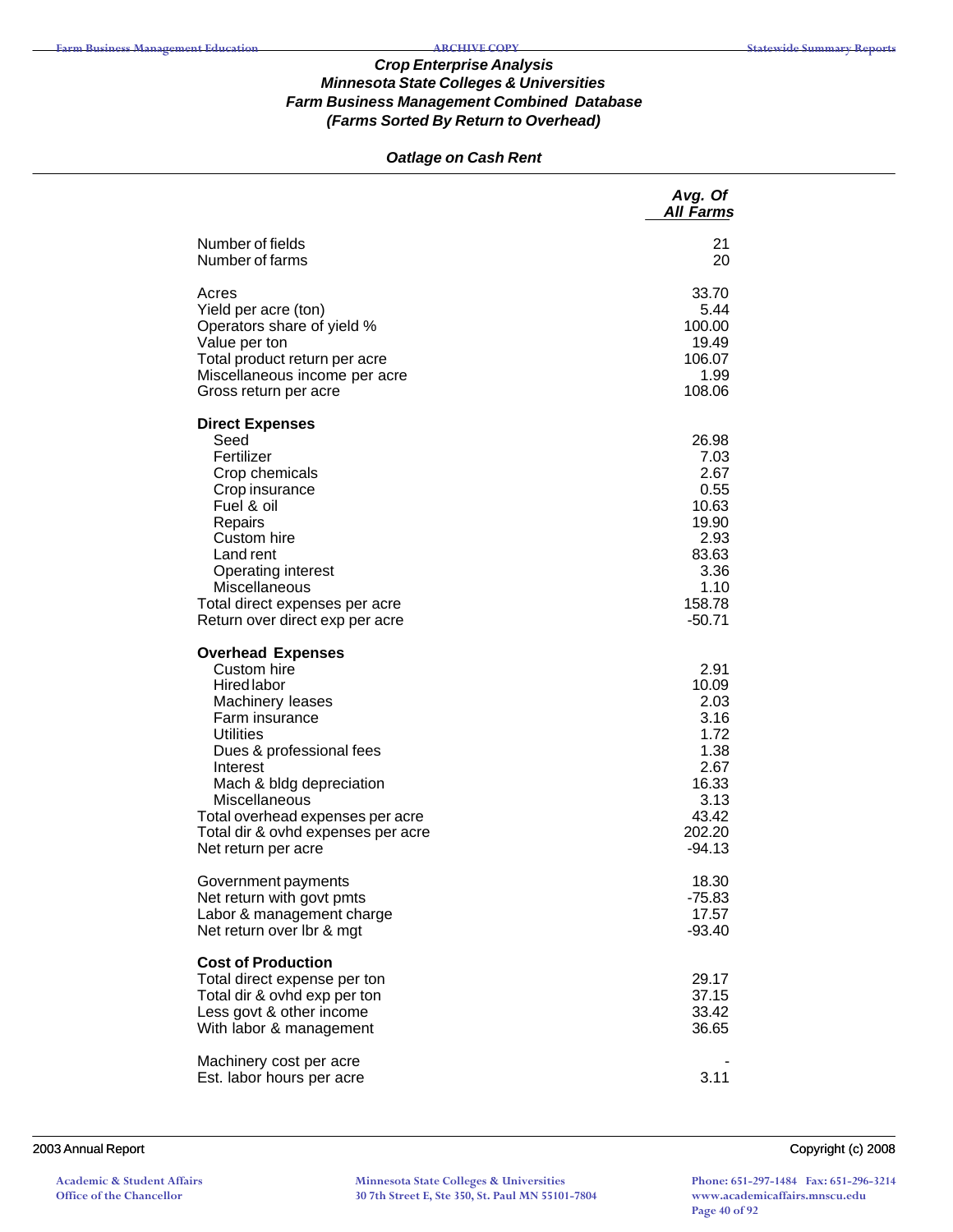## *Oatlage on Cash Rent*

|                                                                                                                                                                                                                                                                                                               | Avg. Of<br><b>All Farms</b>                                                                            |
|---------------------------------------------------------------------------------------------------------------------------------------------------------------------------------------------------------------------------------------------------------------------------------------------------------------|--------------------------------------------------------------------------------------------------------|
| Number of fields<br>Number of farms                                                                                                                                                                                                                                                                           | 21<br>20                                                                                               |
| Acres<br>Yield per acre (ton)<br>Operators share of yield %<br>Value per ton<br>Total product return per acre<br>Miscellaneous income per acre<br>Gross return per acre                                                                                                                                       | 33.70<br>5.44<br>100.00<br>19.49<br>106.07<br>1.99<br>108.06                                           |
| <b>Direct Expenses</b><br>Seed<br>Fertilizer<br>Crop chemicals<br>Crop insurance<br>Fuel & oil<br>Repairs<br>Custom hire<br>Land rent<br>Operating interest<br>Miscellaneous<br>Total direct expenses per acre<br>Return over direct exp per acre                                                             | 26.98<br>7.03<br>2.67<br>0.55<br>10.63<br>19.90<br>2.93<br>83.63<br>3.36<br>1.10<br>158.78<br>$-50.71$ |
| <b>Overhead Expenses</b><br>Custom hire<br><b>Hired labor</b><br>Machinery leases<br>Farm insurance<br><b>Utilities</b><br>Dues & professional fees<br>Interest<br>Mach & bldg depreciation<br>Miscellaneous<br>Total overhead expenses per acre<br>Total dir & ovhd expenses per acre<br>Net return per acre | 2.91<br>10.09<br>2.03<br>3.16<br>1.72<br>1.38<br>2.67<br>16.33<br>3.13<br>43.42<br>202.20<br>$-94.13$  |
| Government payments<br>Net return with govt pmts<br>Labor & management charge<br>Net return over Ibr & mgt                                                                                                                                                                                                    | 18.30<br>-75.83<br>17.57<br>-93.40                                                                     |
| <b>Cost of Production</b><br>Total direct expense per ton<br>Total dir & ovhd exp per ton<br>Less govt & other income<br>With labor & management<br>Machinery cost per acre                                                                                                                                   | 29.17<br>37.15<br>33.42<br>36.65                                                                       |
| Est. labor hours per acre                                                                                                                                                                                                                                                                                     | 3.11                                                                                                   |

### 2003 Annual Report Copyright (c) 2008

**Academic & Student Affairs Office of the Chancellor**

**Minnesota State Colleges & Universities 30 7th Street E, Ste 350, St. Paul MN 55101-7804**

**Phone: 651-297-1484 Fax: 651-296-3214 www.academicaffairs.mnscu.edu Page 40 of 92**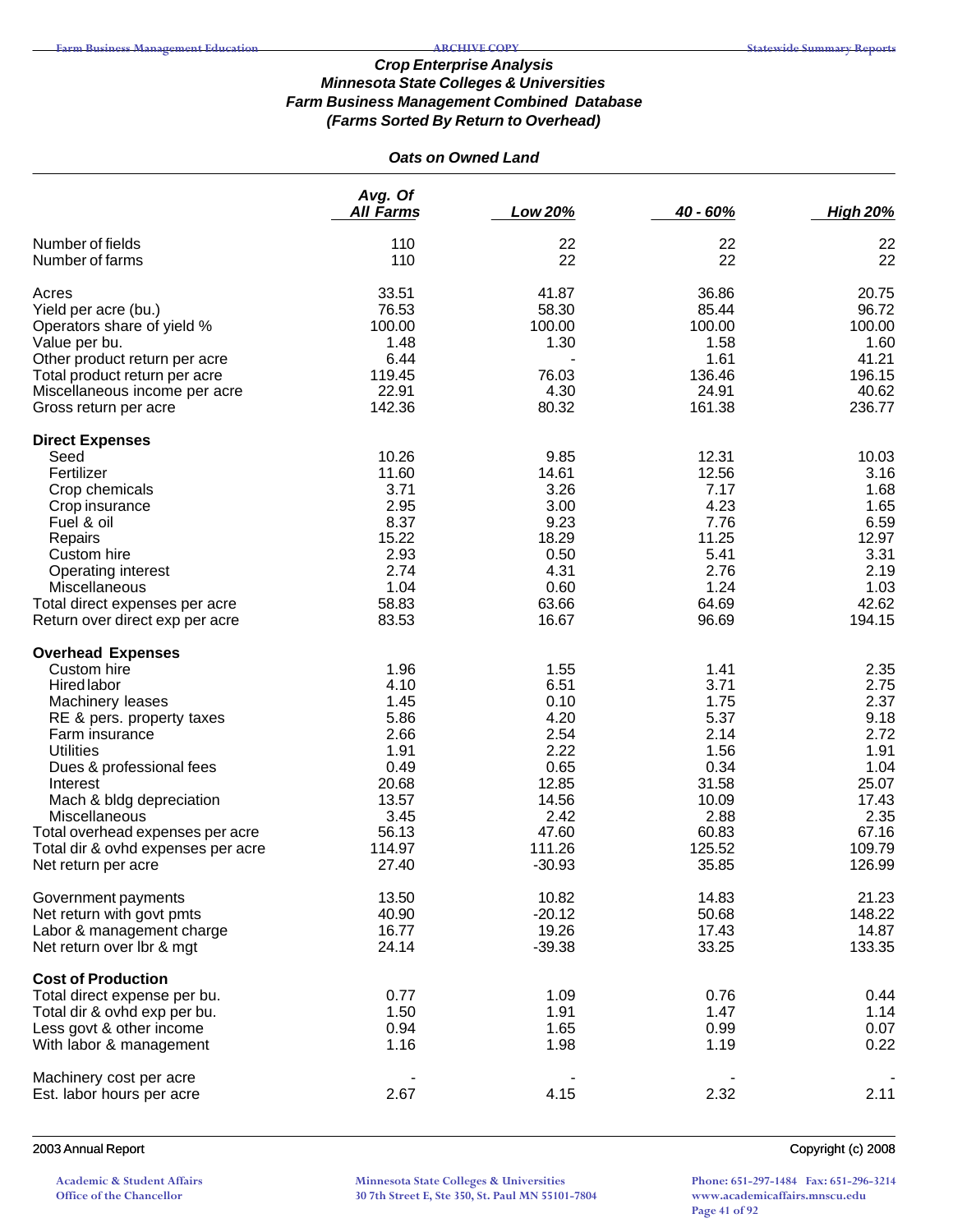## *Oats on Owned Land*

|                                             | Avg. Of          |                |                |                 |
|---------------------------------------------|------------------|----------------|----------------|-----------------|
|                                             | <b>All Farms</b> | Low 20%        | 40 - 60%       | <b>High 20%</b> |
| Number of fields                            | 110              | 22             | 22             | 22              |
| Number of farms                             | 110              | 22             | 22             | 22              |
|                                             |                  |                |                |                 |
| Acres                                       | 33.51            | 41.87          | 36.86          | 20.75           |
| Yield per acre (bu.)                        | 76.53            | 58.30          | 85.44          | 96.72           |
| Operators share of yield %<br>Value per bu. | 100.00<br>1.48   | 100.00<br>1.30 | 100.00<br>1.58 | 100.00<br>1.60  |
| Other product return per acre               | 6.44             |                | 1.61           | 41.21           |
| Total product return per acre               | 119.45           | 76.03          | 136.46         | 196.15          |
| Miscellaneous income per acre               | 22.91            | 4.30           | 24.91          | 40.62           |
| Gross return per acre                       | 142.36           | 80.32          | 161.38         | 236.77          |
| <b>Direct Expenses</b>                      |                  |                |                |                 |
| Seed                                        | 10.26            | 9.85           | 12.31          | 10.03           |
| Fertilizer                                  | 11.60            | 14.61          | 12.56          | 3.16            |
| Crop chemicals                              | 3.71             | 3.26           | 7.17           | 1.68            |
| Crop insurance                              | 2.95             | 3.00           | 4.23           | 1.65            |
| Fuel & oil                                  | 8.37             | 9.23           | 7.76           | 6.59            |
| Repairs                                     | 15.22            | 18.29          | 11.25          | 12.97           |
| Custom hire                                 | 2.93             | 0.50           | 5.41           | 3.31            |
| Operating interest                          | 2.74             | 4.31           | 2.76           | 2.19            |
| Miscellaneous                               | 1.04             | 0.60           | 1.24           | 1.03            |
| Total direct expenses per acre              | 58.83            | 63.66          | 64.69          | 42.62           |
| Return over direct exp per acre             | 83.53            | 16.67          | 96.69          | 194.15          |
| <b>Overhead Expenses</b>                    |                  |                |                |                 |
| Custom hire                                 | 1.96             | 1.55           | 1.41           | 2.35            |
| Hired labor                                 | 4.10             | 6.51           | 3.71           | 2.75            |
| Machinery leases                            | 1.45             | 0.10           | 1.75           | 2.37            |
| RE & pers. property taxes                   | 5.86             | 4.20           | 5.37           | 9.18            |
| Farm insurance                              | 2.66             | 2.54           | 2.14           | 2.72            |
| <b>Utilities</b>                            | 1.91             | 2.22           | 1.56           | 1.91            |
| Dues & professional fees                    | 0.49             | 0.65           | 0.34           | 1.04            |
| Interest                                    | 20.68            | 12.85          | 31.58          | 25.07           |
| Mach & bldg depreciation                    | 13.57            | 14.56          | 10.09          | 17.43           |
| Miscellaneous                               | 3.45             | 2.42           | 2.88           | 2.35            |
| Total overhead expenses per acre            | 56.13            | 47.60          | 60.83          | 67.16           |
| Total dir & ovhd expenses per acre          | 114.97           | 111.26         | 125.52         | 109.79          |
| Net return per acre                         | 27.40            | $-30.93$       | 35.85          | 126.99          |
| Government payments                         | 13.50            | 10.82          | 14.83          | 21.23           |
| Net return with govt pmts                   | 40.90            | $-20.12$       | 50.68          | 148.22          |
| Labor & management charge                   | 16.77            | 19.26          | 17.43          | 14.87           |
| Net return over lbr & mgt                   | 24.14            | $-39.38$       | 33.25          | 133.35          |
| <b>Cost of Production</b>                   |                  |                |                |                 |
| Total direct expense per bu.                | 0.77             | 1.09           | 0.76           | 0.44            |
| Total dir & ovhd exp per bu.                | 1.50             | 1.91           | 1.47           | 1.14            |
| Less govt & other income                    | 0.94             | 1.65           | 0.99           | 0.07            |
| With labor & management                     | 1.16             | 1.98           | 1.19           | 0.22            |
| Machinery cost per acre                     |                  |                |                |                 |
| Est. labor hours per acre                   | 2.67             | 4.15           | 2.32           | 2.11            |
|                                             |                  |                |                |                 |

**Academic & Student Affairs Office of the Chancellor**

**Minnesota State Colleges & Universities 30 7th Street E, Ste 350, St. Paul MN 55101-7804**

2003 Annual Report Copyright (c) 2008

**Phone: 651-297-1484 Fax: 651-296-3214 www.academicaffairs.mnscu.edu Page 41 of 92**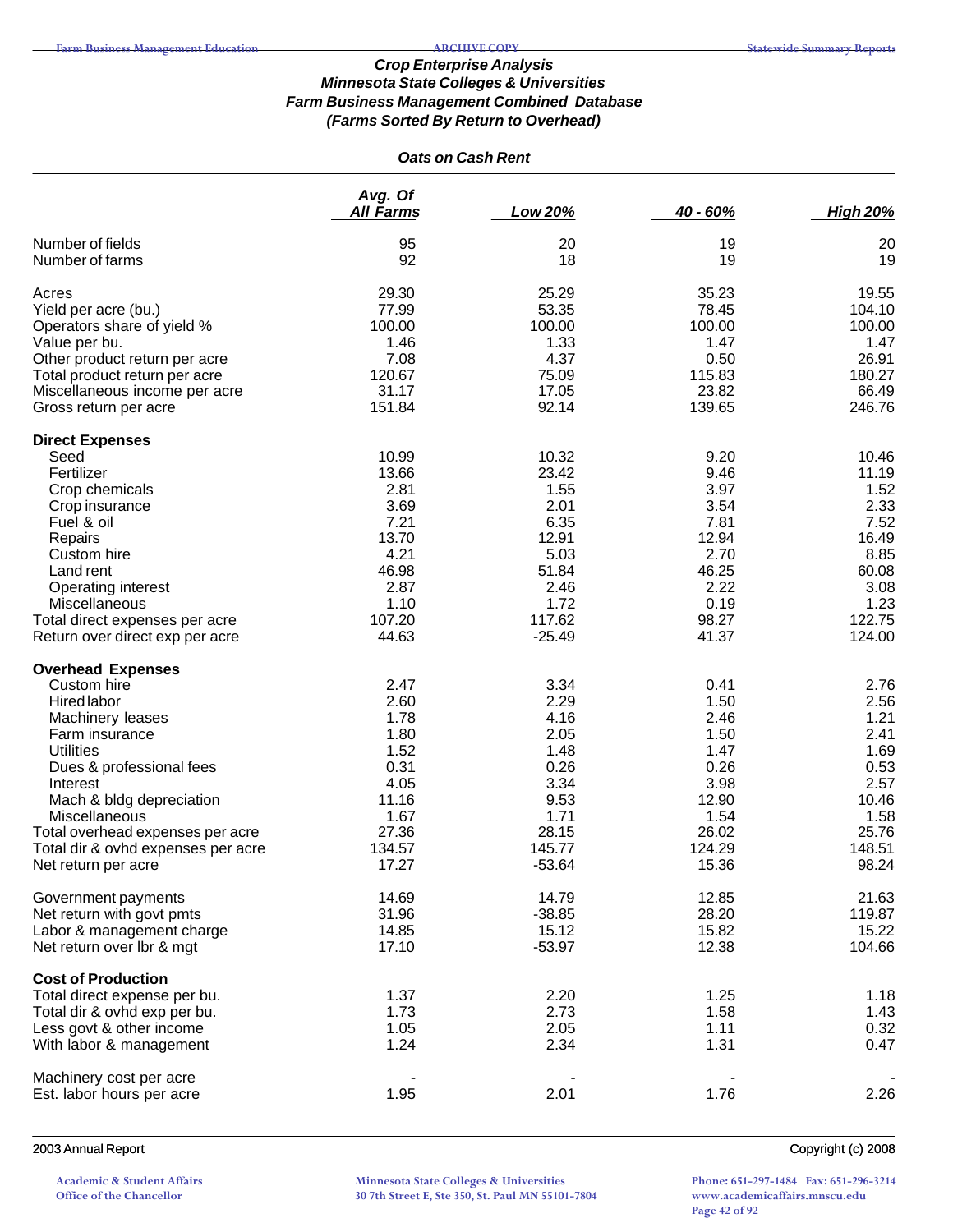## *Oats on Cash Rent*

|                                                                   | Avg. Of<br><b>All Farms</b> | Low 20%            | 40 - 60%        | <b>High 20%</b>  |
|-------------------------------------------------------------------|-----------------------------|--------------------|-----------------|------------------|
|                                                                   |                             |                    |                 |                  |
| Number of fields<br>Number of farms                               | 95<br>92                    | 20<br>18           | 19<br>19        | 20<br>19         |
| Acres                                                             | 29.30                       | 25.29              | 35.23           | 19.55            |
| Yield per acre (bu.)                                              | 77.99                       | 53.35              | 78.45           | 104.10           |
| Operators share of yield %                                        | 100.00                      | 100.00             | 100.00          | 100.00           |
| Value per bu.                                                     | 1.46                        | 1.33               | 1.47            | 1.47             |
| Other product return per acre                                     | 7.08                        | 4.37               | 0.50            | 26.91            |
| Total product return per acre<br>Miscellaneous income per acre    | 120.67<br>31.17             | 75.09<br>17.05     | 115.83<br>23.82 | 180.27<br>66.49  |
| Gross return per acre                                             | 151.84                      | 92.14              | 139.65          | 246.76           |
| <b>Direct Expenses</b>                                            |                             |                    |                 |                  |
| Seed                                                              | 10.99                       | 10.32              | 9.20            | 10.46            |
| Fertilizer                                                        | 13.66                       | 23.42              | 9.46            | 11.19            |
| Crop chemicals                                                    | 2.81                        | 1.55               | 3.97            | 1.52             |
| Crop insurance                                                    | 3.69                        | 2.01               | 3.54            | 2.33             |
| Fuel & oil                                                        | 7.21                        | 6.35               | 7.81            | 7.52             |
| Repairs                                                           | 13.70                       | 12.91              | 12.94           | 16.49            |
| Custom hire                                                       | 4.21                        | 5.03               | 2.70            | 8.85             |
| Land rent                                                         | 46.98                       | 51.84              | 46.25           | 60.08            |
| <b>Operating interest</b>                                         | 2.87                        | 2.46               | 2.22            | 3.08             |
| Miscellaneous                                                     | 1.10                        | 1.72               | 0.19            | 1.23             |
| Total direct expenses per acre<br>Return over direct exp per acre | 107.20<br>44.63             | 117.62<br>$-25.49$ | 98.27<br>41.37  | 122.75<br>124.00 |
| <b>Overhead Expenses</b>                                          |                             |                    |                 |                  |
| Custom hire                                                       | 2.47                        | 3.34               | 0.41            | 2.76             |
| Hired labor                                                       | 2.60                        | 2.29               | 1.50            | 2.56             |
| Machinery leases                                                  | 1.78                        | 4.16               | 2.46            | 1.21             |
| Farm insurance                                                    | 1.80                        | 2.05               | 1.50            | 2.41             |
| <b>Utilities</b>                                                  | 1.52                        | 1.48               | 1.47            | 1.69             |
| Dues & professional fees                                          | 0.31                        | 0.26               | 0.26            | 0.53             |
| Interest                                                          | 4.05                        | 3.34               | 3.98            | 2.57             |
| Mach & bldg depreciation                                          | 11.16                       | 9.53               | 12.90           | 10.46            |
| Miscellaneous                                                     | 1.67                        | 1.71               | 1.54            | 1.58             |
| Total overhead expenses per acre                                  | 27.36                       | 28.15              | 26.02           | 25.76            |
| Total dir & ovhd expenses per acre<br>Net return per acre         | 134.57<br>17.27             | 145.77<br>$-53.64$ | 124.29<br>15.36 | 148.51<br>98.24  |
| Government payments                                               | 14.69                       | 14.79              | 12.85           | 21.63            |
| Net return with govt pmts                                         | 31.96                       | $-38.85$           | 28.20           | 119.87           |
| Labor & management charge                                         | 14.85                       | 15.12              | 15.82           | 15.22            |
| Net return over lbr & mgt                                         | 17.10                       | $-53.97$           | 12.38           | 104.66           |
| <b>Cost of Production</b>                                         |                             |                    |                 |                  |
| Total direct expense per bu.                                      | 1.37                        | 2.20               | 1.25            | 1.18             |
| Total dir & ovhd exp per bu.                                      | 1.73                        | 2.73               | 1.58            | 1.43             |
| Less govt & other income                                          | 1.05                        | 2.05               | 1.11            | 0.32             |
| With labor & management                                           | 1.24                        | 2.34               | 1.31            | 0.47             |
| Machinery cost per acre                                           |                             |                    |                 |                  |
| Est. labor hours per acre                                         | 1.95                        | 2.01               | 1.76            | 2.26             |
|                                                                   |                             |                    |                 |                  |

### 2003 Annual Report Copyright (c) 2008

**Academic & Student Affairs Office of the Chancellor**

**Minnesota State Colleges & Universities 30 7th Street E, Ste 350, St. Paul MN 55101-7804**

**Phone: 651-297-1484 Fax: 651-296-3214 www.academicaffairs.mnscu.edu Page 42 of 92**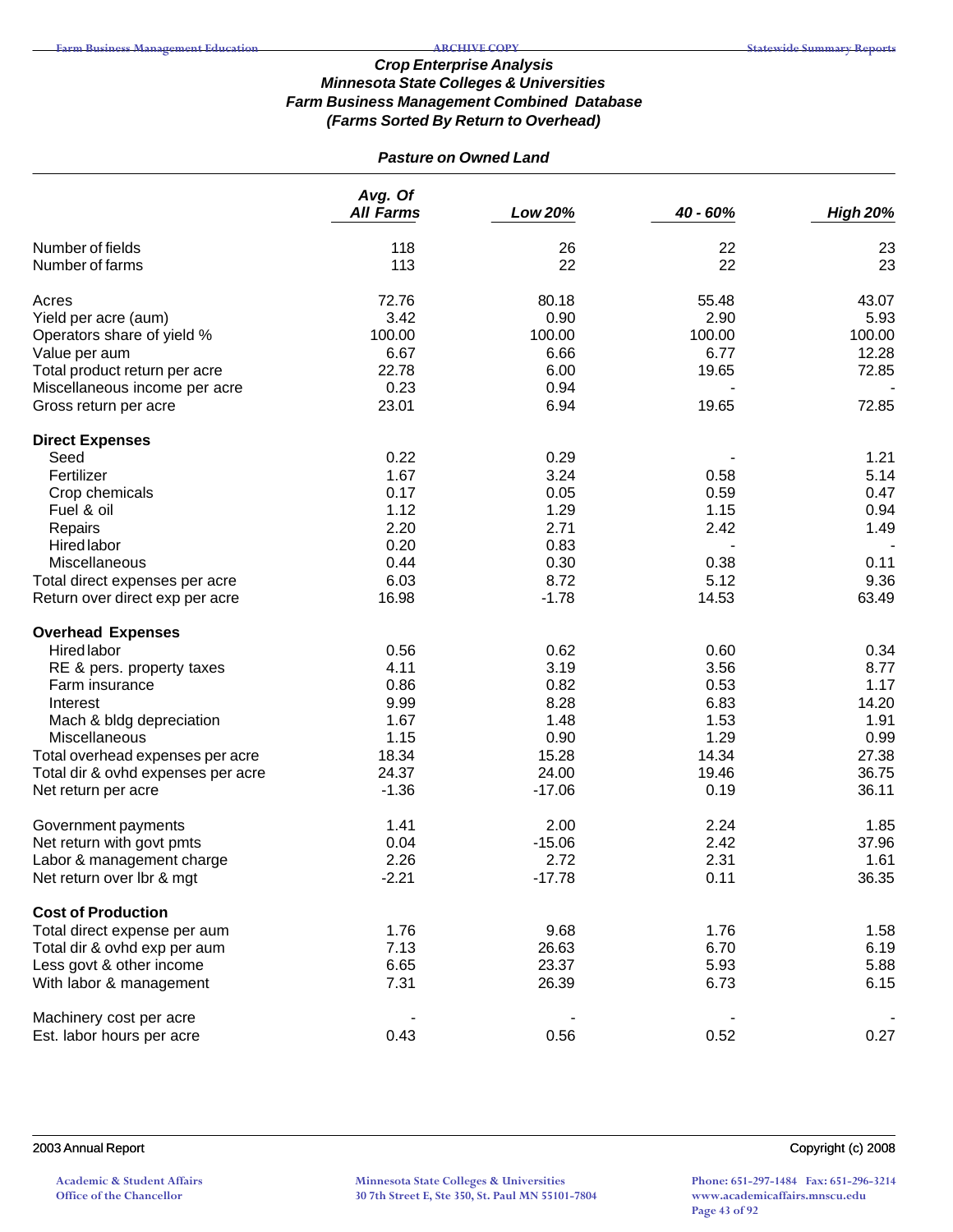# *Pasture on Owned Land*

|                                                        | Avg. Of<br><b>All Farms</b> | Low 20%      | 40 - 60%     | <b>High 20%</b> |
|--------------------------------------------------------|-----------------------------|--------------|--------------|-----------------|
| Number of fields                                       | 118                         | 26           | 22           | 23              |
| Number of farms                                        | 113                         | 22           | 22           | 23              |
| Acres                                                  | 72.76                       | 80.18        | 55.48        | 43.07           |
| Yield per acre (aum)                                   | 3.42                        | 0.90         | 2.90         | 5.93            |
| Operators share of yield %                             | 100.00                      | 100.00       | 100.00       | 100.00          |
| Value per aum                                          | 6.67                        | 6.66         | 6.77         | 12.28           |
| Total product return per acre                          | 22.78                       | 6.00         | 19.65        | 72.85           |
| Miscellaneous income per acre<br>Gross return per acre | 0.23<br>23.01               | 0.94<br>6.94 | 19.65        | 72.85           |
|                                                        |                             |              |              |                 |
| <b>Direct Expenses</b>                                 |                             |              |              |                 |
| Seed<br>Fertilizer                                     | 0.22<br>1.67                | 0.29<br>3.24 |              | 1.21<br>5.14    |
|                                                        | 0.17                        | 0.05         | 0.58<br>0.59 | 0.47            |
| Crop chemicals<br>Fuel & oil                           | 1.12                        | 1.29         | 1.15         | 0.94            |
| Repairs                                                | 2.20                        | 2.71         | 2.42         | 1.49            |
| <b>Hired labor</b>                                     | 0.20                        | 0.83         |              |                 |
| Miscellaneous                                          | 0.44                        | 0.30         | 0.38         | 0.11            |
| Total direct expenses per acre                         | 6.03                        | 8.72         | 5.12         | 9.36            |
| Return over direct exp per acre                        | 16.98                       | $-1.78$      | 14.53        | 63.49           |
| <b>Overhead Expenses</b>                               |                             |              |              |                 |
| Hired labor                                            | 0.56                        | 0.62         | 0.60         | 0.34            |
| RE & pers. property taxes                              | 4.11                        | 3.19         | 3.56         | 8.77            |
| Farm insurance                                         | 0.86                        | 0.82         | 0.53         | 1.17            |
| Interest                                               | 9.99                        | 8.28         | 6.83         | 14.20           |
| Mach & bldg depreciation                               | 1.67                        | 1.48         | 1.53         | 1.91            |
| Miscellaneous                                          | 1.15                        | 0.90         | 1.29         | 0.99            |
| Total overhead expenses per acre                       | 18.34                       | 15.28        | 14.34        | 27.38           |
| Total dir & ovhd expenses per acre                     | 24.37                       | 24.00        | 19.46        | 36.75           |
| Net return per acre                                    | $-1.36$                     | $-17.06$     | 0.19         | 36.11           |
| Government payments                                    | 1.41                        | 2.00         | 2.24         | 1.85            |
| Net return with govt pmts                              | 0.04                        | $-15.06$     | 2.42         | 37.96           |
| Labor & management charge                              | 2.26                        | 2.72         | 2.31         | 1.61            |
| Net return over lbr & mgt                              | $-2.21$                     | $-17.78$     | 0.11         | 36.35           |
| <b>Cost of Production</b>                              |                             |              |              |                 |
| Total direct expense per aum                           | 1.76                        | 9.68         | 1.76         | 1.58            |
| Total dir & ovhd exp per aum                           | 7.13                        | 26.63        | 6.70         | 6.19            |
| Less govt & other income                               | 6.65                        | 23.37        | 5.93         | 5.88            |
| With labor & management                                | 7.31                        | 26.39        | 6.73         | 6.15            |
| Machinery cost per acre                                |                             |              |              |                 |
| Est. labor hours per acre                              | 0.43                        | 0.56         | 0.52         | 0.27            |

2003 Annual Report Copyright (c) 2008

**Phone: 651-297-1484 Fax: 651-296-3214 www.academicaffairs.mnscu.edu Page 43 of 92**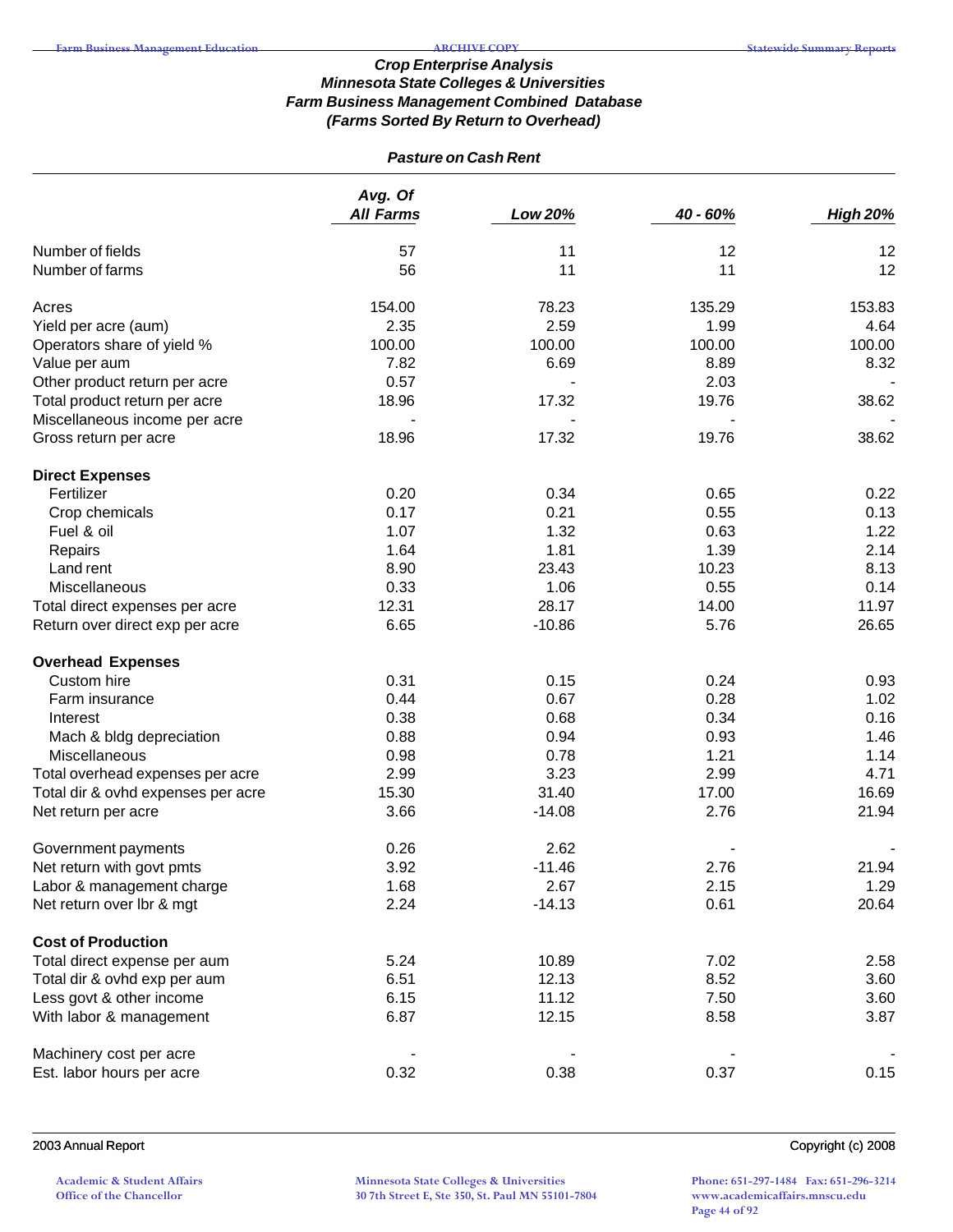## *Pasture on Cash Rent*

|                                    | Avg. Of<br><b>All Farms</b> | Low 20%  | 40 - 60% | <b>High 20%</b> |
|------------------------------------|-----------------------------|----------|----------|-----------------|
| Number of fields                   | 57                          | 11       | 12       | 12              |
| Number of farms                    | 56                          | 11       | 11       | 12              |
| Acres                              | 154.00                      | 78.23    | 135.29   | 153.83          |
| Yield per acre (aum)               | 2.35                        | 2.59     | 1.99     | 4.64            |
| Operators share of yield %         | 100.00                      | 100.00   | 100.00   | 100.00          |
| Value per aum                      | 7.82                        | 6.69     | 8.89     | 8.32            |
| Other product return per acre      | 0.57                        |          | 2.03     |                 |
| Total product return per acre      | 18.96                       | 17.32    | 19.76    | 38.62           |
| Miscellaneous income per acre      |                             |          |          |                 |
| Gross return per acre              | 18.96                       | 17.32    | 19.76    | 38.62           |
| <b>Direct Expenses</b>             |                             |          |          |                 |
| Fertilizer                         | 0.20                        | 0.34     | 0.65     | 0.22            |
| Crop chemicals                     | 0.17                        | 0.21     | 0.55     | 0.13            |
| Fuel & oil                         | 1.07                        | 1.32     | 0.63     | 1.22            |
| Repairs                            | 1.64                        | 1.81     | 1.39     | 2.14            |
| Land rent                          | 8.90                        | 23.43    | 10.23    | 8.13            |
| Miscellaneous                      | 0.33                        | 1.06     | 0.55     | 0.14            |
| Total direct expenses per acre     | 12.31                       | 28.17    | 14.00    | 11.97           |
| Return over direct exp per acre    | 6.65                        | $-10.86$ | 5.76     | 26.65           |
| <b>Overhead Expenses</b>           |                             |          |          |                 |
| Custom hire                        | 0.31                        | 0.15     | 0.24     | 0.93            |
| Farm insurance                     | 0.44                        | 0.67     | 0.28     | 1.02            |
| Interest                           | 0.38                        | 0.68     | 0.34     | 0.16            |
| Mach & bldg depreciation           | 0.88                        | 0.94     | 0.93     | 1.46            |
| Miscellaneous                      | 0.98                        | 0.78     | 1.21     | 1.14            |
| Total overhead expenses per acre   | 2.99                        | 3.23     | 2.99     | 4.71            |
| Total dir & ovhd expenses per acre | 15.30                       | 31.40    | 17.00    | 16.69           |
| Net return per acre                | 3.66                        | $-14.08$ | 2.76     | 21.94           |
| Government payments                | 0.26                        | 2.62     |          |                 |
| Net return with govt pmts          | 3.92                        | $-11.46$ | 2.76     | 21.94           |
| Labor & management charge          | 1.68                        | 2.67     | 2.15     | 1.29            |
| Net return over lbr & mgt          | 2.24                        | $-14.13$ | 0.61     | 20.64           |
| <b>Cost of Production</b>          |                             |          |          |                 |
| Total direct expense per aum       | 5.24                        | 10.89    | 7.02     | 2.58            |
| Total dir & ovhd exp per aum       | 6.51                        | 12.13    | 8.52     | 3.60            |
| Less govt & other income           | 6.15                        | 11.12    | 7.50     | 3.60            |
| With labor & management            | 6.87                        | 12.15    | 8.58     | 3.87            |
| Machinery cost per acre            |                             |          |          |                 |
| Est. labor hours per acre          | 0.32                        | 0.38     | 0.37     | 0.15            |

2003 Annual Report Copyright (c) 2008

**Academic & Student Affairs Office of the Chancellor**

**Minnesota State Colleges & Universities 30 7th Street E, Ste 350, St. Paul MN 55101-7804**

**Phone: 651-297-1484 Fax: 651-296-3214 www.academicaffairs.mnscu.edu Page 44 of 92**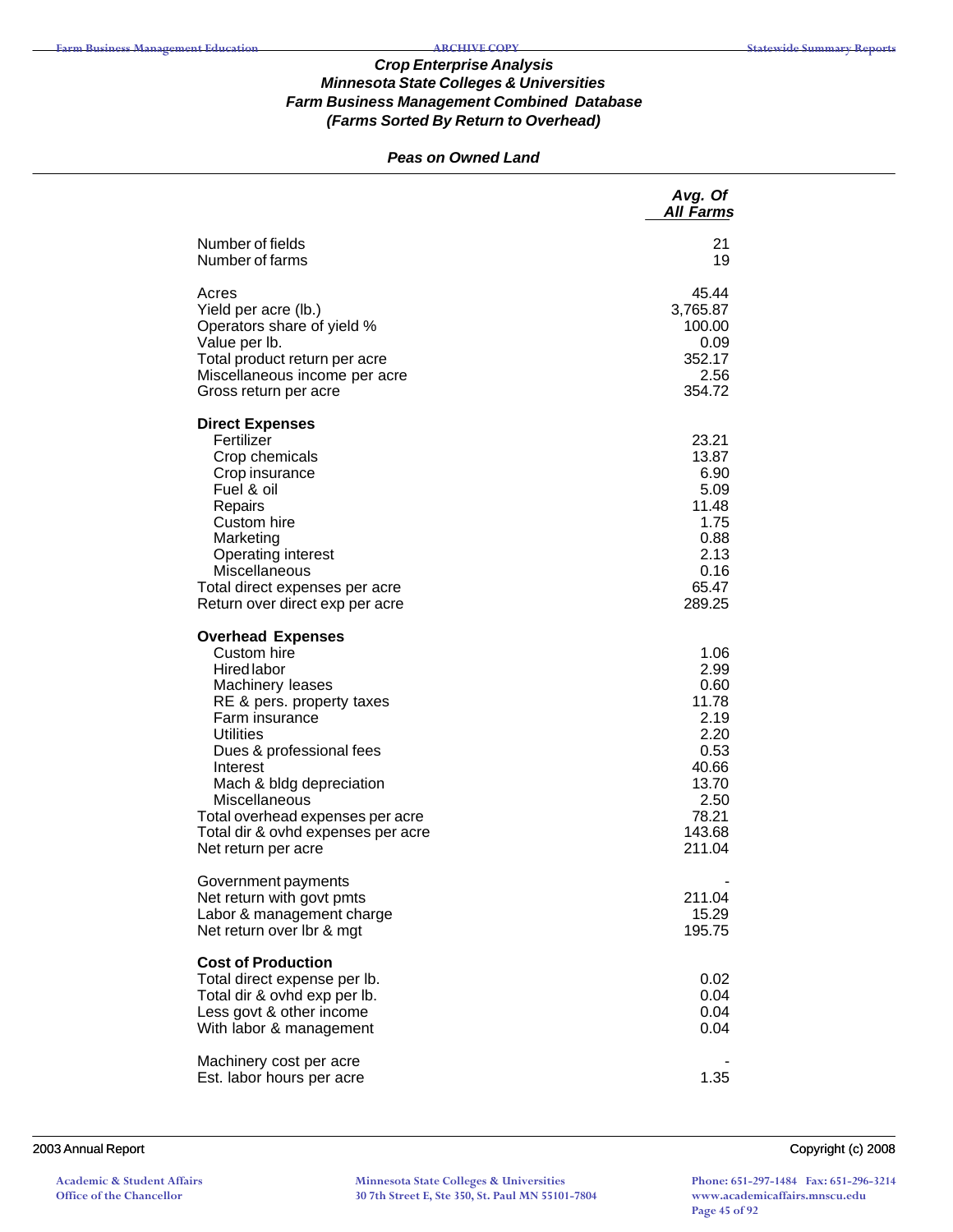## *Peas on Owned Land*

|                                                                                                                                                                                                                                                                                                                                     | Avg. Of<br><b>All Farms</b>                                                                                  |
|-------------------------------------------------------------------------------------------------------------------------------------------------------------------------------------------------------------------------------------------------------------------------------------------------------------------------------------|--------------------------------------------------------------------------------------------------------------|
| Number of fields<br>Number of farms                                                                                                                                                                                                                                                                                                 | 21<br>19                                                                                                     |
| Acres<br>Yield per acre (lb.)<br>Operators share of yield %<br>Value per lb.<br>Total product return per acre<br>Miscellaneous income per acre<br>Gross return per acre                                                                                                                                                             | 45.44<br>3,765.87<br>100.00<br>0.09<br>352.17<br>2.56<br>354.72                                              |
| <b>Direct Expenses</b><br>Fertilizer<br>Crop chemicals<br>Crop insurance<br>Fuel & oil<br>Repairs<br>Custom hire<br>Marketing<br><b>Operating interest</b><br>Miscellaneous<br>Total direct expenses per acre<br>Return over direct exp per acre                                                                                    | 23.21<br>13.87<br>6.90<br>5.09<br>11.48<br>1.75<br>0.88<br>2.13<br>0.16<br>65.47<br>289.25                   |
| <b>Overhead Expenses</b><br>Custom hire<br>Hired labor<br>Machinery leases<br>RE & pers. property taxes<br>Farm insurance<br><b>Utilities</b><br>Dues & professional fees<br>Interest<br>Mach & bldg depreciation<br>Miscellaneous<br>Total overhead expenses per acre<br>Total dir & ovhd expenses per acre<br>Net return per acre | 1.06<br>2.99<br>0.60<br>11.78<br>2.19<br>2.20<br>0.53<br>40.66<br>13.70<br>2.50<br>78.21<br>143.68<br>211.04 |
| Government payments<br>Net return with govt pmts<br>Labor & management charge<br>Net return over lbr & mgt                                                                                                                                                                                                                          | 211.04<br>15.29<br>195.75                                                                                    |
| <b>Cost of Production</b><br>Total direct expense per lb.<br>Total dir & ovhd exp per lb.<br>Less govt & other income<br>With labor & management                                                                                                                                                                                    | 0.02<br>0.04<br>0.04<br>0.04                                                                                 |
| Machinery cost per acre<br>Est. labor hours per acre                                                                                                                                                                                                                                                                                | 1.35                                                                                                         |

### 2003 Annual Report Copyright (c) 2008

**Academic & Student Affairs Office of the Chancellor**

**Minnesota State Colleges & Universities 30 7th Street E, Ste 350, St. Paul MN 55101-7804**

**Phone: 651-297-1484 Fax: 651-296-3214 www.academicaffairs.mnscu.edu Page 45 of 92**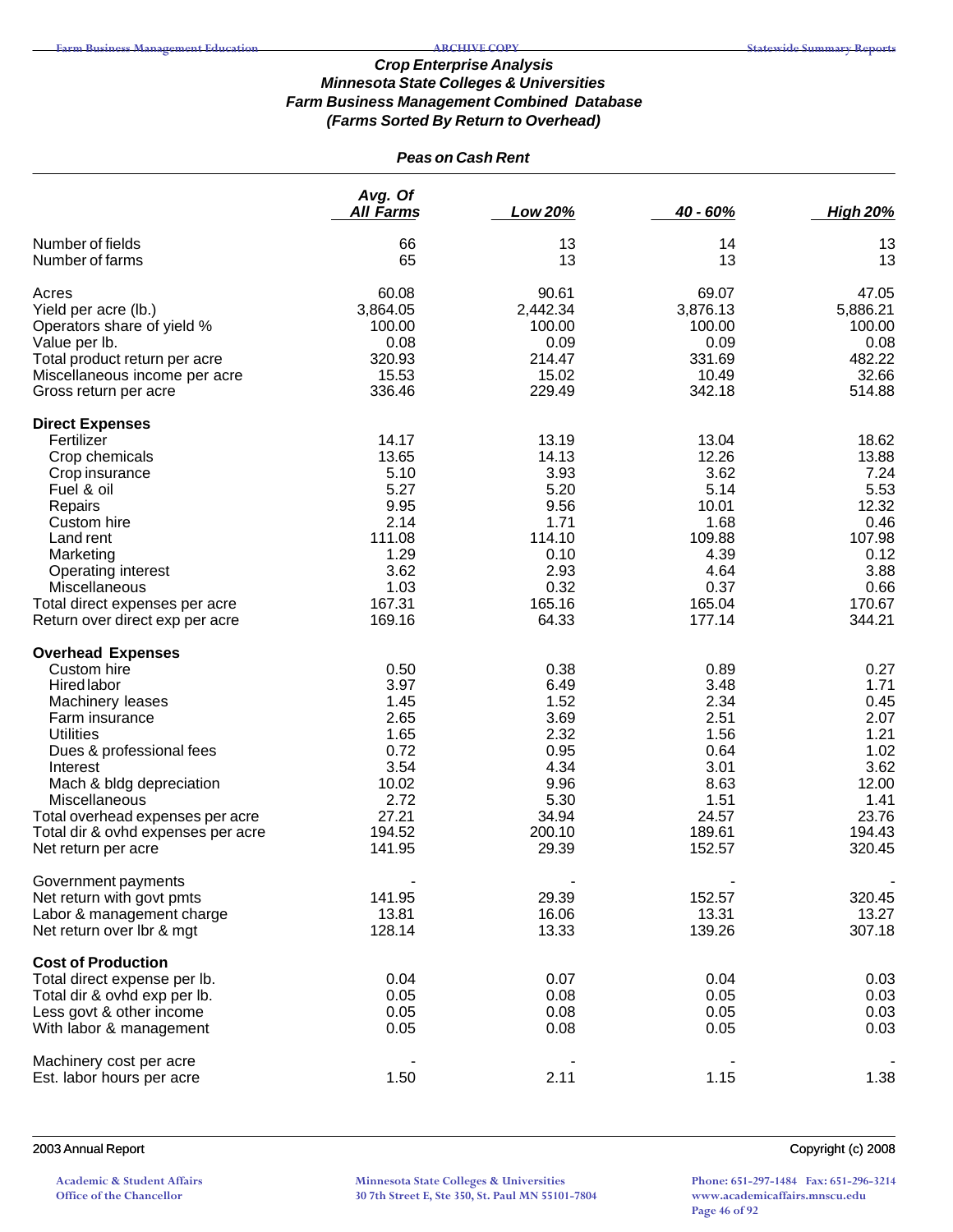## *Peas on Cash Rent*

|                                    | Avg. Of<br><b>All Farms</b> | Low 20%  | 40 - 60% | <b>High 20%</b> |
|------------------------------------|-----------------------------|----------|----------|-----------------|
| Number of fields                   | 66                          | 13       | 14       | 13              |
| Number of farms                    | 65                          | 13       | 13       | 13              |
| Acres                              | 60.08                       | 90.61    | 69.07    | 47.05           |
| Yield per acre (lb.)               | 3,864.05                    | 2,442.34 | 3,876.13 | 5,886.21        |
| Operators share of yield %         | 100.00                      | 100.00   | 100.00   | 100.00          |
| Value per lb.                      | 0.08                        | 0.09     | 0.09     | 0.08            |
| Total product return per acre      | 320.93                      | 214.47   | 331.69   | 482.22          |
| Miscellaneous income per acre      | 15.53                       | 15.02    | 10.49    | 32.66           |
| Gross return per acre              | 336.46                      | 229.49   | 342.18   | 514.88          |
| <b>Direct Expenses</b>             |                             |          |          |                 |
| Fertilizer                         | 14.17                       | 13.19    | 13.04    | 18.62           |
| Crop chemicals                     | 13.65                       | 14.13    | 12.26    | 13.88           |
| Crop insurance                     | 5.10                        | 3.93     | 3.62     | 7.24            |
| Fuel & oil                         | 5.27                        | 5.20     | 5.14     | 5.53            |
| Repairs                            | 9.95                        | 9.56     | 10.01    | 12.32           |
| Custom hire                        | 2.14                        | 1.71     | 1.68     | 0.46            |
| Land rent                          | 111.08                      | 114.10   | 109.88   | 107.98          |
| Marketing                          | 1.29                        | 0.10     | 4.39     | 0.12            |
| Operating interest                 | 3.62                        | 2.93     | 4.64     | 3.88            |
| Miscellaneous                      | 1.03                        | 0.32     | 0.37     | 0.66            |
| Total direct expenses per acre     | 167.31                      | 165.16   | 165.04   | 170.67          |
| Return over direct exp per acre    | 169.16                      | 64.33    | 177.14   | 344.21          |
| <b>Overhead Expenses</b>           |                             |          |          |                 |
| Custom hire                        | 0.50                        | 0.38     | 0.89     | 0.27            |
| Hired labor                        | 3.97                        | 6.49     | 3.48     | 1.71            |
| Machinery leases                   | 1.45                        | 1.52     | 2.34     | 0.45            |
| Farm insurance                     | 2.65                        | 3.69     | 2.51     | 2.07            |
| <b>Utilities</b>                   | 1.65                        | 2.32     | 1.56     | 1.21            |
| Dues & professional fees           | 0.72                        | 0.95     | 0.64     | 1.02            |
| Interest                           | 3.54                        | 4.34     | 3.01     | 3.62            |
| Mach & bldg depreciation           | 10.02                       | 9.96     | 8.63     | 12.00           |
| Miscellaneous                      | 2.72                        | 5.30     | 1.51     | 1.41            |
| Total overhead expenses per acre   | 27.21                       | 34.94    | 24.57    | 23.76           |
| Total dir & ovhd expenses per acre | 194.52                      | 200.10   | 189.61   | 194.43          |
| Net return per acre                | 141.95                      | 29.39    | 152.57   | 320.45          |
| Government payments                |                             |          |          |                 |
| Net return with govt pmts          | 141.95                      | 29.39    | 152.57   | 320.45          |
| Labor & management charge          | 13.81                       | 16.06    | 13.31    | 13.27           |
| Net return over lbr & mgt          | 128.14                      | 13.33    | 139.26   | 307.18          |
| <b>Cost of Production</b>          |                             |          |          |                 |
| Total direct expense per lb.       | 0.04                        | 0.07     | 0.04     | 0.03            |
| Total dir & ovhd exp per lb.       | 0.05                        | 0.08     | 0.05     | 0.03            |
| Less govt & other income           | 0.05                        | 0.08     | 0.05     | 0.03            |
| With labor & management            | 0.05                        | 0.08     | 0.05     | 0.03            |
| Machinery cost per acre            |                             |          |          |                 |
| Est. labor hours per acre          | 1.50                        | 2.11     | 1.15     | 1.38            |

2003 Annual Report Copyright (c) 2008

**Academic & Student Affairs Office of the Chancellor**

**Minnesota State Colleges & Universities 30 7th Street E, Ste 350, St. Paul MN 55101-7804**

**Phone: 651-297-1484 Fax: 651-296-3214 www.academicaffairs.mnscu.edu Page 46 of 92**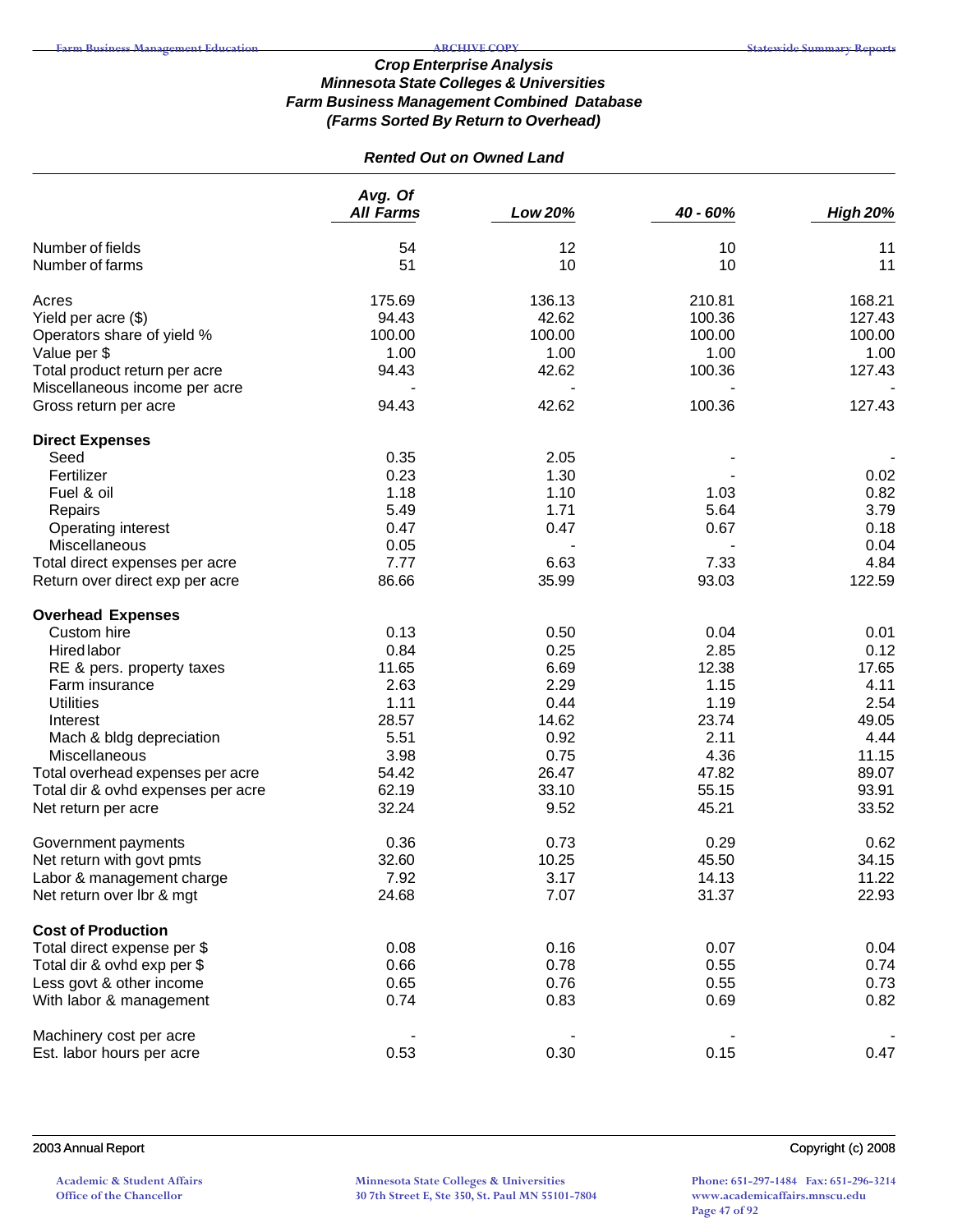# *Rented Out on Owned Land*

|                                    | Avg. Of<br><b>All Farms</b> | Low 20% | 40 - 60% | <b>High 20%</b> |
|------------------------------------|-----------------------------|---------|----------|-----------------|
| Number of fields                   | 54                          | 12      | 10       | 11              |
| Number of farms                    | 51                          | 10      | 10       | 11              |
| Acres                              | 175.69                      | 136.13  | 210.81   | 168.21          |
| Yield per acre (\$)                | 94.43                       | 42.62   | 100.36   | 127.43          |
| Operators share of yield %         | 100.00                      | 100.00  | 100.00   | 100.00          |
| Value per \$                       | 1.00                        | 1.00    | 1.00     | 1.00            |
| Total product return per acre      | 94.43                       | 42.62   | 100.36   | 127.43          |
| Miscellaneous income per acre      |                             |         |          |                 |
| Gross return per acre              | 94.43                       | 42.62   | 100.36   | 127.43          |
| <b>Direct Expenses</b>             |                             |         |          |                 |
| Seed                               | 0.35                        | 2.05    |          |                 |
| Fertilizer                         | 0.23                        | 1.30    |          | 0.02            |
| Fuel & oil                         | 1.18                        | 1.10    | 1.03     | 0.82            |
| Repairs                            | 5.49                        | 1.71    | 5.64     | 3.79            |
| Operating interest                 | 0.47                        | 0.47    | 0.67     | 0.18            |
| Miscellaneous                      | 0.05                        |         |          | 0.04            |
| Total direct expenses per acre     | 7.77                        | 6.63    | 7.33     | 4.84            |
| Return over direct exp per acre    | 86.66                       | 35.99   | 93.03    | 122.59          |
| <b>Overhead Expenses</b>           |                             |         |          |                 |
| Custom hire                        | 0.13                        | 0.50    | 0.04     | 0.01            |
| <b>Hired labor</b>                 | 0.84                        | 0.25    | 2.85     | 0.12            |
| RE & pers. property taxes          | 11.65                       | 6.69    | 12.38    | 17.65           |
| Farm insurance                     | 2.63                        | 2.29    | 1.15     | 4.11            |
| <b>Utilities</b>                   | 1.11                        | 0.44    | 1.19     | 2.54            |
| Interest                           | 28.57                       | 14.62   | 23.74    | 49.05           |
| Mach & bldg depreciation           | 5.51                        | 0.92    | 2.11     | 4.44            |
| Miscellaneous                      | 3.98                        | 0.75    | 4.36     | 11.15           |
| Total overhead expenses per acre   | 54.42                       | 26.47   | 47.82    | 89.07           |
| Total dir & ovhd expenses per acre | 62.19                       | 33.10   | 55.15    | 93.91           |
| Net return per acre                | 32.24                       | 9.52    | 45.21    | 33.52           |
| Government payments                | 0.36                        | 0.73    | 0.29     | 0.62            |
| Net return with govt pmts          | 32.60                       | 10.25   | 45.50    | 34.15           |
| Labor & management charge          | 7.92                        | 3.17    | 14.13    | 11.22           |
| Net return over lbr & mgt          | 24.68                       | 7.07    | 31.37    | 22.93           |
| <b>Cost of Production</b>          |                             |         |          |                 |
| Total direct expense per \$        | 0.08                        | 0.16    | 0.07     | 0.04            |
| Total dir & ovhd exp per \$        | 0.66                        | 0.78    | 0.55     | 0.74            |
| Less govt & other income           | 0.65                        | 0.76    | 0.55     | 0.73            |
| With labor & management            | 0.74                        | 0.83    | 0.69     | 0.82            |
| Machinery cost per acre            |                             |         |          |                 |
| Est. labor hours per acre          | 0.53                        | 0.30    | 0.15     | 0.47            |

**Phone: 651-297-1484 Fax: 651-296-3214 www.academicaffairs.mnscu.edu Page 47 of 92**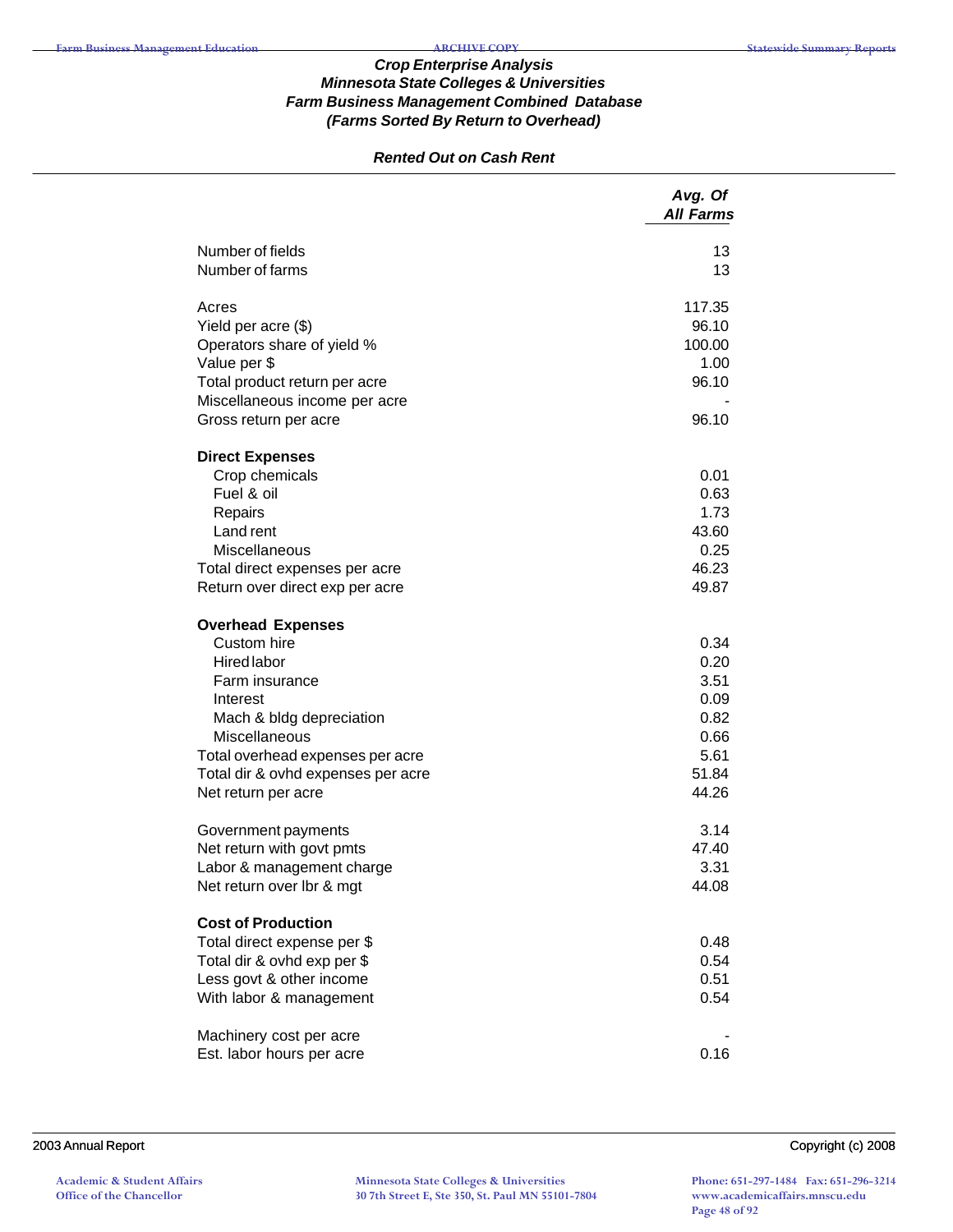# *Rented Out on Cash Rent*

|                                                                        | Avg. Of<br><b>All Farms</b> |
|------------------------------------------------------------------------|-----------------------------|
| Number of fields                                                       | 13                          |
| Number of farms                                                        | 13                          |
| Acres                                                                  | 117.35                      |
| Yield per acre (\$)                                                    | 96.10                       |
| Operators share of yield %                                             | 100.00                      |
| Value per \$                                                           | 1.00                        |
| Total product return per acre                                          | 96.10                       |
| Miscellaneous income per acre                                          |                             |
| Gross return per acre                                                  | 96.10                       |
| <b>Direct Expenses</b>                                                 |                             |
| Crop chemicals                                                         | 0.01                        |
| Fuel & oil                                                             | 0.63                        |
| Repairs                                                                | 1.73                        |
| Land rent                                                              | 43.60                       |
| Miscellaneous                                                          | 0.25                        |
| Total direct expenses per acre                                         | 46.23                       |
| Return over direct exp per acre                                        | 49.87                       |
| <b>Overhead Expenses</b>                                               |                             |
| Custom hire                                                            | 0.34                        |
| <b>Hired labor</b>                                                     | 0.20                        |
| Farm insurance                                                         | 3.51                        |
| Interest                                                               | 0.09                        |
| Mach & bldg depreciation                                               | 0.82                        |
| Miscellaneous                                                          | 0.66<br>5.61                |
| Total overhead expenses per acre<br>Total dir & ovhd expenses per acre | 51.84                       |
| Net return per acre                                                    | 44.26                       |
|                                                                        |                             |
| Government payments                                                    | 3.14                        |
| Net return with govt pmts                                              | 47.40                       |
| Labor & management charge                                              | 3.31                        |
| Net return over Ibr & mgt                                              | 44.08                       |
| <b>Cost of Production</b>                                              |                             |
| Total direct expense per \$                                            | 0.48                        |
| Total dir & ovhd exp per \$                                            | 0.54                        |
| Less govt & other income                                               | 0.51                        |
| With labor & management                                                | 0.54                        |
| Machinery cost per acre                                                |                             |
| Est. labor hours per acre                                              | 0.16                        |

**Minnesota State Colleges & Universities 30 7th Street E, Ste 350, St. Paul MN 55101-7804**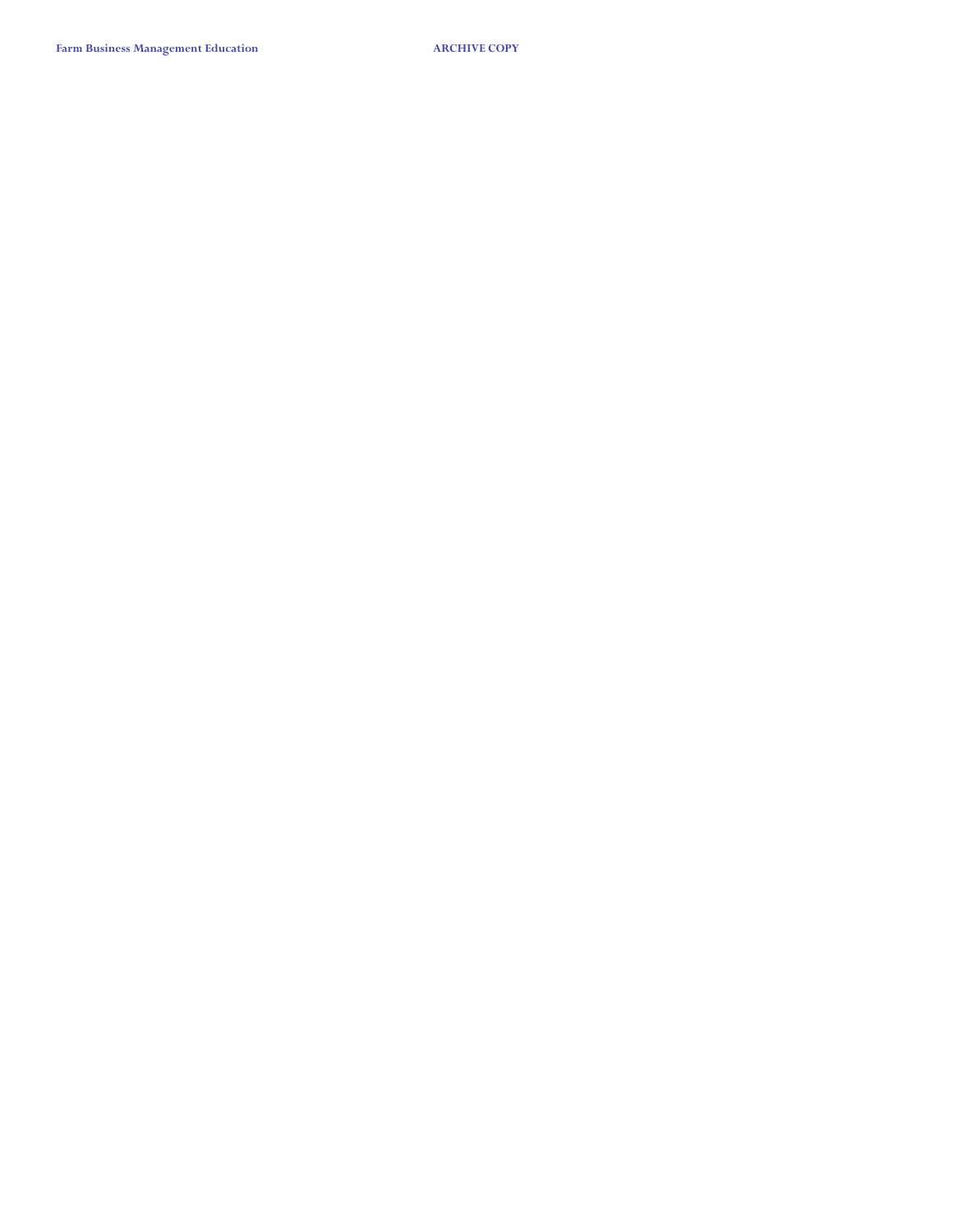**Farm Business Management Education** 

**ARCHIVE COPY**